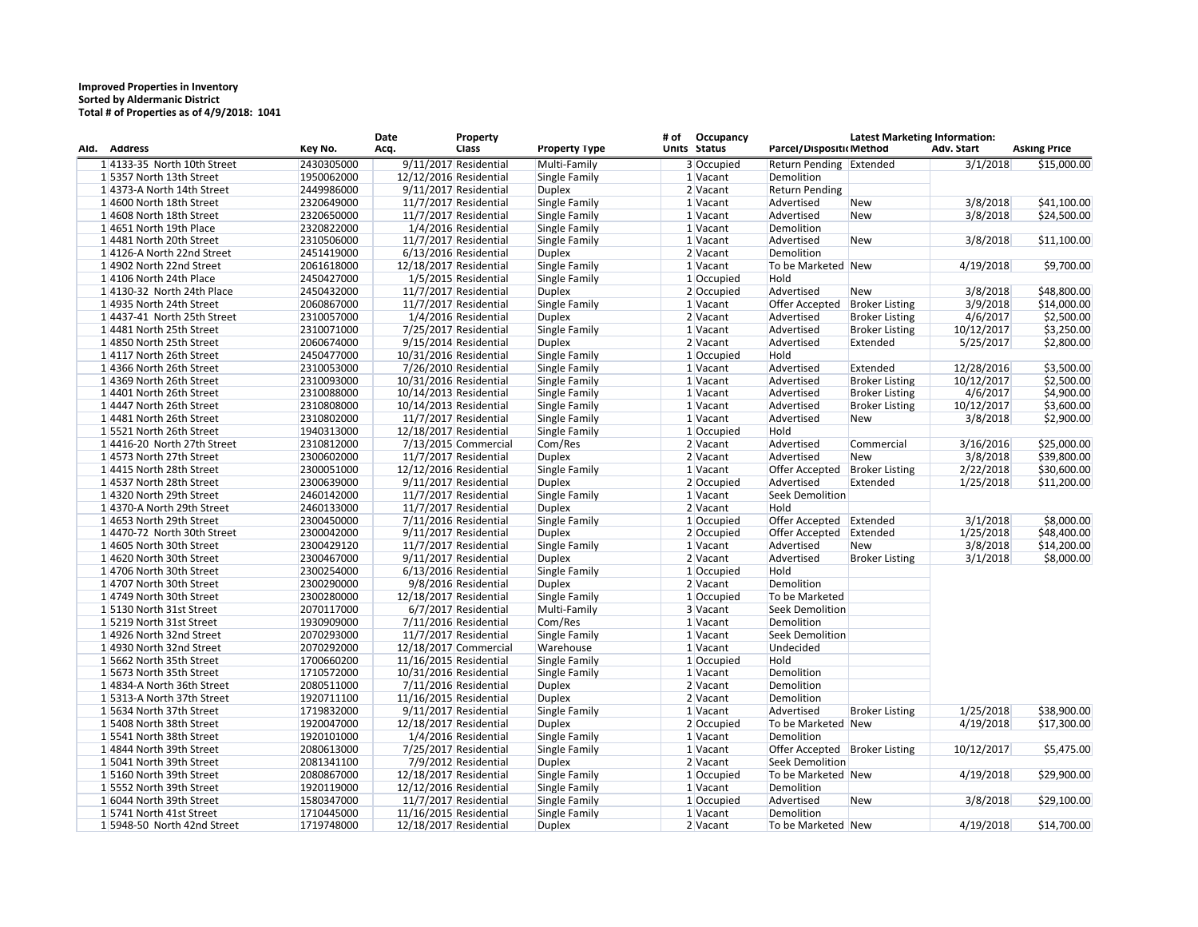## **Improved Properties in Inventory Sorted by Aldermanic District Total # of Properties as of 4/9/2018: 1041**

| Ald. Address                  | Key No.    | Date<br>Acq.           | Property<br><b>Class</b> | <b>Property Type</b> | # of | <b>Occupancy</b><br>Units Status | Parcel/Dispositic Method        | <b>Latest Marketing Information:</b> | Adv. Start | <b>Asking Price</b> |
|-------------------------------|------------|------------------------|--------------------------|----------------------|------|----------------------------------|---------------------------------|--------------------------------------|------------|---------------------|
| 1 4133-35 North 10th Street   | 2430305000 |                        | 9/11/2017 Residential    | Multi-Family         |      | 3 Occupied                       | Return Pending Extended         |                                      | 3/1/2018   | \$15,000.00         |
| 15357 North 13th Street       | 1950062000 | 12/12/2016 Residential |                          | Single Family        |      | 1 Vacant                         | Demolition                      |                                      |            |                     |
| 14373-A North 14th Street     | 2449986000 |                        | 9/11/2017 Residential    | <b>Duplex</b>        |      | 2 Vacant                         | <b>Return Pending</b>           |                                      |            |                     |
| 14600 North 18th Street       | 2320649000 |                        | $11/7/2017$ Residential  | Single Family        |      | 1 Vacant                         | Advertised                      | New                                  | 3/8/2018   | \$41,100.00         |
| 1 4608 North 18th Street      | 2320650000 |                        | $11/7/2017$ Residential  | Single Family        |      | 1 Vacant                         | Advertised                      | New                                  | 3/8/2018   | \$24,500.00         |
| $1 4651$ North 19th Place     | 2320822000 |                        | 1/4/2016 Residential     | Single Family        |      | 1 Vacant                         | Demolition                      |                                      |            |                     |
| 14481 North 20th Street       | 2310506000 |                        | 11/7/2017 Residential    | Single Family        |      | 1 Vacant                         | Advertised                      | New                                  | 3/8/2018   | \$11,100.00         |
| 14126-A North 22nd Street     | 2451419000 |                        | 6/13/2016 Residential    | <b>Duplex</b>        |      | $2$ Vacant                       | Demolition                      |                                      |            |                     |
| 1 4902 North 22nd Street      | 2061618000 | 12/18/2017 Residential |                          | Single Family        |      | 1 Vacant                         | To be Marketed New              |                                      | 4/19/2018  | \$9,700.00          |
| 14106 North 24th Place        | 2450427000 |                        | 1/5/2015 Residential     | Single Family        |      | 1 Occupied                       | Hold                            |                                      |            |                     |
| 1 4130-32 North 24th Place    | 2450432000 |                        | 11/7/2017 Residential    | <b>Duplex</b>        |      | 2 Occupied                       | Advertised                      | <b>New</b>                           | 3/8/2018   | \$48,800.00         |
| 1 4935 North 24th Street      | 2060867000 |                        | 11/7/2017 Residential    | Single Family        |      | 1 Vacant                         | Offer Accepted                  | <b>Broker Listing</b>                | 3/9/2018   | \$14,000.00         |
| $1 4437-41$ North 25th Street | 2310057000 |                        | 1/4/2016 Residential     | <b>Duplex</b>        |      | $2$ Vacant                       | Advertised                      | <b>Broker Listing</b>                | 4/6/2017   | \$2,500.00          |
| 14481 North 25th Street       | 2310071000 |                        | 7/25/2017 Residential    | Single Family        |      | 1 Vacant                         | Advertised                      | <b>Broker Listing</b>                | 10/12/2017 | \$3,250.00          |
| 1 4850 North 25th Street      | 2060674000 |                        | 9/15/2014 Residential    | <b>Duplex</b>        |      | $2$ Vacant                       | Advertised                      | Extended                             | 5/25/2017  | \$2,800.00          |
| 1 4117 North 26th Street      | 2450477000 | 10/31/2016 Residential |                          | Single Family        |      | 1 Occupied                       | Hold                            |                                      |            |                     |
| 1 4366 North 26th Street      | 2310053000 |                        | 7/26/2010 Residential    | Single Family        |      | 1 Vacant                         | Advertised                      | Extended                             | 12/28/2016 | \$3,500.00          |
| 1 4369 North 26th Street      | 2310093000 | 10/31/2016 Residential |                          | Single Family        |      | 1 Vacant                         | Advertised                      | <b>Broker Listing</b>                | 10/12/2017 | \$2,500.00          |
| 1 4401 North 26th Street      | 2310088000 | 10/14/2013 Residential |                          | Single Family        |      | 1 Vacant                         | Advertised                      | <b>Broker Listing</b>                | 4/6/2017   | \$4,900.00          |
| 1 4447 North 26th Street      | 2310808000 | 10/14/2013 Residential |                          | Single Family        |      | 1 Vacant                         | Advertised                      | <b>Broker Listing</b>                | 10/12/2017 | \$3,600.00          |
| 1 4481 North 26th Street      | 2310802000 |                        |                          |                      |      | 1 Vacant                         | Advertised                      |                                      |            |                     |
| 15521 North 26th Street       |            |                        | 11/7/2017 Residential    | Single Family        |      |                                  | Hold                            | <b>New</b>                           | 3/8/2018   | \$2,900.00          |
|                               | 1940313000 | 12/18/2017 Residential |                          | Single Family        |      | 1 Occupied                       |                                 |                                      |            |                     |
| $1 4416-20$ North 27th Street | 2310812000 |                        | 7/13/2015 Commercial     | Com/Res              |      | 2 Vacant                         | Advertised                      | Commercial                           | 3/16/2016  | \$25,000.00         |
| 14573 North 27th Street       | 2300602000 |                        | $11/7/2017$ Residential  | <b>Duplex</b>        |      | $2$ Vacant                       | Advertised                      | New                                  | 3/8/2018   | \$39,800.00         |
| 14415 North 28th Street       | 2300051000 | 12/12/2016 Residential |                          | Single Family        |      | 1 Vacant                         | Offer Accepted                  | <b>Broker Listing</b>                | 2/22/2018  | \$30,600.00         |
| 14537 North 28th Street       | 2300639000 |                        | 9/11/2017 Residential    | <b>Duplex</b>        |      | 2 Occupied                       | Advertised                      | Extended                             | 1/25/2018  | \$11,200.00         |
| 14320 North 29th Street       | 2460142000 |                        | $11/7/2017$ Residential  | Single Family        |      | 1 Vacant                         | Seek Demolition                 |                                      |            |                     |
| 14370-A North 29th Street     | 2460133000 |                        | 11/7/2017 Residential    | <b>Duplex</b>        |      | 2 Vacant                         | Hold                            |                                      |            |                     |
| 14653 North 29th Street       | 2300450000 |                        | 7/11/2016 Residential    | Single Family        |      | 1 Occupied                       | Offer Accepted                  | Extended                             | 3/1/2018   | \$8,000.00          |
| $1 4470-72$ North 30th Street | 2300042000 |                        | 9/11/2017 Residential    | <b>Duplex</b>        |      | 2 Occupied                       | Offer Accepted                  | Extended                             | 1/25/2018  | \$48,400.00         |
| 14605 North 30th Street       | 2300429120 |                        | 11/7/2017 Residential    | Single Family        |      | 1 Vacant                         | Advertised                      | <b>New</b>                           | 3/8/2018   | \$14,200.00         |
| 14620 North 30th Street       | 2300467000 |                        | 9/11/2017 Residential    | <b>Duplex</b>        |      | 2 Vacant                         | Advertised                      | <b>Broker Listing</b>                | 3/1/2018   | \$8,000.00          |
| $1 4706$ North 30th Street    | 2300254000 |                        | 6/13/2016 Residential    | Single Family        |      | 1 Occupied                       | Hold                            |                                      |            |                     |
| 14707 North 30th Street       | 2300290000 |                        | 9/8/2016 Residential     | <b>Duplex</b>        |      | 2 Vacant                         | Demolition                      |                                      |            |                     |
| 1 4749 North 30th Street      | 2300280000 | 12/18/2017 Residential |                          | Single Family        |      | 1 Occupied                       | To be Marketed                  |                                      |            |                     |
| 15130 North 31st Street       | 2070117000 |                        | 6/7/2017 Residential     | Multi-Family         |      | 3 Vacant                         | Seek Demolition                 |                                      |            |                     |
| 15219 North 31st Street       | 1930909000 |                        | 7/11/2016 Residential    | Com/Res              |      | 1 Vacant                         | Demolition                      |                                      |            |                     |
| 1 4926 North 32nd Street      | 2070293000 |                        | 11/7/2017 Residential    | Single Family        |      | 1 Vacant                         | Seek Demolition                 |                                      |            |                     |
| 1 4930 North 32nd Street      | 2070292000 |                        | 12/18/2017 Commercial    | Warehouse            |      | $1$ Vacant                       | Undecided                       |                                      |            |                     |
| 15662 North 35th Street       | 1700660200 | 11/16/2015 Residential |                          | Single Family        |      | 1 Occupied                       | Hold                            |                                      |            |                     |
| 15673 North 35th Street       | 1710572000 | 10/31/2016 Residential |                          | Single Family        |      | 1 Vacant                         | Demolition                      |                                      |            |                     |
| 14834-A North 36th Street     | 2080511000 |                        | 7/11/2016 Residential    | <b>Duplex</b>        |      | 2 Vacant                         | Demolition                      |                                      |            |                     |
| 15313-A North 37th Street     | 1920711100 | 11/16/2015 Residential |                          | <b>Duplex</b>        |      | 2 Vacant                         | Demolition                      |                                      |            |                     |
| 15634 North 37th Street       | 1719832000 |                        | 9/11/2017 Residential    | Single Family        |      | $1$ Vacant                       | Advertised                      | <b>Broker Listing</b>                | 1/25/2018  | \$38,900.00         |
| 15408 North 38th Street       | 1920047000 | 12/18/2017 Residential |                          | <b>Duplex</b>        |      | 2 Occupied                       | To be Marketed New              |                                      | 4/19/2018  | \$17,300.00         |
| 15541 North 38th Street       | 1920101000 |                        | 1/4/2016 Residential     | Single Family        |      | $1$ Vacant                       | Demolition                      |                                      |            |                     |
| 1 4844 North 39th Street      | 2080613000 |                        | 7/25/2017 Residential    | Single Family        |      | 1 Vacant                         | Offer Accepted   Broker Listing |                                      | 10/12/2017 | \$5,475.00          |
| 15041 North 39th Street       | 2081341100 |                        | 7/9/2012 Residential     | <b>Duplex</b>        |      | 2 Vacant                         | Seek Demolition                 |                                      |            |                     |
| 15160 North 39th Street       | 2080867000 | 12/18/2017 Residential |                          | Single Family        |      | 1 Occupied                       | To be Marketed New              |                                      | 4/19/2018  | \$29,900.00         |
| 15552 North 39th Street       | 1920119000 | 12/12/2016 Residential |                          | Single Family        |      | $1$ Vacant                       | Demolition                      |                                      |            |                     |
| 1 6044 North 39th Street      | 1580347000 |                        | 11/7/2017 Residential    | Single Family        |      | 1 Occupied                       | Advertised                      | New                                  | 3/8/2018   | \$29,100.00         |
| 15741 North 41st Street       | 1710445000 | 11/16/2015 Residential |                          | Single Family        |      | $1$ Vacant                       | Demolition                      |                                      |            |                     |
| 15948-50 North 42nd Street    | 1719748000 | 12/18/2017 Residential |                          | <b>Duplex</b>        |      | 2 Vacant                         | To be Marketed New              |                                      | 4/19/2018  | \$14,700.00         |
|                               |            |                        |                          |                      |      |                                  |                                 |                                      |            |                     |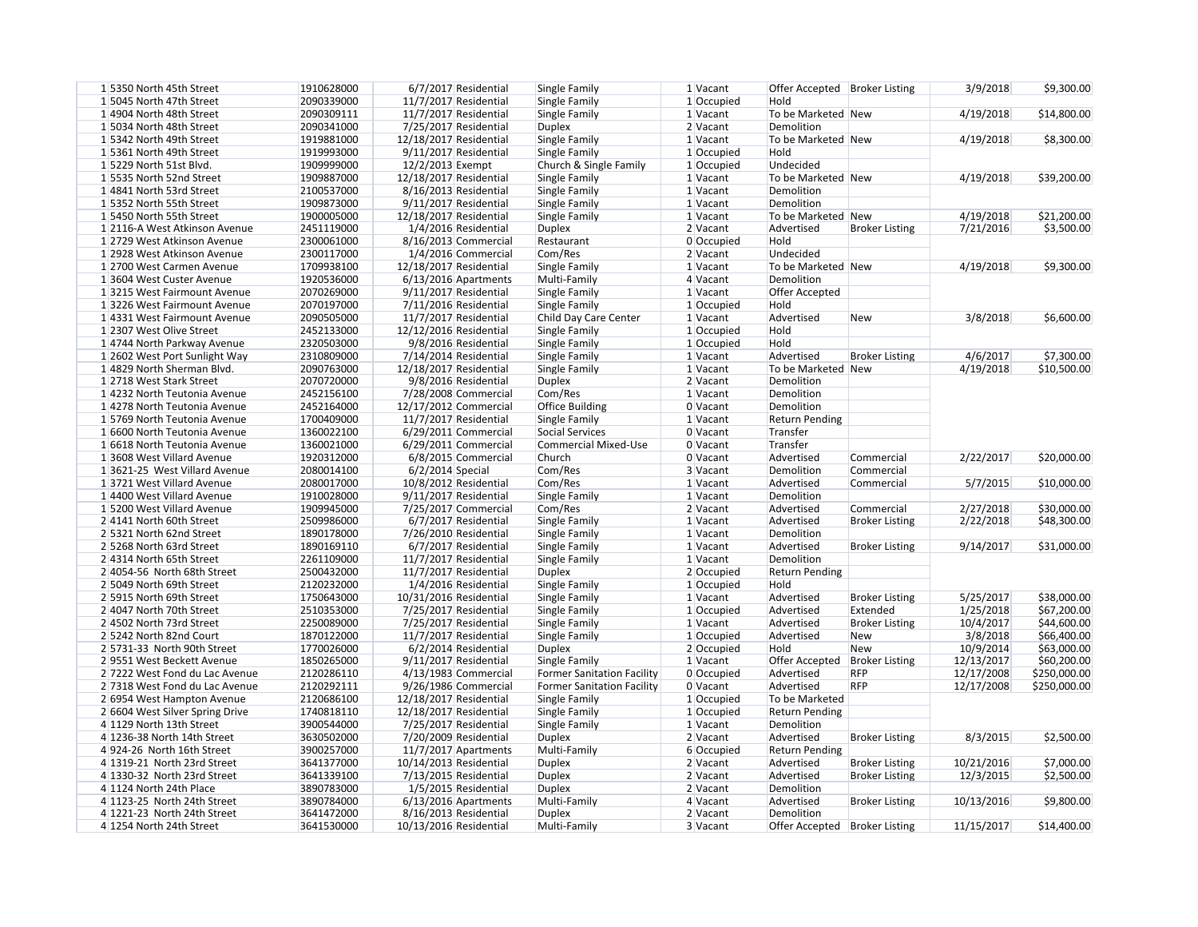| 3/9/2018  | \$9,300.00  |
|-----------|-------------|
|           |             |
| 4/19/2018 | \$14,800.00 |
|           |             |
| 4/19/2018 | \$8,300.00  |
|           |             |
| 4/19/2018 | \$39,200.00 |
|           |             |
| 4/19/2018 | \$21,200.00 |
| 7/21/2016 | \$3,500.00  |
|           |             |
| 4/19/2018 | \$9,300.00  |
|           |             |
| 3/8/2018  | \$6,600.00  |
|           |             |
| 4/6/2017  | \$7,300.00  |
| 4/19/2018 | \$10,500.00 |

| 15350 North 45th Street         | 1910628000 | 6/7/2017 Residential   | Single Family                     | 1 Vacant   | Offer Accepted   Broker Listing |                       | 3/9/2018   | \$9,300.00   |
|---------------------------------|------------|------------------------|-----------------------------------|------------|---------------------------------|-----------------------|------------|--------------|
| 15045 North 47th Street         | 2090339000 | 11/7/2017 Residential  | Single Family                     | 1 Occupied | Hold                            |                       |            |              |
| 14904 North 48th Street         | 2090309111 | 11/7/2017 Residential  | Single Family                     | 1 Vacant   | To be Marketed New              |                       | 4/19/2018  | \$14,800.00  |
| 15034 North 48th Street         | 2090341000 | 7/25/2017 Residential  | <b>Duplex</b>                     | 2 Vacant   | Demolition                      |                       |            |              |
| 15342 North 49th Street         | 1919881000 | 12/18/2017 Residential | Single Family                     | 1 Vacant   | To be Marketed New              |                       | 4/19/2018  | \$8,300.00   |
| 15361 North 49th Street         | 1919993000 | 9/11/2017 Residential  | Single Family                     | 1 Occupied | Hold                            |                       |            |              |
| 1 5229 North 51st Blvd.         | 1909999000 | 12/2/2013 Exempt       | Church & Single Family            | 1 Occupied | Undecided                       |                       |            |              |
| 15535 North 52nd Street         | 1909887000 | 12/18/2017 Residential | Single Family                     | 1 Vacant   | To be Marketed New              |                       | 4/19/2018  | \$39,200.00  |
| 14841 North 53rd Street         | 2100537000 | 8/16/2013 Residential  | Single Family                     | 1 Vacant   | Demolition                      |                       |            |              |
| 15352 North 55th Street         | 1909873000 | 9/11/2017 Residential  | Single Family                     | 1 Vacant   | Demolition                      |                       |            |              |
| 15450 North 55th Street         | 1900005000 | 12/18/2017 Residential | Single Family                     | 1 Vacant   | To be Marketed New              |                       | 4/19/2018  | \$21,200.00  |
| 1 2116-A West Atkinson Avenue   | 2451119000 | 1/4/2016 Residential   | <b>Duplex</b>                     | 2 Vacant   | Advertised                      | <b>Broker Listing</b> | 7/21/2016  | \$3,500.00   |
| 1 2729 West Atkinson Avenue     | 2300061000 | 8/16/2013 Commercial   | Restaurant                        | 0 Occupied | Hold                            |                       |            |              |
| 1 2928 West Atkinson Avenue     | 2300117000 | 1/4/2016 Commercial    | Com/Res                           | 2 Vacant   | Undecided                       |                       |            |              |
| 1 2700 West Carmen Avenue       | 1709938100 | 12/18/2017 Residential | Single Family                     | 1 Vacant   | To be Marketed New              |                       | 4/19/2018  | \$9,300.00   |
| 13604 West Custer Avenue        | 1920536000 | $6/13/2016$ Apartments | Multi-Family                      | 4 Vacant   | Demolition                      |                       |            |              |
| 13215 West Fairmount Avenue     | 2070269000 | 9/11/2017 Residential  | Single Family                     | 1 Vacant   | Offer Accepted                  |                       |            |              |
| 13226 West Fairmount Avenue     | 2070197000 | 7/11/2016 Residential  | Single Family                     | 1 Occupied | Hold                            |                       |            |              |
| 1 4331 West Fairmount Avenue    | 2090505000 | 11/7/2017 Residential  | Child Day Care Center             | 1 Vacant   | Advertised                      | <b>New</b>            | 3/8/2018   | \$6,600.00   |
| 1 2307 West Olive Street        | 2452133000 | 12/12/2016 Residential | Single Family                     | 1 Occupied | Hold                            |                       |            |              |
| 14744 North Parkway Avenue      | 2320503000 | 9/8/2016 Residential   | Single Family                     | 1 Occupied | Hold                            |                       |            |              |
| 1 2602 West Port Sunlight Way   | 2310809000 | 7/14/2014 Residential  | Single Family                     | 1 Vacant   | Advertised                      | <b>Broker Listing</b> | 4/6/2017   | \$7,300.00   |
| 1 4829 North Sherman Blvd.      | 2090763000 | 12/18/2017 Residential | Single Family                     | 1 Vacant   | To be Marketed New              |                       | 4/19/2018  | \$10,500.00  |
| 1 2718 West Stark Street        | 2070720000 | 9/8/2016 Residential   | <b>Duplex</b>                     | 2 Vacant   | Demolition                      |                       |            |              |
| 1 4232 North Teutonia Avenue    | 2452156100 | 7/28/2008 Commercial   | Com/Res                           | 1 Vacant   | Demolition                      |                       |            |              |
|                                 | 2452164000 |                        |                                   | 0 Vacant   | Demolition                      |                       |            |              |
| 1 4278 North Teutonia Avenue    |            | 12/17/2012 Commercial  | <b>Office Building</b>            |            |                                 |                       |            |              |
| 15769 North Teutonia Avenue     | 1700409000 | 11/7/2017 Residential  | Single Family                     | 1 Vacant   | <b>Return Pending</b>           |                       |            |              |
| 1 6600 North Teutonia Avenue    | 1360022100 | $6/29/2011$ Commercial | Social Services                   | 0 Vacant   | Transfer                        |                       |            |              |
| 1 6618 North Teutonia Avenue    | 1360021000 | 6/29/2011 Commercial   | <b>Commercial Mixed-Use</b>       | 0 Vacant   | Transfer                        |                       |            |              |
| 13608 West Villard Avenue       | 1920312000 | 6/8/2015 Commercial    | Church                            | 0 Vacant   | Advertised                      | Commercial            | 2/22/2017  | \$20,000.00  |
| 13621-25 West Villard Avenue    | 2080014100 | $6/2/2014$ Special     | Com/Res                           | 3 Vacant   | Demolition                      | Commercial            |            |              |
| 13721 West Villard Avenue       | 2080017000 | 10/8/2012 Residential  | Com/Res                           | 1 Vacant   | Advertised                      | Commercial            | 5/7/2015   | \$10,000.00  |
| 1 4400 West Villard Avenue      | 1910028000 | 9/11/2017 Residential  | Single Family                     | 1 Vacant   | Demolition                      |                       |            |              |
| 1 5200 West Villard Avenue      | 1909945000 | 7/25/2017 Commercial   | Com/Res                           | 2 Vacant   | Advertised                      | Commercial            | 2/27/2018  | \$30,000.00  |
| 24141 North 60th Street         | 2509986000 | 6/7/2017 Residential   | Single Family                     | 1 Vacant   | Advertised                      | <b>Broker Listing</b> | 2/22/2018  | \$48,300.00  |
| 2 5321 North 62nd Street        | 1890178000 | 7/26/2010 Residential  | Single Family                     | 1 Vacant   | Demolition                      |                       |            |              |
| 2 5268 North 63rd Street        | 1890169110 | 6/7/2017 Residential   | Single Family                     | 1 Vacant   | Advertised                      | <b>Broker Listing</b> | 9/14/2017  | \$31,000.00  |
| 2 4314 North 65th Street        | 2261109000 | 11/7/2017 Residential  | Single Family                     | 1 Vacant   | Demolition                      |                       |            |              |
| $2 4054-56$ North 68th Street   | 2500432000 | 11/7/2017 Residential  | Duplex                            | 2 Occupied | <b>Return Pending</b>           |                       |            |              |
| 2 5049 North 69th Street        | 2120232000 | 1/4/2016 Residential   | Single Family                     | 1 Occupied | Hold                            |                       |            |              |
| 2 5915 North 69th Street        | 1750643000 | 10/31/2016 Residential | Single Family                     | $1$ Vacant | Advertised                      | <b>Broker Listing</b> | 5/25/2017  | \$38,000.00  |
| 2 4047 North 70th Street        | 2510353000 | 7/25/2017 Residential  | Single Family                     | 1 Occupied | Advertised                      | Extended              | 1/25/2018  | \$67,200.00  |
| 24502 North 73rd Street         | 2250089000 | 7/25/2017 Residential  | Single Family                     | $1$ Vacant | Advertised                      | <b>Broker Listing</b> | 10/4/2017  | \$44,600.00  |
| 2 5242 North 82nd Court         | 1870122000 | 11/7/2017 Residential  | Single Family                     | 1 Occupied | Advertised                      | <b>New</b>            | 3/8/2018   | \$66,400.00  |
| $2 5731-33$ North 90th Street   | 1770026000 | 6/2/2014 Residential   | <b>Duplex</b>                     | 2 Occupied | Hold                            | <b>New</b>            | 10/9/2014  | \$63,000.00  |
| 29551 West Beckett Avenue       | 1850265000 | 9/11/2017 Residential  | Single Family                     | $1$ Vacant | Offer Accepted                  | <b>Broker Listing</b> | 12/13/2017 | \$60,200.00  |
| 2 7222 West Fond du Lac Avenue  | 2120286110 | $4/13/1983$ Commercial | <b>Former Sanitation Facility</b> | 0 Occupied | Advertised                      | <b>RFP</b>            | 12/17/2008 | \$250,000.00 |
| 2 7318 West Fond du Lac Avenue  | 2120292111 | 9/26/1986 Commercial   | <b>Former Sanitation Facility</b> | $0$ Vacant | Advertised                      | <b>RFP</b>            | 12/17/2008 | \$250,000.00 |
| 2 6954 West Hampton Avenue      | 2120686100 | 12/18/2017 Residential | Single Family                     | 1 Occupied | To be Marketed                  |                       |            |              |
| 2 6604 West Silver Spring Drive | 1740818110 | 12/18/2017 Residential | Single Family                     | 1 Occupied | <b>Return Pending</b>           |                       |            |              |
| 4 1129 North 13th Street        | 3900544000 | 7/25/2017 Residential  | Single Family                     | 1 Vacant   | Demolition                      |                       |            |              |
| 4 1236-38 North 14th Street     | 3630502000 | 7/20/2009 Residential  | <b>Duplex</b>                     | 2 Vacant   | Advertised                      | <b>Broker Listing</b> | 8/3/2015   | \$2,500.00   |
| 4924-26 North 16th Street       | 3900257000 | $11/7/2017$ Apartments | Multi-Family                      | 6 Occupied | <b>Return Pending</b>           |                       |            |              |
| 4 1319-21 North 23rd Street     | 3641377000 | 10/14/2013 Residential | <b>Duplex</b>                     | 2 Vacant   | Advertised                      | <b>Broker Listing</b> | 10/21/2016 | \$7,000.00   |
| 4 1330-32 North 23rd Street     | 3641339100 | 7/13/2015 Residential  | <b>Duplex</b>                     | 2 Vacant   | Advertised                      | <b>Broker Listing</b> | 12/3/2015  | \$2,500.00   |
| 4 1124 North 24th Place         | 3890783000 | 1/5/2015 Residential   | <b>Duplex</b>                     | 2 Vacant   | Demolition                      |                       |            |              |
| 4 1123-25 North 24th Street     | 3890784000 | $6/13/2016$ Apartments | Multi-Family                      | 4 Vacant   | Advertised                      | <b>Broker Listing</b> | 10/13/2016 | \$9,800.00   |
| 4 1221-23 North 24th Street     | 3641472000 | 8/16/2013 Residential  | <b>Duplex</b>                     | 2 Vacant   | Demolition                      |                       |            |              |
| 4 1254 North 24th Street        | 3641530000 | 10/13/2016 Residential | Multi-Family                      | 3 Vacant   | Offer Accepted   Broker Listing |                       | 11/15/2017 | \$14,400.00  |
|                                 |            |                        |                                   |            |                                 |                       |            |              |

| 2/22/2017 | \$20,000.00 |
|-----------|-------------|
|           |             |
| 5/7/2015  | \$10,000.00 |
| 2/27/2018 | \$30,000.00 |
| 2/22/2018 | \$48,300.00 |
|           |             |
| 9/14/2017 | \$31,000.00 |

| 5/25/2017  | \$38,000.00  |
|------------|--------------|
| 1/25/2018  | \$67,200.00  |
| 10/4/2017  | \$44,600.00  |
| 3/8/2018   | \$66,400.00  |
| 10/9/2014  | \$63,000.00  |
| 12/13/2017 | \$60,200.00  |
| 12/17/2008 | \$250,000.00 |
| 12/17/2008 | \$250,000.00 |
|            |              |

| 8/3/2015   | \$2,500.00  |
|------------|-------------|
| 10/21/2016 | \$7,000.00  |
| 12/3/2015  | \$2,500.00  |
| 10/13/2016 | \$9,800.00  |
| 11/15/2017 | \$14,400.00 |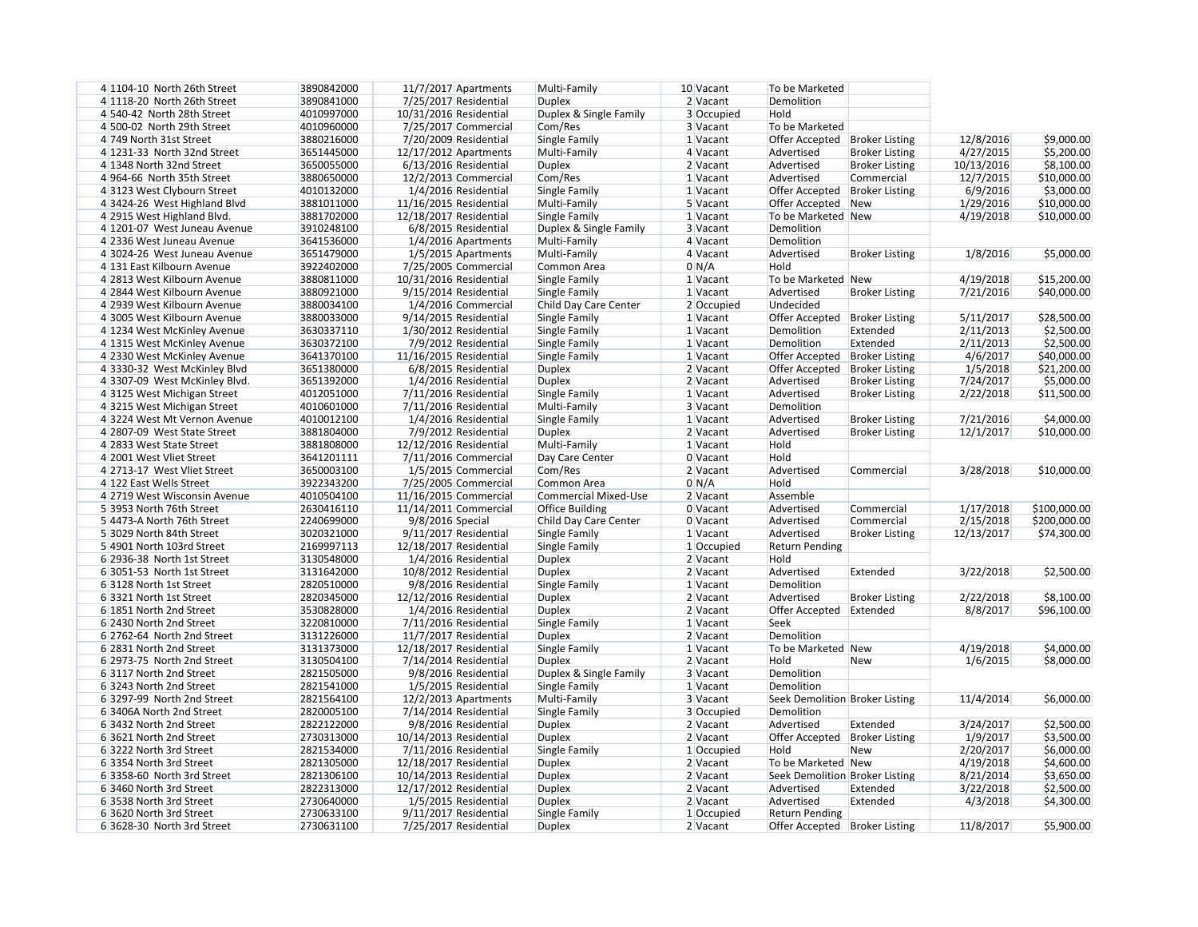| 4 1104-10 North 26th Street   | 3890842000 | $11/7/2017$ Apartments  | Multi-Family                | 10 Vacant  | To be Marketed                  |                       |            |              |
|-------------------------------|------------|-------------------------|-----------------------------|------------|---------------------------------|-----------------------|------------|--------------|
| 4 1118-20 North 26th Street   | 3890841000 | 7/25/2017 Residential   | <b>Duplex</b>               | $2$ Vacant | Demolition                      |                       |            |              |
| 4 540-42 North 28th Street    | 4010997000 | 10/31/2016 Residential  | Duplex & Single Family      | 3 Occupied | Hold                            |                       |            |              |
| 4 500-02 North 29th Street    | 4010960000 | 7/25/2017 Commercial    | Com/Res                     | 3 Vacant   | To be Marketed                  |                       |            |              |
| 4 749 North 31st Street       | 3880216000 | 7/20/2009 Residential   | Single Family               | 1 Vacant   | Offer Accepted   Broker Listing |                       | 12/8/2016  | \$9,000.00   |
| 4 1231-33 North 32nd Street   | 3651445000 | $12/17/2012$ Apartments | Multi-Family                | 4 Vacant   | Advertised                      | <b>Broker Listing</b> | 4/27/2015  | \$5,200.00   |
| 4 1348 North 32nd Street      | 3650055000 | $6/13/2016$ Residential | <b>Duplex</b>               | 2 Vacant   | Advertised                      | <b>Broker Listing</b> | 10/13/2016 | \$8,100.00   |
| 4964-66 North 35th Street     | 3880650000 | 12/2/2013 Commercial    | Com/Res                     | 1 Vacant   | Advertised                      | Commercial            | 12/7/2015  | \$10,000.00  |
| 43123 West Clybourn Street    | 4010132000 | 1/4/2016 Residential    | Single Family               | 1 Vacant   | Offer Accepted                  | <b>Broker Listing</b> | 6/9/2016   | \$3,000.00   |
| 4 3424-26 West Highland Blvd  | 3881011000 | 11/16/2015 Residential  | Multi-Family                | 5 Vacant   | Offer Accepted   New            |                       | 1/29/2016  | \$10,000.00  |
| 4 2915 West Highland Blvd.    | 3881702000 | 12/18/2017 Residential  | Single Family               | 1 Vacant   | To be Marketed New              |                       | 4/19/2018  | \$10,000.00  |
| 4 1201-07 West Juneau Avenue  | 3910248100 | 6/8/2015 Residential    | Duplex & Single Family      | 3 Vacant   | Demolition                      |                       |            |              |
| 4 2336 West Juneau Avenue     | 3641536000 | 1/4/2016 Apartments     | Multi-Family                | 4 Vacant   | Demolition                      |                       |            |              |
| 4 3024-26 West Juneau Avenue  | 3651479000 | $1/5/2015$ Apartments   | Multi-Family                | 4 Vacant   | Advertised                      | <b>Broker Listing</b> | 1/8/2016   | \$5,000.00   |
| 4 131 East Kilbourn Avenue    | 3922402000 | 7/25/2005 Commercial    | Common Area                 | 0 N/A      | Hold                            |                       |            |              |
| 4 2813 West Kilbourn Avenue   | 3880811000 | 10/31/2016 Residential  | Single Family               | 1 Vacant   | To be Marketed New              |                       | 4/19/2018  | \$15,200.00  |
|                               | 3880921000 |                         |                             |            |                                 |                       |            |              |
| 4 2844 West Kilbourn Avenue   |            | 9/15/2014 Residential   | Single Family               | 1 Vacant   | Advertised                      | <b>Broker Listing</b> | 7/21/2016  | \$40,000.00  |
| 4 2939 West Kilbourn Avenue   | 3880034100 | 1/4/2016 Commercial     | Child Day Care Center       | 2 Occupied | Undecided                       |                       |            |              |
| 4 3005 West Kilbourn Avenue   | 3880033000 | 9/14/2015 Residential   | Single Family               | 1 Vacant   | Offer Accepted                  | <b>Broker Listing</b> | 5/11/2017  | \$28,500.00  |
| 4 1234 West McKinley Avenue   | 3630337110 | $1/30/2012$ Residential | Single Family               | 1 Vacant   | Demolition                      | Extended              | 2/11/2013  | \$2,500.00   |
| 4 1315 West McKinley Avenue   | 3630372100 | 7/9/2012 Residential    | Single Family               | 1 Vacant   | Demolition                      | Extended              | 2/11/2013  | \$2,500.00   |
| 4 2330 West McKinley Avenue   | 3641370100 | 11/16/2015 Residential  | Single Family               | 1 Vacant   | Offer Accepted                  | <b>Broker Listing</b> | 4/6/2017   | \$40,000.00  |
| 4 3330-32 West McKinley Blvd  | 3651380000 | 6/8/2015 Residential    | <b>Duplex</b>               | 2 Vacant   | Offer Accepted                  | <b>Broker Listing</b> | 1/5/2018   | \$21,200.00  |
| 4 3307-09 West McKinley Blvd. | 3651392000 | 1/4/2016 Residential    | <b>Duplex</b>               | 2 Vacant   | Advertised                      | <b>Broker Listing</b> | 7/24/2017  | \$5,000.00   |
| 43125 West Michigan Street    | 4012051000 | 7/11/2016 Residential   | Single Family               | 1 Vacant   | Advertised                      | <b>Broker Listing</b> | 2/22/2018  | \$11,500.00  |
| 43215 West Michigan Street    | 4010601000 | 7/11/2016 Residential   | Multi-Family                | 3 Vacant   | Demolition                      |                       |            |              |
| 43224 West Mt Vernon Avenue   | 4010012100 | 1/4/2016 Residential    | Single Family               | 1 Vacant   | Advertised                      | <b>Broker Listing</b> | 7/21/2016  | \$4,000.00   |
| 4 2807-09 West State Street   | 3881804000 | 7/9/2012 Residential    | <b>Duplex</b>               | 2 Vacant   | Advertised                      | <b>Broker Listing</b> | 12/1/2017  | \$10,000.00  |
| 4 2833 West State Street      | 3881808000 | 12/12/2016 Residential  | Multi-Family                | 1 Vacant   | Hold                            |                       |            |              |
| 4 2001 West Vliet Street      | 3641201111 | 7/11/2016 Commercial    | Day Care Center             | 0 Vacant   | Hold                            |                       |            |              |
| 4 2713-17 West Vliet Street   | 3650003100 | 1/5/2015 Commercial     | Com/Res                     | 2 Vacant   | Advertised                      | Commercial            | 3/28/2018  | \$10,000.00  |
| 4 122 East Wells Street       | 3922343200 | 7/25/2005 Commercial    | Common Area                 | 0 N/A      | Hold                            |                       |            |              |
| 4 2719 West Wisconsin Avenue  | 4010504100 | 11/16/2015 Commercial   | <b>Commercial Mixed-Use</b> | 2 Vacant   | Assemble                        |                       |            |              |
| 5 3953 North 76th Street      | 2630416110 | 11/14/2011 Commercial   | <b>Office Building</b>      | 0 Vacant   | Advertised                      | Commercial            | 1/17/2018  | \$100,000.00 |
| 5 4473-A North 76th Street    | 2240699000 | 9/8/2016 Special        | Child Day Care Center       | 0 Vacant   | Advertised                      | Commercial            | 2/15/2018  | \$200,000.00 |
| 5 3029 North 84th Street      | 3020321000 | 9/11/2017 Residential   | Single Family               | 1 Vacant   | Advertised                      | <b>Broker Listing</b> | 12/13/2017 | \$74,300.00  |
| 5 4901 North 103rd Street     | 2169997113 | 12/18/2017 Residential  | Single Family               | 1 Occupied | <b>Return Pending</b>           |                       |            |              |
| 6 2936-38 North 1st Street    | 3130548000 | 1/4/2016 Residential    | Duplex                      | 2 Vacant   | Hold                            |                       |            |              |
|                               |            |                         |                             |            |                                 |                       |            |              |
| 6 3051-53 North 1st Street    | 3131642000 | 10/8/2012 Residential   | <b>Duplex</b>               | 2 Vacant   | Advertised                      | Extended              | 3/22/2018  | \$2,500.00   |
| 63128 North 1st Street        | 2820510000 | 9/8/2016 Residential    | Single Family               | 1 Vacant   | Demolition                      |                       |            |              |
| 6 3321 North 1st Street       | 2820345000 | 12/12/2016 Residential  | <b>Duplex</b>               | 2 Vacant   | Advertised                      | <b>Broker Listing</b> | 2/22/2018  | \$8,100.00   |
| 6 1851 North 2nd Street       | 3530828000 | 1/4/2016 Residential    | <b>Duplex</b>               | 2 Vacant   | Offer Accepted Extended         |                       | 8/8/2017   | \$96,100.00  |
| 6 2430 North 2nd Street       | 3220810000 | 7/11/2016 Residential   | Single Family               | 1 Vacant   | Seek                            |                       |            |              |
| 6 2762-64 North 2nd Street    | 3131226000 | 11/7/2017 Residential   | <b>Duplex</b>               | 2 Vacant   | Demolition                      |                       |            |              |
| 6 2831 North 2nd Street       | 3131373000 | 12/18/2017 Residential  | Single Family               | 1 Vacant   | To be Marketed New              |                       | 4/19/2018  | \$4,000.00   |
| 6 2973-75 North 2nd Street    | 3130504100 | 7/14/2014 Residential   | <b>Duplex</b>               | 2 Vacant   | Hold                            | <b>New</b>            | 1/6/2015   | \$8,000.00   |
| 63117 North 2nd Street        | 2821505000 | 9/8/2016 Residential    | Duplex & Single Family      | 3 Vacant   | Demolition                      |                       |            |              |
| 63243 North 2nd Street        | 2821541000 | 1/5/2015 Residential    | Single Family               | 1 Vacant   | Demolition                      |                       |            |              |
| 63297-99 North 2nd Street     | 2821564100 | $12/2/2013$ Apartments  | Multi-Family                | 3 Vacant   | Seek Demolition Broker Listing  |                       | 11/4/2014  | \$6,000.00   |
| 6 3406A North 2nd Street      | 2820005100 | 7/14/2014 Residential   | Single Family               | 3 Occupied | Demolition                      |                       |            |              |
| 6 3432 North 2nd Street       | 2822122000 | 9/8/2016 Residential    | <b>Duplex</b>               | 2 Vacant   | Advertised                      | Extended              | 3/24/2017  | \$2,500.00   |
| 6 3621 North 2nd Street       | 2730313000 | 10/14/2013 Residential  | <b>Duplex</b>               | 2 Vacant   | Offer Accepted                  | <b>Broker Listing</b> | 1/9/2017   | \$3,500.00   |
| 63222 North 3rd Street        | 2821534000 | 7/11/2016 Residential   | Single Family               | 1 Occupied | Hold                            | <b>New</b>            | 2/20/2017  | \$6,000.00   |
| 6 3354 North 3rd Street       | 2821305000 | 12/18/2017 Residential  | <b>Duplex</b>               | 2 Vacant   | To be Marketed New              |                       | 4/19/2018  | \$4,600.00   |
| 6 3358-60 North 3rd Street    | 2821306100 | 10/14/2013 Residential  | <b>Duplex</b>               | 2 Vacant   | Seek Demolition Broker Listing  |                       | 8/21/2014  | \$3,650.00   |
| 6 3460 North 3rd Street       | 2822313000 | 12/17/2012 Residential  | <b>Duplex</b>               | 2 Vacant   | Advertised                      | Extended              | 3/22/2018  | \$2,500.00   |
| 6 3538 North 3rd Street       | 2730640000 | 1/5/2015 Residential    | <b>Duplex</b>               | 2 Vacant   | Advertised                      | Extended              | 4/3/2018   | \$4,300.00   |
| 6 3620 North 3rd Street       | 2730633100 | 9/11/2017 Residential   | Single Family               | 1 Occupied | <b>Return Pending</b>           |                       |            |              |
| 6 3628-30 North 3rd Street    | 2730631100 | 7/25/2017 Residential   | <b>Duplex</b>               | 2 Vacant   | Offer Accepted   Broker Listing |                       | 11/8/2017  | \$5,900.00   |
|                               |            |                         |                             |            |                                 |                       |            |              |

| 12/8/2016  | \$9,000.00   |
|------------|--------------|
| 4/27/2015  | \$5,200.00   |
| 10/13/2016 | \$8,100.00   |
| 12/7/2015  | \$10,000.00  |
| 6/9/2016   | \$3,000.00   |
| 1/29/2016  | \$10,000.00  |
| 4/19/2018  | \$10,000.00  |
|            |              |
|            |              |
| 1/8/2016   | \$5,000.00   |
|            |              |
|            |              |
| 4/19/2018  | \$15,200.00  |
| 7/21/2016  | \$40,000.00  |
|            |              |
| 5/11/2017  | \$28,500.00  |
| 2/11/2013  | \$2,500.00   |
| 2/11/2013  | \$2,500.00   |
| 4/6/2017   | \$40,000.00  |
| 1/5/2018   | \$21,200.00  |
| 7/24/2017  | \$5,000.00   |
| 2/22/2018  | \$11,500.00  |
|            |              |
| 7/21/2016  | \$4,000.00   |
| 12/1/2017  | \$10,000.00  |
|            |              |
|            |              |
| 3/28/2018  | \$10,000.00  |
|            |              |
|            |              |
| 1/17/2018  | \$100,000.00 |
| 2/15/2018  | \$200,000.00 |
| 12/13/2017 | \$74,300.00  |
|            |              |
|            |              |
|            | \$2,500.00   |
| 3/22/2018  |              |
|            |              |
| 2/22/2018  | \$8,100.00   |
| 8/8/2017   | \$96,100.00  |
|            |              |
|            |              |
| 4/19/2018  | \$4,000.00   |
| 1/6/2015   | \$8,000.00   |
|            |              |
|            |              |
| 11/4/2014  | \$6,000.00   |
|            |              |
| 3/24/2017  | \$2,500.00   |
| 1/9/2017   | \$3,500.00   |
| 2/20/2017  | \$6,000.00   |
| 4/19/2018  | \$4,600.00   |
| 8/21/2014  | \$3,650.00   |
| 3/22/2018  | \$2,500.00   |
| 4/3/2018   | \$4,300.00   |
|            |              |
|            |              |
| 11/8/2017  | \$5,900.00   |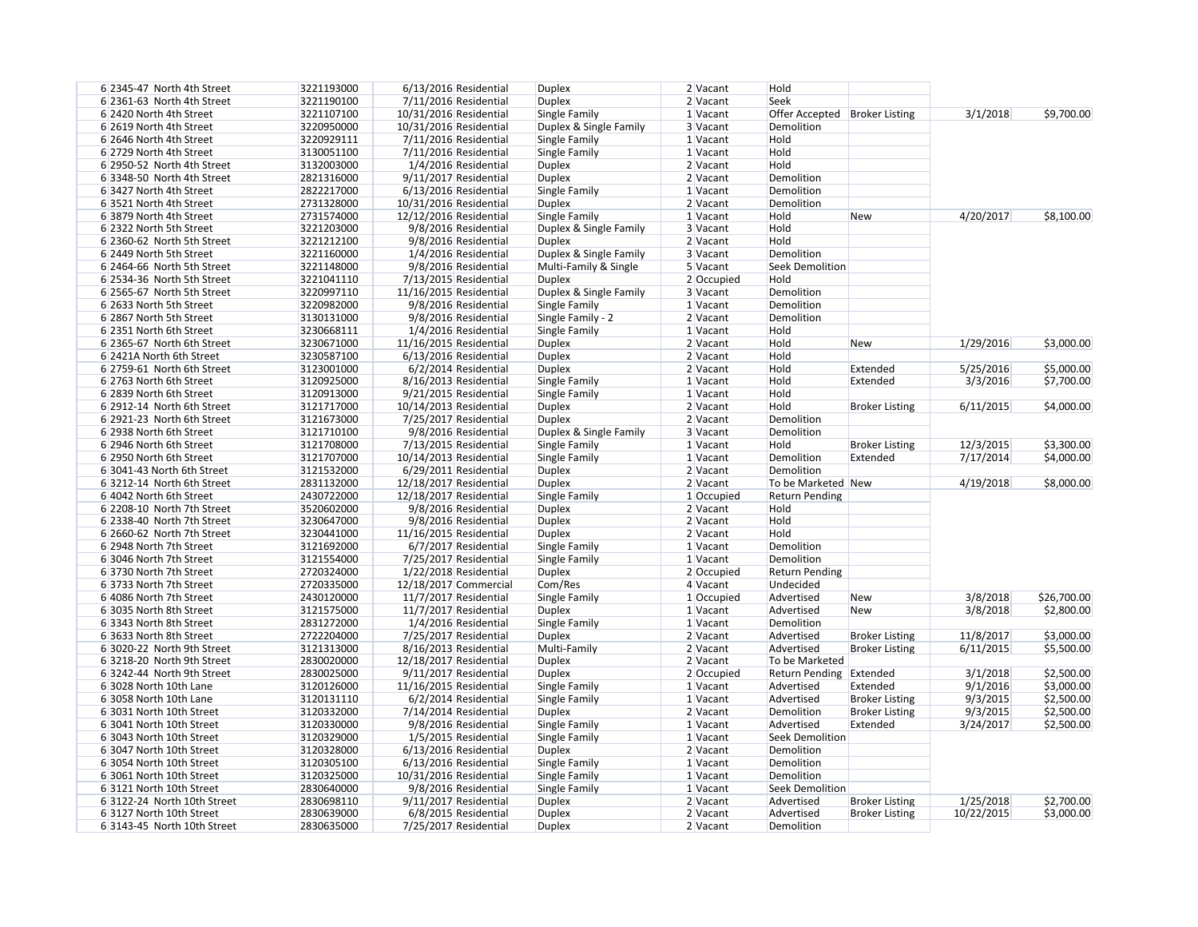| 6 2345-47 North 4th Street   | 3221193000 | 6/13/2016 Residential   | <b>Duplex</b>          | 2 Vacant   | Hold                            |                       |            |             |
|------------------------------|------------|-------------------------|------------------------|------------|---------------------------------|-----------------------|------------|-------------|
| $6$ 2361-63 North 4th Street | 3221190100 | 7/11/2016 Residential   | <b>Duplex</b>          | 2 Vacant   | Seek                            |                       |            |             |
| 6 2420 North 4th Street      | 3221107100 | 10/31/2016 Residential  | Single Family          | $1$ Vacant | Offer Accepted   Broker Listing |                       | 3/1/2018   | \$9,700.00  |
| 6 2619 North 4th Street      | 3220950000 | 10/31/2016 Residential  | Duplex & Single Family | 3 Vacant   | Demolition                      |                       |            |             |
| 6 2646 North 4th Street      | 3220929111 | 7/11/2016 Residential   | Single Family          | $1$ Vacant | Hold                            |                       |            |             |
| 6 2729 North 4th Street      | 3130051100 | $7/11/2016$ Residential | Single Family          | 1 Vacant   | Hold                            |                       |            |             |
| 6 2950-52 North 4th Street   | 3132003000 | 1/4/2016 Residential    | <b>Duplex</b>          | $2$ Vacant | Hold                            |                       |            |             |
| 6 3348-50 North 4th Street   | 2821316000 | 9/11/2017 Residential   | <b>Duplex</b>          | $2$ Vacant | Demolition                      |                       |            |             |
| 63427 North 4th Street       | 2822217000 | 6/13/2016 Residential   | Single Family          | $1$ Vacant | Demolition                      |                       |            |             |
| 6 3521 North 4th Street      | 2731328000 | 10/31/2016 Residential  | <b>Duplex</b>          | 2 Vacant   | Demolition                      |                       |            |             |
| 63879 North 4th Street       | 2731574000 | 12/12/2016 Residential  | Single Family          | $1$ Vacant | Hold                            | <b>New</b>            | 4/20/2017  | \$8,100.00  |
| 6 2322 North 5th Street      | 3221203000 | 9/8/2016 Residential    | Duplex & Single Family | 3 Vacant   | Hold                            |                       |            |             |
| 6 2360-62 North 5th Street   | 3221212100 | 9/8/2016 Residential    | <b>Duplex</b>          | 2 Vacant   | Hold                            |                       |            |             |
| 6 2449 North 5th Street      | 3221160000 | 1/4/2016 Residential    | Duplex & Single Family | 3 Vacant   | Demolition                      |                       |            |             |
| 6 2464-66 North 5th Street   | 3221148000 | 9/8/2016 Residential    | Multi-Family & Single  | 5 Vacant   | <b>Seek Demolition</b>          |                       |            |             |
| 6 2534-36 North 5th Street   | 3221041110 | $7/13/2015$ Residential | <b>Duplex</b>          | 2 Occupied | Hold                            |                       |            |             |
| 6 2565-67 North 5th Street   | 3220997110 | 11/16/2015 Residential  | Duplex & Single Family | 3 Vacant   | Demolition                      |                       |            |             |
| 6 2633 North 5th Street      | 3220982000 | 9/8/2016 Residential    | Single Family          | $1$ Vacant | Demolition                      |                       |            |             |
| 6 2867 North 5th Street      | 3130131000 | 9/8/2016 Residential    | Single Family - 2      | 2 Vacant   | Demolition                      |                       |            |             |
| 6 2351 North 6th Street      | 3230668111 | 1/4/2016 Residential    | Single Family          | 1 Vacant   | Hold                            |                       |            |             |
| 6 2365-67 North 6th Street   | 3230671000 |                         |                        | 2 Vacant   | Hold                            |                       |            |             |
|                              |            | 11/16/2015 Residential  | <b>Duplex</b>          |            |                                 | <b>New</b>            | 1/29/2016  | \$3,000.00  |
| 6 2421A North 6th Street     | 3230587100 | $6/13/2016$ Residential | <b>Duplex</b>          | 2 Vacant   | Hold                            |                       |            |             |
| 6 2759-61 North 6th Street   | 3123001000 | 6/2/2014 Residential    | <b>Duplex</b>          | 2 Vacant   | Hold                            | Extended              | 5/25/2016  | \$5,000.00  |
| 6 2763 North 6th Street      | 3120925000 | 8/16/2013 Residential   | Single Family          | 1 Vacant   | Hold                            | Extended              | 3/3/2016   | \$7,700.00  |
| 6 2839 North 6th Street      | 3120913000 | $9/21/2015$ Residential | Single Family          | 1 Vacant   | Hold                            |                       |            |             |
| 6 2912-14 North 6th Street   | 3121717000 | 10/14/2013 Residential  | <b>Duplex</b>          | 2 Vacant   | Hold                            | <b>Broker Listing</b> | 6/11/2015  | \$4,000.00  |
| 6 2921-23 North 6th Street   | 3121673000 | 7/25/2017 Residential   | <b>Duplex</b>          | 2 Vacant   | Demolition                      |                       |            |             |
| 6 2938 North 6th Street      | 3121710100 | 9/8/2016 Residential    | Duplex & Single Family | 3 Vacant   | Demolition                      |                       |            |             |
| 6 2946 North 6th Street      | 3121708000 | $7/13/2015$ Residential | Single Family          | $1$ Vacant | Hold                            | <b>Broker Listing</b> | 12/3/2015  | \$3,300.00  |
| 6 2950 North 6th Street      | 3121707000 | 10/14/2013 Residential  | Single Family          | 1 Vacant   | Demolition                      | Extended              | 7/17/2014  | \$4,000.00  |
| 6 3041-43 North 6th Street   | 3121532000 | $6/29/2011$ Residential | <b>Duplex</b>          | 2 Vacant   | Demolition                      |                       |            |             |
| 63212-14 North 6th Street    | 2831132000 | 12/18/2017 Residential  | <b>Duplex</b>          | 2 Vacant   | To be Marketed New              |                       | 4/19/2018  | \$8,000.00  |
| 6 4042 North 6th Street      | 2430722000 | 12/18/2017 Residential  | Single Family          | 1 Occupied | <b>Return Pending</b>           |                       |            |             |
| 6 2208-10 North 7th Street   | 3520602000 | 9/8/2016 Residential    | <b>Duplex</b>          | 2 Vacant   | Hold                            |                       |            |             |
| 6 2338-40 North 7th Street   | 3230647000 | 9/8/2016 Residential    | <b>Duplex</b>          | 2 Vacant   | Hold                            |                       |            |             |
| 6 2660-62 North 7th Street   | 3230441000 | 11/16/2015 Residential  | <b>Duplex</b>          | $2$ Vacant | Hold                            |                       |            |             |
| 6 2948 North 7th Street      | 3121692000 | 6/7/2017 Residential    | Single Family          | 1 Vacant   | Demolition                      |                       |            |             |
| 6 3046 North 7th Street      | 3121554000 | 7/25/2017 Residential   | Single Family          | 1 Vacant   | Demolition                      |                       |            |             |
| 63730 North 7th Street       | 2720324000 | 1/22/2018 Residential   | <b>Duplex</b>          | 2 Occupied | <b>Return Pending</b>           |                       |            |             |
| 63733 North 7th Street       | 2720335000 | 12/18/2017 Commercial   | Com/Res                | 4 Vacant   | Undecided                       |                       |            |             |
| 6 4086 North 7th Street      | 2430120000 | 11/7/2017 Residential   | Single Family          | 1 Occupied | Advertised                      | <b>New</b>            | 3/8/2018   | \$26,700.00 |
| 6 3035 North 8th Street      | 3121575000 | 11/7/2017 Residential   | <b>Duplex</b>          | 1 Vacant   | Advertised                      | <b>New</b>            | 3/8/2018   | \$2,800.00  |
| 63343 North 8th Street       | 2831272000 | 1/4/2016 Residential    | Single Family          | $1$ Vacant | Demolition                      |                       |            |             |
| 6 3633 North 8th Street      | 2722204000 | 7/25/2017 Residential   | <b>Duplex</b>          | $2$ Vacant | Advertised                      | <b>Broker Listing</b> | 11/8/2017  | \$3,000.00  |
| 6 3020-22 North 9th Street   | 3121313000 | 8/16/2013 Residential   | Multi-Family           | $2$ Vacant | Advertised                      | <b>Broker Listing</b> | 6/11/2015  | \$5,500.00  |
| 63218-20 North 9th Street    | 2830020000 | 12/18/2017 Residential  | <b>Duplex</b>          | 2 Vacant   | To be Marketed                  |                       |            |             |
| 63242-44 North 9th Street    | 2830025000 | $9/11/2017$ Residential | <b>Duplex</b>          | 2 Occupied | Return Pending Extended         |                       | 3/1/2018   | \$2,500.00  |
| 6 3028 North 10th Lane       | 3120126000 | 11/16/2015 Residential  | Single Family          | 1 Vacant   | Advertised                      | Extended              | 9/1/2016   | \$3,000.00  |
| 6 3058 North 10th Lane       | 3120131110 | 6/2/2014 Residential    | Single Family          | $1$ Vacant | Advertised                      | <b>Broker Listing</b> | 9/3/2015   | \$2,500.00  |
| 6 3031 North 10th Street     | 3120332000 | $7/14/2014$ Residential | <b>Duplex</b>          | $2$ Vacant | Demolition                      | <b>Broker Listing</b> | 9/3/2015   | \$2,500.00  |
| 6 3041 North 10th Street     | 3120330000 | 9/8/2016 Residential    | Single Family          | $1$ Vacant | Advertised                      | Extended              | 3/24/2017  | \$2,500.00  |
| 6 3043 North 10th Street     | 3120329000 | 1/5/2015 Residential    | Single Family          | $1$ Vacant | Seek Demolition                 |                       |            |             |
| 6 3047 North 10th Street     | 3120328000 | $6/13/2016$ Residential | <b>Duplex</b>          | $2$ Vacant | Demolition                      |                       |            |             |
| 6 3054 North 10th Street     | 3120305100 | $6/13/2016$ Residential | Single Family          | $1$ Vacant | Demolition                      |                       |            |             |
| 6 3061 North 10th Street     | 3120325000 | 10/31/2016 Residential  | Single Family          | $1$ Vacant | Demolition                      |                       |            |             |
| 63121 North 10th Street      | 2830640000 | 9/8/2016 Residential    | Single Family          | $1$ Vacant | Seek Demolition                 |                       |            |             |
| 6 3122-24 North 10th Street  | 2830698110 | 9/11/2017 Residential   | <b>Duplex</b>          | $2$ Vacant | Advertised                      | <b>Broker Listing</b> | 1/25/2018  | \$2,700.00  |
| 63127 North 10th Street      | 2830639000 | 6/8/2015 Residential    | <b>Duplex</b>          | $2$ Vacant | Advertised                      | <b>Broker Listing</b> | 10/22/2015 | \$3,000.00  |
| 6 3143-45 North 10th Street  | 2830635000 | 7/25/2017 Residential   | <b>Duplex</b>          | $2$ Vacant | Demolition                      |                       |            |             |
|                              |            |                         |                        |            |                                 |                       |            |             |

$$
4/20/2017
$$
 \$8,100.00

| 1/29/2016             | \$3,000.00               |
|-----------------------|--------------------------|
| 5/25/2016<br>3/3/2016 | \$5,000.00<br>\$7,700.00 |
| 6/11/2015             | \$4,000.00               |
| 12/3/2015             | \$3,300.00               |
| 7/17/2014             | \$4,000.00               |
| 4/19/2018             | \$8,000.00               |

| 3/8/2018  | \$26,700.00 |
|-----------|-------------|
| 3/8/2018  | \$2,800.00  |
|           |             |
| 11/8/2017 | \$3,000.00  |
| 6/11/2015 | \$5,500.00  |
|           |             |
| 3/1/2018  | \$2,500.00  |
| 9/1/2016  | \$3,000.00  |
| 9/3/2015  | \$2,500.00  |
| 9/3/2015  | \$2,500.00  |
| 3/24/2017 | \$2,500.00  |
|           |             |

| 1/25/2018  | \$2,700.00 |
|------------|------------|
| 10/22/2015 | \$3,000.00 |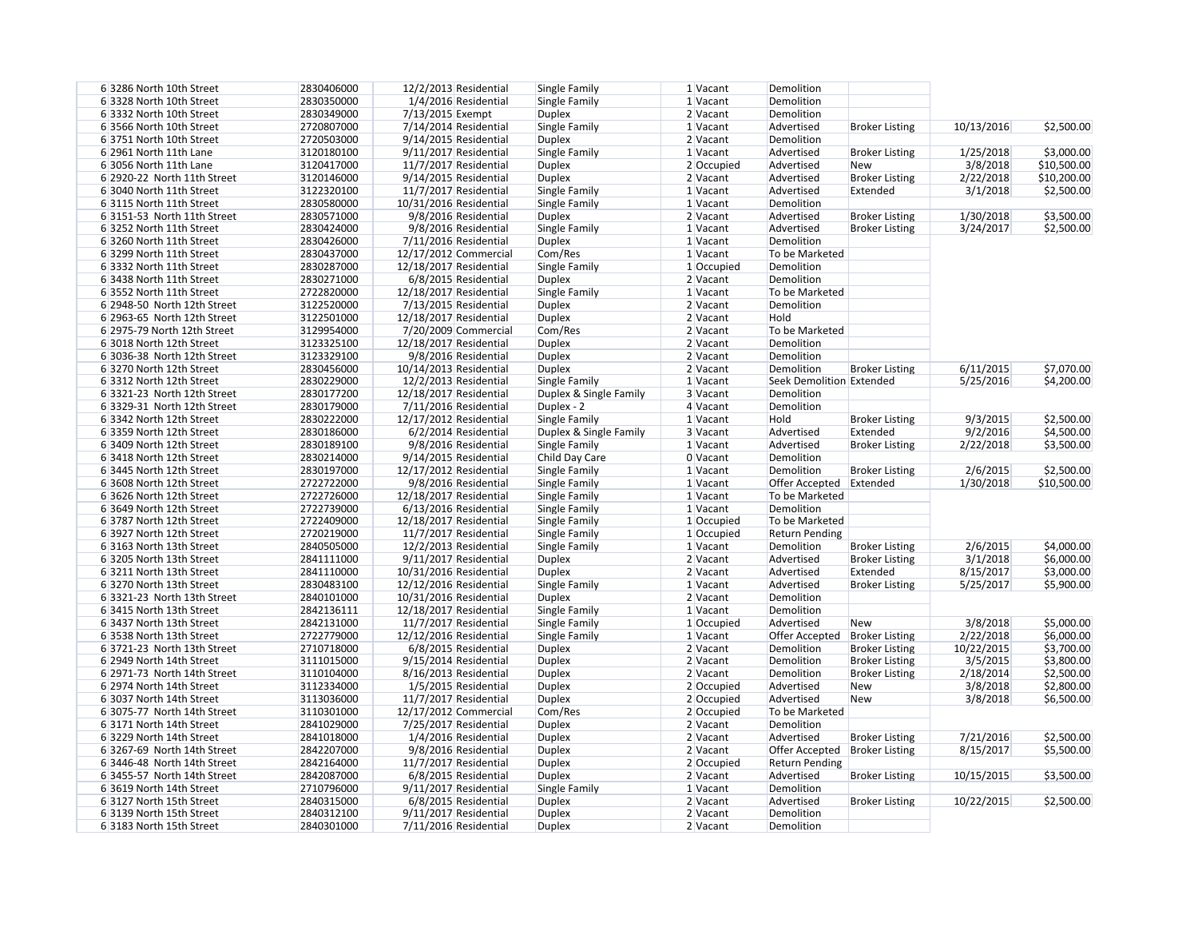| 63286 North 10th Street     | 2830406000 | 12/2/2013 Residential                            | Single Family          | 1 Vacant   | Demolition               |                       |            |             |
|-----------------------------|------------|--------------------------------------------------|------------------------|------------|--------------------------|-----------------------|------------|-------------|
| 63328 North 10th Street     | 2830350000 | 1/4/2016 Residential                             | Single Family          | 1 Vacant   | Demolition               |                       |            |             |
| 6 3332 North 10th Street    | 2830349000 | 7/13/2015 Exempt                                 | <b>Duplex</b>          | 2 Vacant   | Demolition               |                       |            |             |
| 6 3566 North 10th Street    | 2720807000 | $7/14/2014$ Residential                          | Single Family          | $1$ Vacant | Advertised               | <b>Broker Listing</b> | 10/13/2016 | \$2,500.00  |
| 6 3751 North 10th Street    | 2720503000 | $9/14/2015$ Residential                          | <b>Duplex</b>          | 2 Vacant   | Demolition               |                       |            |             |
| 6 2961 North 11th Lane      | 3120180100 | 9/11/2017 Residential                            | Single Family          | 1 Vacant   | Advertised               | <b>Broker Listing</b> | 1/25/2018  | \$3,000.00  |
| 6 3056 North 11th Lane      | 3120417000 | 11/7/2017 Residential                            | <b>Duplex</b>          | 2 Occupied | Advertised               | New                   | 3/8/2018   | \$10,500.00 |
| 6 2920-22 North 11th Street | 3120146000 | 9/14/2015 Residential                            | <b>Duplex</b>          | 2 Vacant   | Advertised               | <b>Broker Listing</b> | 2/22/2018  | \$10,200.00 |
| 6 3040 North 11th Street    | 3122320100 | 11/7/2017 Residential                            | Single Family          | $1$ Vacant | Advertised               | Extended              | 3/1/2018   | \$2,500.00  |
| 6 3115 North 11th Street    | 2830580000 | 10/31/2016 Residential                           | Single Family          | $1$ Vacant | Demolition               |                       |            |             |
| 63151-53 North 11th Street  | 2830571000 | 9/8/2016 Residential                             | <b>Duplex</b>          | $2$ Vacant | Advertised               | <b>Broker Listing</b> | 1/30/2018  | \$3,500.00  |
| 6 3252 North 11th Street    | 2830424000 | 9/8/2016 Residential                             | Single Family          | $1$ Vacant | Advertised               | <b>Broker Listing</b> | 3/24/2017  | \$2,500.00  |
| 6 3260 North 11th Street    | 2830426000 | $7/11/2016$ Residential                          | <b>Duplex</b>          | $1$ Vacant | Demolition               |                       |            |             |
| 63299 North 11th Street     | 2830437000 | 12/17/2012 Commercial                            | Com/Res                | 1 Vacant   | To be Marketed           |                       |            |             |
| 63332 North 11th Street     | 2830287000 | 12/18/2017 Residential                           | Single Family          | 1 Occupied | Demolition               |                       |            |             |
| 6 3438 North 11th Street    | 2830271000 | 6/8/2015 Residential                             | <b>Duplex</b>          | 2 Vacant   | Demolition               |                       |            |             |
| 6 3552 North 11th Street    | 2722820000 | 12/18/2017 Residential                           | Single Family          | $1$ Vacant | To be Marketed           |                       |            |             |
| 6 2948-50 North 12th Street | 3122520000 | $7/13/2015$ Residential                          | <b>Duplex</b>          | $2$ Vacant | Demolition               |                       |            |             |
| 6 2963-65 North 12th Street | 3122501000 | 12/18/2017 Residential                           | <b>Duplex</b>          | $2$ Vacant | Hold                     |                       |            |             |
| 6 2975-79 North 12th Street | 3129954000 | 7/20/2009 Commercial                             | Com/Res                | 2 Vacant   | To be Marketed           |                       |            |             |
| 6 3018 North 12th Street    | 3123325100 | 12/18/2017 Residential                           | <b>Duplex</b>          | 2 Vacant   | Demolition               |                       |            |             |
| 6 3036-38 North 12th Street | 3123329100 | 9/8/2016 Residential                             | <b>Duplex</b>          | 2 Vacant   | Demolition               |                       |            |             |
| 6 3270 North 12th Street    | 2830456000 | 10/14/2013 Residential                           | <b>Duplex</b>          | 2 Vacant   | Demolition               | <b>Broker Listing</b> | 6/11/2015  | \$7,070.00  |
| 6 3312 North 12th Street    | 2830229000 | 12/2/2013 Residential                            | Single Family          | 1 Vacant   | Seek Demolition Extended |                       | 5/25/2016  | \$4,200.00  |
| 6 3321-23 North 12th Street | 2830177200 | 12/18/2017 Residential                           | Duplex & Single Family | 3 Vacant   | Demolition               |                       |            |             |
| 6 3329-31 North 12th Street | 2830179000 | $7/11/2016$ Residential                          | Duplex - 2             | 4 Vacant   | Demolition               |                       |            |             |
| 6 3342 North 12th Street    | 2830222000 | 12/17/2012 Residential                           | Single Family          | 1 Vacant   | Hold                     | <b>Broker Listing</b> | 9/3/2015   | \$2,500.00  |
| 6 3359 North 12th Street    | 2830186000 | 6/2/2014 Residential                             | Duplex & Single Family | 3 Vacant   | Advertised               | Extended              | 9/2/2016   | \$4,500.00  |
| 6 3409 North 12th Street    | 2830189100 | 9/8/2016 Residential                             | Single Family          | 1 Vacant   | Advertised               | <b>Broker Listing</b> | 2/22/2018  | \$3,500.00  |
| 6 3418 North 12th Street    | 2830214000 | 9/14/2015 Residential                            | Child Day Care         | 0 Vacant   | Demolition               |                       |            |             |
| 6 3445 North 12th Street    | 2830197000 | 12/17/2012 Residential                           | Single Family          | 1 Vacant   | Demolition               | <b>Broker Listing</b> | 2/6/2015   | \$2,500.00  |
| 6 3608 North 12th Street    | 2722722000 | 9/8/2016 Residential                             | Single Family          | 1 Vacant   | Offer Accepted Extended  |                       | 1/30/2018  | \$10,500.00 |
| 6 3626 North 12th Street    | 2722726000 | 12/18/2017 Residential                           | Single Family          | 1 Vacant   | To be Marketed           |                       |            |             |
| 6 3649 North 12th Street    | 2722739000 | $6/13/2016$ Residential                          | Single Family          | 1 Vacant   | Demolition               |                       |            |             |
| 6 3787 North 12th Street    | 2722409000 | 12/18/2017 Residential                           | Single Family          | 1 Occupied | To be Marketed           |                       |            |             |
| 6 3927 North 12th Street    | 2720219000 | 11/7/2017 Residential                            | Single Family          | 1 Occupied | <b>Return Pending</b>    |                       |            |             |
| 63163 North 13th Street     | 2840505000 | 12/2/2013 Residential                            | Single Family          | 1 Vacant   | Demolition               | <b>Broker Listing</b> | 2/6/2015   | \$4,000.00  |
| 6 3205 North 13th Street    | 2841111000 | 9/11/2017 Residential                            | <b>Duplex</b>          | $2$ Vacant | Advertised               | <b>Broker Listing</b> | 3/1/2018   | \$6,000.00  |
| 63211 North 13th Street     | 2841110000 | 10/31/2016 Residential                           | <b>Duplex</b>          | $2$ Vacant | Advertised               | Extended              | 8/15/2017  | \$3,000.00  |
| 63270 North 13th Street     | 2830483100 | 12/12/2016 Residential                           | Single Family          | $1$ Vacant | Advertised               | <b>Broker Listing</b> | 5/25/2017  |             |
| 6 3321-23 North 13th Street | 2840101000 |                                                  | <b>Duplex</b>          |            | Demolition               |                       |            | \$5,900.00  |
|                             | 2842136111 | 10/31/2016 Residential<br>12/18/2017 Residential |                        | 2 Vacant   |                          |                       |            |             |
| 6 3415 North 13th Street    |            |                                                  | Single Family          | 1 Vacant   | Demolition               |                       |            |             |
| 6 3437 North 13th Street    | 2842131000 | 11/7/2017 Residential                            | Single Family          | 1 Occupied | Advertised               | <b>New</b>            | 3/8/2018   | \$5,000.00  |
| 6 3538 North 13th Street    | 2722779000 | 12/12/2016 Residential                           | Single Family          | 1 Vacant   | Offer Accepted           | <b>Broker Listing</b> | 2/22/2018  | \$6,000.00  |
| 6 3721-23 North 13th Street | 2710718000 | 6/8/2015 Residential                             | <b>Duplex</b>          | 2 Vacant   | Demolition               | <b>Broker Listing</b> | 10/22/2015 | \$3,700.00  |
| 6 2949 North 14th Street    | 3111015000 | 9/15/2014 Residential                            | <b>Duplex</b>          | $2$ Vacant | Demolition               | <b>Broker Listing</b> | 3/5/2015   | \$3,800.00  |
| 6 2971-73 North 14th Street | 3110104000 | 8/16/2013 Residential                            | <b>Duplex</b>          | 2 Vacant   | Demolition               | <b>Broker Listing</b> | 2/18/2014  | \$2,500.00  |
| 6 2974 North 14th Street    | 3112334000 | 1/5/2015 Residential                             | <b>Duplex</b>          | 2 Occupied | Advertised               | New                   | 3/8/2018   | \$2,800.00  |
| 6 3037 North 14th Street    | 3113036000 | 11/7/2017 Residential                            | <b>Duplex</b>          | 2 Occupied | Advertised               | New                   | 3/8/2018   | \$6,500.00  |
| 6 3075-77 North 14th Street | 3110301000 | 12/17/2012 Commercial                            | Com/Res                | 2 Occupied | To be Marketed           |                       |            |             |
| 6 3171 North 14th Street    | 2841029000 | 7/25/2017 Residential                            | <b>Duplex</b>          | 2 Vacant   | Demolition               |                       |            |             |
| 6 3229 North 14th Street    | 2841018000 | 1/4/2016 Residential                             | <b>Duplex</b>          | 2 Vacant   | Advertised               | <b>Broker Listing</b> | 7/21/2016  | \$2,500.00  |
| 6 3267-69 North 14th Street | 2842207000 | 9/8/2016 Residential                             | <b>Duplex</b>          | 2 Vacant   | Offer Accepted           | <b>Broker Listing</b> | 8/15/2017  | \$5,500.00  |
| 6 3446-48 North 14th Street | 2842164000 | 11/7/2017 Residential                            | <b>Duplex</b>          | 2 Occupied | <b>Return Pending</b>    |                       |            |             |
| 6 3455-57 North 14th Street | 2842087000 | 6/8/2015 Residential                             | <b>Duplex</b>          | 2 Vacant   | Advertised               | <b>Broker Listing</b> | 10/15/2015 | \$3,500.00  |
| 6 3619 North 14th Street    | 2710796000 | 9/11/2017 Residential                            | Single Family          | 1 Vacant   | Demolition               |                       |            |             |
| 63127 North 15th Street     | 2840315000 | 6/8/2015 Residential                             | <b>Duplex</b>          | $2$ Vacant | Advertised               | <b>Broker Listing</b> | 10/22/2015 | \$2,500.00  |
| 6 3139 North 15th Street    | 2840312100 | 9/11/2017 Residential                            | <b>Duplex</b>          | 2 Vacant   | Demolition               |                       |            |             |
| 6 3183 North 15th Street    | 2840301000 | $7/11/2016$ Residential                          | <b>Duplex</b>          | $2$ Vacant | Demolition               |                       |            |             |

| 1/25/2018 | \$3,000.00  |
|-----------|-------------|
| 3/8/2018  | \$10,500.00 |
| 2/22/2018 | \$10,200.00 |
| 3/1/2018  | \$2,500.00  |
|           |             |
| 1/30/2018 | \$3,500.00  |
| 3/24/2017 | \$2,500.00  |

| 6/11/2015  | \$7,070.00  |
|------------|-------------|
| 5/25/2016  | \$4,200.00  |
|            |             |
|            |             |
| 9/3/2015   | \$2,500.00  |
| 9/2/2016   | \$4,500.00  |
| 2/22/2018  | \$3,500.00  |
|            |             |
| 2/6/2015   | \$2,500.00  |
| 1/30/2018  | \$10,500.00 |
|            |             |
|            |             |
|            |             |
| 2/6/2015   | \$4,000.00  |
| 3/1/2018   | \$6,000.00  |
| 8/15/2017  | \$3,000.00  |
| 5/25/2017  | \$5,900.00  |
|            |             |
|            |             |
| 3/8/2018   | \$5,000.00  |
| 2/22/2018  | \$6,000.00  |
| 10/22/2015 | \$3,700.00  |
| 3/5/2015   | \$3,800.00  |
| 2/18/2014  | \$2,500.00  |
| 3/8/2018   | \$2,800.00  |
| 3/8/2018   | \$6,500.00  |
|            |             |
|            |             |
| 7/21/2016  | \$2,500.00  |
| 8/15/2017  | \$5,500.00  |
|            |             |
| 10/15/2015 | \$3,500.00  |
|            |             |
| 10/22/2015 | \$2,500.00  |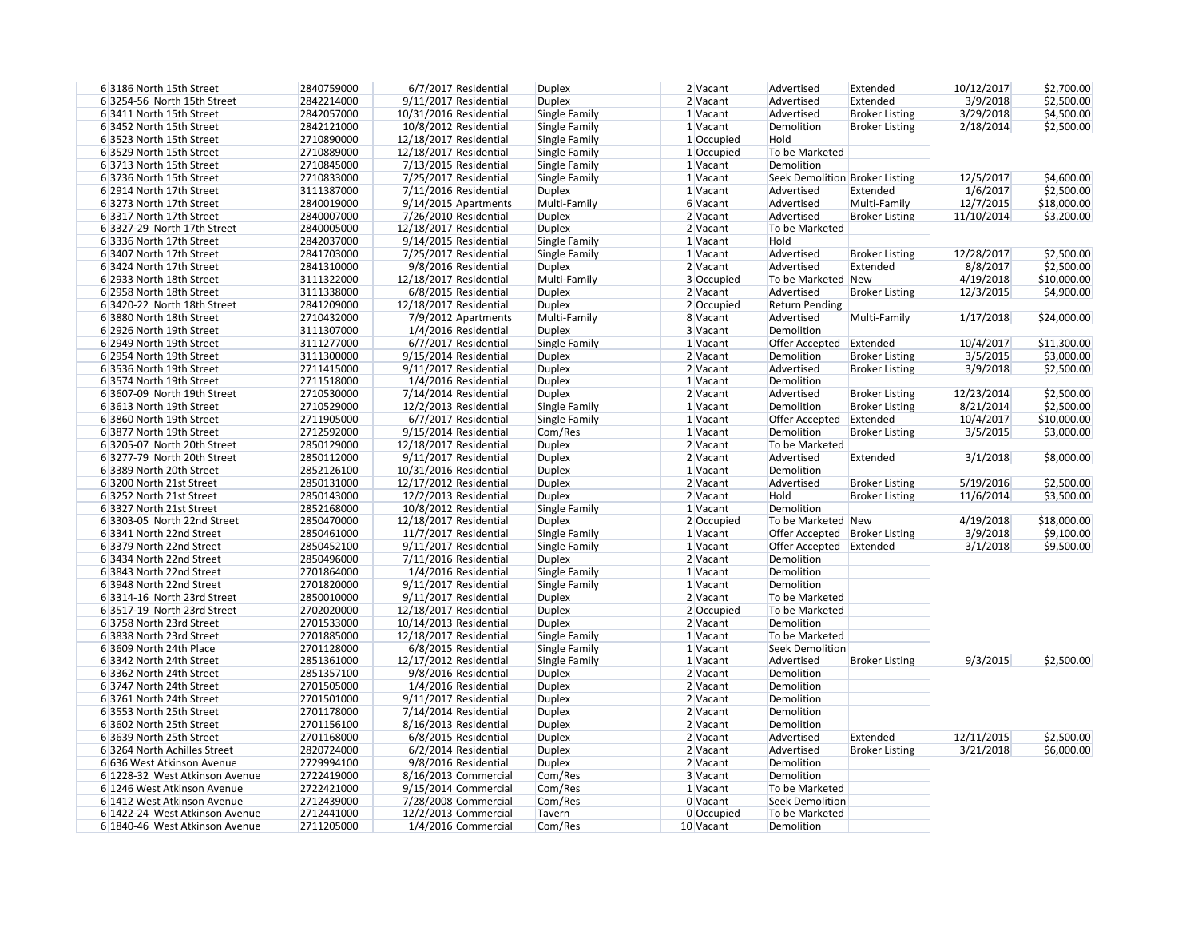| 63186 North 15th Street        | 2840759000 | 6/7/2017 Residential    | <b>Duplex</b>        | 2 Vacant   | Advertised                      | Extended              | 10/12/2017 | \$2,700.00  |
|--------------------------------|------------|-------------------------|----------------------|------------|---------------------------------|-----------------------|------------|-------------|
| 63254-56 North 15th Street     | 2842214000 | 9/11/2017 Residential   | <b>Duplex</b>        | 2 Vacant   | Advertised                      | Extended              | 3/9/2018   | \$2,500.00  |
| 6 3411 North 15th Street       | 2842057000 | 10/31/2016 Residential  | Single Family        | 1 Vacant   | Advertised                      | <b>Broker Listing</b> | 3/29/2018  | \$4,500.00  |
| 63452 North 15th Street        | 2842121000 | 10/8/2012 Residential   | Single Family        | 1 Vacant   | Demolition                      | <b>Broker Listing</b> | 2/18/2014  | \$2,500.00  |
| 6 3523 North 15th Street       | 2710890000 | 12/18/2017 Residential  | Single Family        | 1 Occupied | Hold                            |                       |            |             |
| 6 3529 North 15th Street       | 2710889000 | 12/18/2017 Residential  | Single Family        | 1 Occupied | To be Marketed                  |                       |            |             |
| 63713 North 15th Street        | 2710845000 | $7/13/2015$ Residential | Single Family        | 1 Vacant   | Demolition                      |                       |            |             |
| 63736 North 15th Street        | 2710833000 | 7/25/2017 Residential   | Single Family        | $1$ Vacant | Seek Demolition Broker Listing  |                       | 12/5/2017  | \$4,600.00  |
| 6 2914 North 17th Street       | 3111387000 | $7/11/2016$ Residential | <b>Duplex</b>        | $1$ Vacant | Advertised                      | Extended              | 1/6/2017   | \$2,500.00  |
| 63273 North 17th Street        | 2840019000 | 9/14/2015 Apartments    | Multi-Family         | 6 Vacant   | Advertised                      | Multi-Family          | 12/7/2015  | \$18,000.00 |
| 63317 North 17th Street        | 2840007000 | 7/26/2010 Residential   | <b>Duplex</b>        | $2$ Vacant | Advertised                      | <b>Broker Listing</b> | 11/10/2014 | \$3,200.00  |
| 6 3327-29 North 17th Street    | 2840005000 | 12/18/2017 Residential  | <b>Duplex</b>        | $2$ Vacant | To be Marketed                  |                       |            |             |
| 6 3336 North 17th Street       | 2842037000 | 9/14/2015 Residential   | Single Family        | 1 Vacant   | Hold                            |                       |            |             |
| 6 3407 North 17th Street       | 2841703000 | 7/25/2017 Residential   | Single Family        | $1$ Vacant | Advertised                      | <b>Broker Listing</b> | 12/28/2017 | \$2,500.00  |
| 63424 North 17th Street        | 2841310000 | 9/8/2016 Residential    | <b>Duplex</b>        | 2 Vacant   | Advertised                      | Extended              | 8/8/2017   | \$2,500.00  |
| 6 2933 North 18th Street       | 3111322000 | 12/18/2017 Residential  | Multi-Family         | 3 Occupied | To be Marketed New              |                       | 4/19/2018  | \$10,000.00 |
| 6 2958 North 18th Street       | 3111338000 | 6/8/2015 Residential    | <b>Duplex</b>        | 2 Vacant   | Advertised                      | <b>Broker Listing</b> | 12/3/2015  | \$4,900.00  |
| 6 3420-22 North 18th Street    | 2841209000 | 12/18/2017 Residential  |                      | 2 Occupied |                                 |                       |            |             |
|                                |            |                         | <b>Duplex</b>        |            | <b>Return Pending</b>           |                       |            |             |
| 6 3880 North 18th Street       | 2710432000 | 7/9/2012 Apartments     | Multi-Family         | 8 Vacant   | Advertised                      | Multi-Family          | 1/17/2018  | \$24,000.00 |
| 6 2926 North 19th Street       | 3111307000 | 1/4/2016 Residential    | <b>Duplex</b>        | 3 Vacant   | Demolition                      |                       |            |             |
| 6 2949 North 19th Street       | 3111277000 | 6/7/2017 Residential    | <b>Single Family</b> | $1$ Vacant | Offer Accepted Extended         |                       | 10/4/2017  | \$11,300.00 |
| 6 2954 North 19th Street       | 3111300000 | 9/15/2014 Residential   | <b>Duplex</b>        | $2$ Vacant | Demolition                      | <b>Broker Listing</b> | 3/5/2015   | \$3,000.00  |
| 6 3536 North 19th Street       | 2711415000 | 9/11/2017 Residential   | <b>Duplex</b>        | $2$ Vacant | Advertised                      | <b>Broker Listing</b> | 3/9/2018   | \$2,500.00  |
| 6 3574 North 19th Street       | 2711518000 | 1/4/2016 Residential    | <b>Duplex</b>        | $1$ Vacant | Demolition                      |                       |            |             |
| 6 3607-09 North 19th Street    | 2710530000 | 7/14/2014 Residential   | <b>Duplex</b>        | $2$ Vacant | Advertised                      | <b>Broker Listing</b> | 12/23/2014 | \$2,500.00  |
| 6 3613 North 19th Street       | 2710529000 | 12/2/2013 Residential   | Single Family        | $1$ Vacant | Demolition                      | <b>Broker Listing</b> | 8/21/2014  | \$2,500.00  |
| 6 3860 North 19th Street       | 2711905000 | 6/7/2017 Residential    | Single Family        | $1$ Vacant | Offer Accepted Extended         |                       | 10/4/2017  | \$10,000.00 |
| 6 3877 North 19th Street       | 2712592000 | 9/15/2014 Residential   | Com/Res              | $1$ Vacant | Demolition                      | <b>Broker Listing</b> | 3/5/2015   | \$3,000.00  |
| 6 3205-07 North 20th Street    | 2850129000 | 12/18/2017 Residential  | <b>Duplex</b>        | 2 Vacant   | To be Marketed                  |                       |            |             |
| 6 3277-79 North 20th Street    | 2850112000 | 9/11/2017 Residential   | <b>Duplex</b>        | 2 Vacant   | Advertised                      | Extended              | 3/1/2018   | \$8,000.00  |
| 6 3389 North 20th Street       | 2852126100 | 10/31/2016 Residential  | <b>Duplex</b>        | $1$ Vacant | Demolition                      |                       |            |             |
| 63200 North 21st Street        | 2850131000 | 12/17/2012 Residential  | <b>Duplex</b>        | $2$ Vacant | Advertised                      | <b>Broker Listing</b> | 5/19/2016  | \$2,500.00  |
| 63252 North 21st Street        | 2850143000 | 12/2/2013 Residential   | <b>Duplex</b>        | $2$ Vacant | Hold                            | <b>Broker Listing</b> | 11/6/2014  | \$3,500.00  |
| 63327 North 21st Street        | 2852168000 | 10/8/2012 Residential   | Single Family        | 1 Vacant   | Demolition                      |                       |            |             |
| 6 3303-05 North 22nd Street    | 2850470000 | 12/18/2017 Residential  | <b>Duplex</b>        | 2 Occupied | To be Marketed New              |                       | 4/19/2018  | \$18,000.00 |
| 63341 North 22nd Street        | 2850461000 | 11/7/2017 Residential   | Single Family        | 1 Vacant   | Offer Accepted   Broker Listing |                       | 3/9/2018   | \$9,100.00  |
| 6 3379 North 22nd Street       | 2850452100 | $9/11/2017$ Residential | Single Family        | $1$ Vacant | Offer Accepted   Extended       |                       | 3/1/2018   | \$9,500.00  |
| 6 3434 North 22nd Street       | 2850496000 | 7/11/2016 Residential   | Duplex               | 2 Vacant   | Demolition                      |                       |            |             |
| 6 3843 North 22nd Street       | 2701864000 | 1/4/2016 Residential    | Single Family        | 1 Vacant   | Demolition                      |                       |            |             |
| 6 3948 North 22nd Street       | 2701820000 | $9/11/2017$ Residential | Single Family        | $1$ Vacant | Demolition                      |                       |            |             |
| 6 3314-16 North 23rd Street    | 2850010000 | $9/11/2017$ Residential | <b>Duplex</b>        | $2$ Vacant | To be Marketed                  |                       |            |             |
| 6 3517-19 North 23rd Street    | 2702020000 | 12/18/2017 Residential  | <b>Duplex</b>        | 2 Occupied | To be Marketed                  |                       |            |             |
| 63758 North 23rd Street        | 2701533000 | 10/14/2013 Residential  | <b>Duplex</b>        | $2$ Vacant | Demolition                      |                       |            |             |
| 6 3838 North 23rd Street       | 2701885000 | 12/18/2017 Residential  | Single Family        | $1$ Vacant | To be Marketed                  |                       |            |             |
| 6 3609 North 24th Place        | 2701128000 | 6/8/2015 Residential    | Single Family        | $1$ Vacant | Seek Demolition                 |                       |            |             |
| 6 3342 North 24th Street       | 2851361000 | 12/17/2012 Residential  | Single Family        | $1$ Vacant | Advertised                      | <b>Broker Listing</b> | 9/3/2015   | \$2,500.00  |
| 6 3362 North 24th Street       | 2851357100 | 9/8/2016 Residential    | <b>Duplex</b>        | $2$ Vacant | Demolition                      |                       |            |             |
| 63747 North 24th Street        | 2701505000 | 1/4/2016 Residential    | <b>Duplex</b>        | $2$ Vacant | Demolition                      |                       |            |             |
| 63761 North 24th Street        | 2701501000 |                         |                      |            |                                 |                       |            |             |
|                                |            | 9/11/2017 Residential   | <b>Duplex</b>        | $2$ Vacant | Demolition                      |                       |            |             |
| 6 3553 North 25th Street       | 2701178000 | 7/14/2014 Residential   | <b>Duplex</b>        | $2$ Vacant | Demolition                      |                       |            |             |
| 6 3602 North 25th Street       | 2701156100 | 8/16/2013 Residential   | <b>Duplex</b>        | $2$ Vacant | Demolition                      |                       |            |             |
| 6 3639 North 25th Street       | 2701168000 | 6/8/2015 Residential    | <b>Duplex</b>        | $2$ Vacant | Advertised                      | Extended              | 12/11/2015 | \$2,500.00  |
| 63264 North Achilles Street    | 2820724000 | $6/2/2014$ Residential  | <b>Duplex</b>        | $2$ Vacant | Advertised                      | <b>Broker Listing</b> | 3/21/2018  | \$6,000.00  |
| 6 636 West Atkinson Avenue     | 2729994100 | 9/8/2016 Residential    | <b>Duplex</b>        | $2$ Vacant | Demolition                      |                       |            |             |
| 6 1228-32 West Atkinson Avenue | 2722419000 | 8/16/2013 Commercial    | Com/Res              | 3 Vacant   | Demolition                      |                       |            |             |
| 6 1246 West Atkinson Avenue    | 2722421000 | 9/15/2014 Commercial    | Com/Res              | $1$ Vacant | To be Marketed                  |                       |            |             |
| 6 1412 West Atkinson Avenue    | 2712439000 | 7/28/2008 Commercial    | Com/Res              | 0 Vacant   | Seek Demolition                 |                       |            |             |
| 6 1422-24 West Atkinson Avenue | 2712441000 | 12/2/2013 Commercial    | Tavern               | 0 Occupied | To be Marketed                  |                       |            |             |
| 6 1840-46 West Atkinson Avenue | 2711205000 | 1/4/2016 Commercial     | Com/Res              | 10 Vacant  | Demolition                      |                       |            |             |

| 10/12/2017 | \$2,700.00  |
|------------|-------------|
| 3/9/2018   | \$2,500.00  |
| 3/29/2018  | \$4,500.00  |
| 2/18/2014  | \$2,500.00  |
|            |             |
| 12/5/2017  | \$4,600.00  |
| 1/6/2017   | \$2,500.00  |
| 12/7/2015  | \$18,000.00 |
| 11/10/2014 | \$3,200.00  |
|            |             |
| 12/28/2017 | \$2,500.00  |
| 8/8/2017   | \$2,500.00  |
| 4/19/2018  | \$10,000.00 |
| 12/3/2015  | \$4,900.00  |
|            |             |
| 1/17/2018  | \$24,000.00 |
| 10/4/2017  | \$11,300.00 |
| 3/5/2015   | \$3,000.00  |
| 3/9/2018   | \$2,500.00  |
|            |             |
| 12/23/2014 | \$2,500.00  |
| 8/21/2014  | \$2,500.00  |
| 10/4/2017  | \$10,000.00 |
| 3/5/2015   | \$3,000.00  |
| 3/1/2018   | \$8,000.00  |
|            |             |
| 5/19/2016  | \$2,500.00  |
| 11/6/2014  | \$3,500.00  |
| 4/19/2018  | \$18,000.00 |
| 3/9/2018   | \$9,100.00  |
| 3/1/2018   | \$9.500.00  |

| 12/11/2015 | \$2,500.00 |
|------------|------------|
| 3/21/2018  | \$6,000.00 |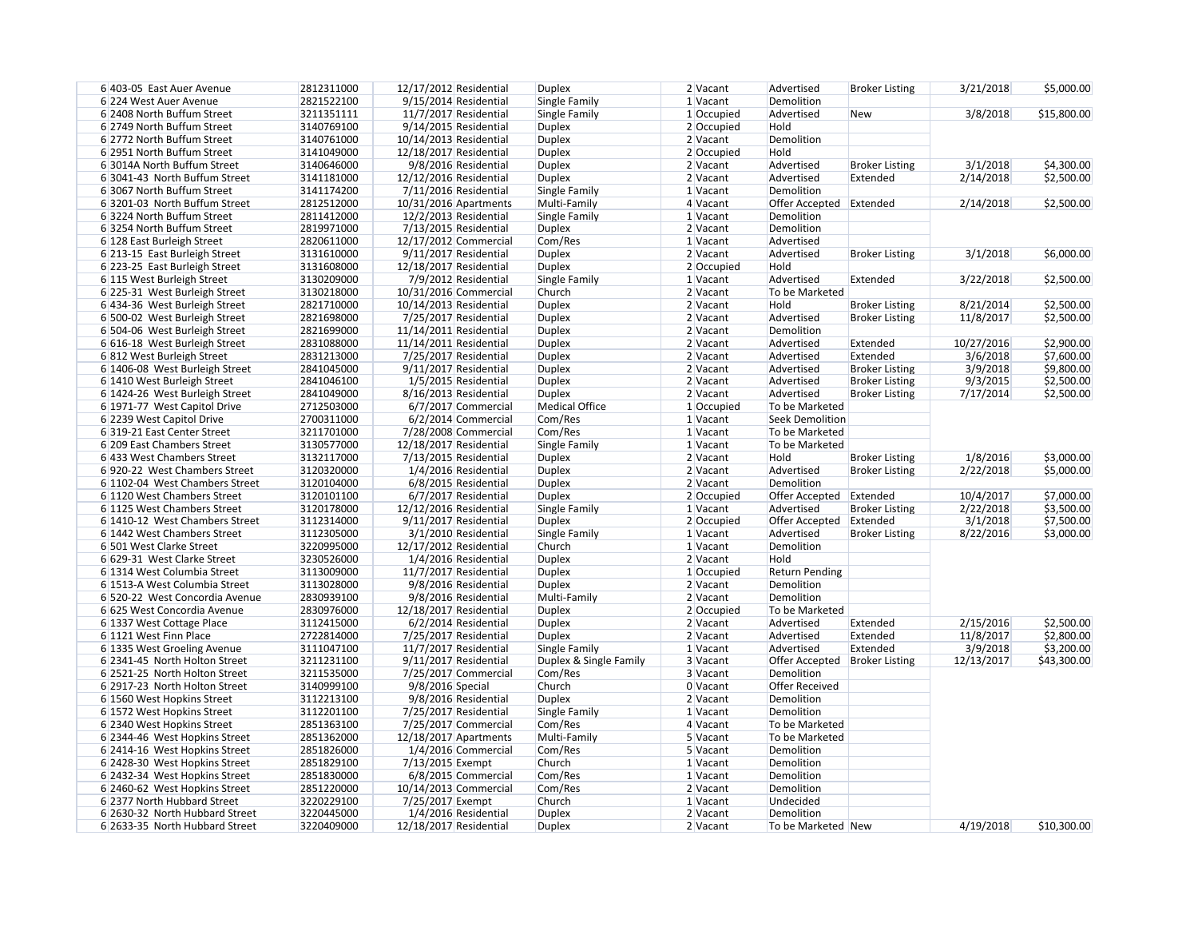| 6 403-05 East Auer Avenue      | 2812311000 | 12/17/2012 Residential  | <b>Duplex</b>          | 2 Vacant     | Advertised              | <b>Broker Listing</b> | 3/21/2018  | \$5,000.00  |
|--------------------------------|------------|-------------------------|------------------------|--------------|-------------------------|-----------------------|------------|-------------|
| 6 224 West Auer Avenue         | 2821522100 | 9/15/2014 Residential   | Single Family          | 1 Vacant     | Demolition              |                       |            |             |
| 6 2408 North Buffum Street     | 3211351111 | 11/7/2017 Residential   | Single Family          | 1 Occupied   | Advertised              | <b>New</b>            | 3/8/2018   | \$15,800.00 |
| 6 2749 North Buffum Street     | 3140769100 | 9/14/2015 Residential   | <b>Duplex</b>          | $2$ Occupied | Hold                    |                       |            |             |
| 6 2772 North Buffum Street     | 3140761000 | 10/14/2013 Residential  | <b>Duplex</b>          | $2$ Vacant   | Demolition              |                       |            |             |
| 6 2951 North Buffum Street     | 3141049000 | 12/18/2017 Residential  | <b>Duplex</b>          | 2 Occupied   | Hold                    |                       |            |             |
| 6 3014A North Buffum Street    | 3140646000 | 9/8/2016 Residential    | <b>Duplex</b>          | 2 Vacant     | Advertised              | <b>Broker Listing</b> | 3/1/2018   | \$4,300.00  |
| 6 3041-43 North Buffum Street  | 3141181000 | 12/12/2016 Residential  | <b>Duplex</b>          | 2 Vacant     | Advertised              | Extended              | 2/14/2018  | \$2,500.00  |
| 6 3067 North Buffum Street     | 3141174200 | $7/11/2016$ Residential | Single Family          | 1 Vacant     | Demolition              |                       |            |             |
| 63201-03 North Buffum Street   | 2812512000 | 10/31/2016 Apartments   | Multi-Family           | 4 Vacant     | Offer Accepted Extended |                       | 2/14/2018  | \$2,500.00  |
| 63224 North Buffum Street      | 2811412000 | 12/2/2013 Residential   | Single Family          | 1 Vacant     | Demolition              |                       |            |             |
| 63254 North Buffum Street      | 2819971000 | 7/13/2015 Residential   | <b>Duplex</b>          | 2 Vacant     | Demolition              |                       |            |             |
| 6 128 East Burleigh Street     | 2820611000 | 12/17/2012 Commercial   | Com/Res                | 1 Vacant     | Advertised              |                       |            |             |
| 6 213-15 East Burleigh Street  | 3131610000 | 9/11/2017 Residential   | <b>Duplex</b>          | 2 Vacant     | Advertised              | <b>Broker Listing</b> | 3/1/2018   | \$6,000.00  |
| 6 223-25 East Burleigh Street  | 3131608000 | 12/18/2017 Residential  | <b>Duplex</b>          | 2 Occupied   | Hold                    |                       |            |             |
| 6 115 West Burleigh Street     | 3130209000 | 7/9/2012 Residential    | Single Family          | 1 Vacant     | Advertised              | Extended              | 3/22/2018  | \$2,500.00  |
| 6 225-31 West Burleigh Street  | 3130218000 | 10/31/2016 Commercial   | Church                 | 2 Vacant     | To be Marketed          |                       |            |             |
| 6 434-36 West Burleigh Street  | 2821710000 | 10/14/2013 Residential  | <b>Duplex</b>          | 2 Vacant     | Hold                    | <b>Broker Listing</b> | 8/21/2014  | \$2,500.00  |
| 6 500-02 West Burleigh Street  | 2821698000 | 7/25/2017 Residential   | <b>Duplex</b>          | 2 Vacant     | Advertised              | <b>Broker Listing</b> | 11/8/2017  | \$2,500.00  |
| 6 504-06 West Burleigh Street  | 2821699000 | 11/14/2011 Residential  | <b>Duplex</b>          | 2 Vacant     | Demolition              |                       |            |             |
|                                | 2831088000 | 11/14/2011 Residential  |                        | 2 Vacant     | Advertised              | Extended              |            |             |
| 6 616-18 West Burleigh Street  |            |                         | <b>Duplex</b>          |              |                         |                       | 10/27/2016 | \$2,900.00  |
| 6812 West Burleigh Street      | 2831213000 | 7/25/2017 Residential   | <b>Duplex</b>          | 2 Vacant     | Advertised              | Extended              | 3/6/2018   | \$7,600.00  |
| 6 1406-08 West Burleigh Street | 2841045000 | 9/11/2017 Residential   | <b>Duplex</b>          | 2 Vacant     | Advertised              | <b>Broker Listing</b> | 3/9/2018   | \$9,800.00  |
| 6 1410 West Burleigh Street    | 2841046100 | 1/5/2015 Residential    | <b>Duplex</b>          | 2 Vacant     | Advertised              | <b>Broker Listing</b> | 9/3/2015   | \$2,500.00  |
| 6 1424-26 West Burleigh Street | 2841049000 | 8/16/2013 Residential   | <b>Duplex</b>          | 2 Vacant     | Advertised              | <b>Broker Listing</b> | 7/17/2014  | \$2,500.00  |
| 6 1971-77 West Capitol Drive   | 2712503000 | 6/7/2017 Commercial     | <b>Medical Office</b>  | 1 Occupied   | To be Marketed          |                       |            |             |
| 6 2239 West Capitol Drive      | 2700311000 | 6/2/2014 Commercial     | Com/Res                | 1 Vacant     | <b>Seek Demolition</b>  |                       |            |             |
| 6319-21 East Center Street     | 3211701000 | 7/28/2008 Commercial    | Com/Res                | 1 Vacant     | To be Marketed          |                       |            |             |
| 6 209 East Chambers Street     | 3130577000 | 12/18/2017 Residential  | Single Family          | 1 Vacant     | To be Marketed          |                       |            |             |
| 6 433 West Chambers Street     | 3132117000 | $7/13/2015$ Residential | <b>Duplex</b>          | 2 Vacant     | Hold                    | <b>Broker Listing</b> | 1/8/2016   | \$3,000.00  |
| 6920-22 West Chambers Street   | 3120320000 | 1/4/2016 Residential    | <b>Duplex</b>          | 2 Vacant     | Advertised              | <b>Broker Listing</b> | 2/22/2018  | \$5,000.00  |
| 6 1102-04 West Chambers Street | 3120104000 | 6/8/2015 Residential    | <b>Duplex</b>          | 2 Vacant     | Demolition              |                       |            |             |
| 6 1120 West Chambers Street    | 3120101100 | 6/7/2017 Residential    | <b>Duplex</b>          | 2 Occupied   | Offer Accepted Extended |                       | 10/4/2017  | \$7,000.00  |
| 6 1125 West Chambers Street    | 3120178000 | 12/12/2016 Residential  | Single Family          | $1$ Vacant   | Advertised              | <b>Broker Listing</b> | 2/22/2018  | \$3,500.00  |
| 6 1410-12 West Chambers Street | 3112314000 | 9/11/2017 Residential   | <b>Duplex</b>          | 2 Occupied   | Offer Accepted          | Extended              | 3/1/2018   | \$7,500.00  |
| 6 1442 West Chambers Street    | 3112305000 | 3/1/2010 Residential    | Single Family          | 1 Vacant     | Advertised              | <b>Broker Listing</b> | 8/22/2016  | \$3,000.00  |
| 6 501 West Clarke Street       | 3220995000 | 12/17/2012 Residential  | Church                 | $1$ Vacant   | Demolition              |                       |            |             |
| 6 629-31 West Clarke Street    | 3230526000 | 1/4/2016 Residential    | <b>Duplex</b>          | $2$ Vacant   | Hold                    |                       |            |             |
| 6 1314 West Columbia Street    | 3113009000 | 11/7/2017 Residential   | <b>Duplex</b>          | 1 Occupied   | <b>Return Pending</b>   |                       |            |             |
| 6 1513-A West Columbia Street  | 3113028000 | 9/8/2016 Residential    | <b>Duplex</b>          | 2 Vacant     | Demolition              |                       |            |             |
| 6 520-22 West Concordia Avenue | 2830939100 | 9/8/2016 Residential    | Multi-Family           | 2 Vacant     | Demolition              |                       |            |             |
| 6 625 West Concordia Avenue    | 2830976000 | 12/18/2017 Residential  | <b>Duplex</b>          | 2 Occupied   | To be Marketed          |                       |            |             |
| 6 1337 West Cottage Place      | 3112415000 | 6/2/2014 Residential    | <b>Duplex</b>          | 2 Vacant     | Advertised              | Extended              | 2/15/2016  | \$2,500.00  |
| 6 1121 West Finn Place         | 2722814000 | 7/25/2017 Residential   | <b>Duplex</b>          | 2 Vacant     | Advertised              | Extended              | 11/8/2017  | \$2,800.00  |
| 6 1335 West Groeling Avenue    | 3111047100 | 11/7/2017 Residential   | Single Family          | 1 Vacant     | Advertised              | Extended              | 3/9/2018   | \$3,200.00  |
| 6 2341-45 North Holton Street  | 3211231100 | 9/11/2017 Residential   | Duplex & Single Family | 3 Vacant     | Offer Accepted          | <b>Broker Listing</b> | 12/13/2017 | \$43,300.00 |
| 6 2521-25 North Holton Street  | 3211535000 | 7/25/2017 Commercial    | Com/Res                | 3 Vacant     | Demolition              |                       |            |             |
| 6 2917-23 North Holton Street  | 3140999100 | 9/8/2016 Special        | Church                 | 0 Vacant     | <b>Offer Received</b>   |                       |            |             |
| 6 1560 West Hopkins Street     | 3112213100 | 9/8/2016 Residential    | <b>Duplex</b>          | 2 Vacant     | Demolition              |                       |            |             |
| 6 1572 West Hopkins Street     | 3112201100 | 7/25/2017 Residential   | Single Family          | 1 Vacant     | Demolition              |                       |            |             |
| 6 2340 West Hopkins Street     | 2851363100 | 7/25/2017 Commercial    | Com/Res                | 4 Vacant     | To be Marketed          |                       |            |             |
| 6 2344-46 West Hopkins Street  | 2851362000 | 12/18/2017 Apartments   | Multi-Family           | 5 Vacant     | To be Marketed          |                       |            |             |
| 6 2414-16 West Hopkins Street  | 2851826000 | 1/4/2016 Commercial     | Com/Res                | 5 Vacant     | Demolition              |                       |            |             |
| 6 2428-30 West Hopkins Street  | 2851829100 | 7/13/2015 Exempt        | Church                 | 1 Vacant     | Demolition              |                       |            |             |
| 6 2432-34 West Hopkins Street  | 2851830000 | 6/8/2015 Commercial     | Com/Res                | 1 Vacant     | Demolition              |                       |            |             |
| 6 2460-62 West Hopkins Street  | 2851220000 | 10/14/2013 Commercial   | Com/Res                | 2 Vacant     | Demolition              |                       |            |             |
| 6 2377 North Hubbard Street    | 3220229100 | 7/25/2017 Exempt        | Church                 | 1 Vacant     | Undecided               |                       |            |             |
| 6 2630-32 North Hubbard Street | 3220445000 | 1/4/2016 Residential    | <b>Duplex</b>          | 2 Vacant     | Demolition              |                       |            |             |
| 6 2633-35 North Hubbard Street | 3220409000 | 12/18/2017 Residential  | <b>Duplex</b>          | 2 Vacant     | To be Marketed New      |                       | 4/19/2018  | \$10,300.00 |
|                                |            |                         |                        |              |                         |                       |            |             |

| 3/21/2018 | \$5,000.00  |
|-----------|-------------|
| 3/8/2018  | \$15,800.00 |

| 3/1/2018  | \$4,300.00 |
|-----------|------------|
| 2/14/2018 | \$2,500.00 |
| 2/14/2018 | \$2,500.00 |

| 3/1/2018   | \$6,000.00 |
|------------|------------|
|            |            |
|            |            |
| 3/22/2018  | \$2,500.00 |
|            |            |
| 8/21/2014  | \$2,500.00 |
| 11/8/2017  | \$2,500.00 |
|            |            |
| 10/27/2016 | \$2,900.00 |
| 3/6/2018   | \$7,600.00 |
| 3/9/2018   | \$9,800.00 |
| 9/3/2015   | \$2,500.00 |
|            | ** =** **  |

| 1/8/2016  | \$3,000.00 |
|-----------|------------|
| 2/22/2018 | \$5,000.00 |
|           |            |
| 10/4/2017 | \$7,000.00 |
| 2/22/2018 | \$3,500.00 |
| 3/1/2018  | \$7,500.00 |
| 8/22/2016 | \$3,000.00 |
|           |            |

| 2/15/2016  | \$2,500.00  |
|------------|-------------|
| 11/8/2017  | \$2,800.00  |
| 3/9/2018   | \$3,200.00  |
| 12/13/2017 | \$43,300.00 |

4/19/2018 \$10,300.00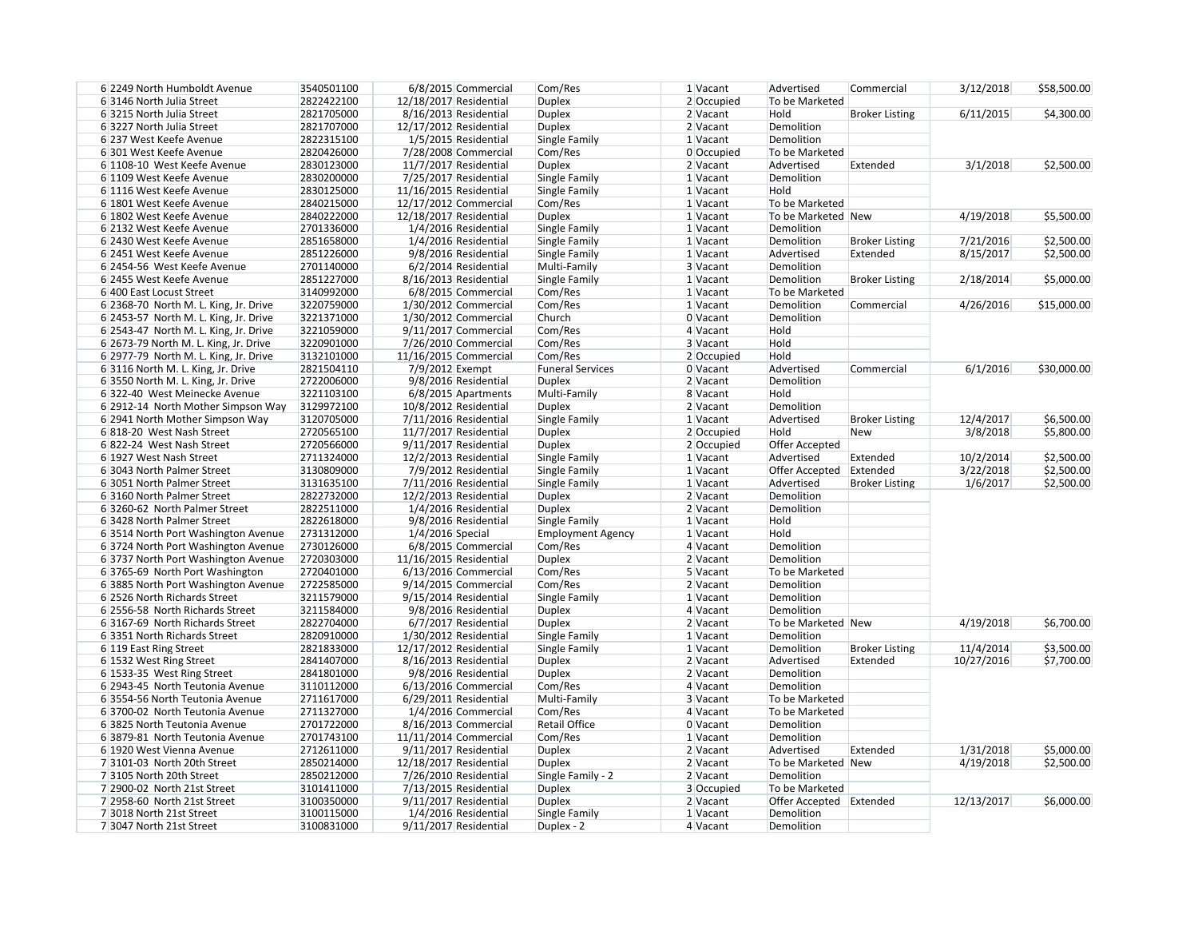| 6 2249 North Humboldt Avenue          | 3540501100 | 6/8/2015 Commercial     | Com/Res                  | $1$ Vacant | Advertised              | Commercial            | 3/12/2018  | \$58,500.00 |
|---------------------------------------|------------|-------------------------|--------------------------|------------|-------------------------|-----------------------|------------|-------------|
| 63146 North Julia Street              | 2822422100 | 12/18/2017 Residential  | <b>Duplex</b>            | 2 Occupied | To be Marketed          |                       |            |             |
| 63215 North Julia Street              | 2821705000 | 8/16/2013 Residential   | <b>Duplex</b>            | 2 Vacant   | Hold                    | <b>Broker Listing</b> | 6/11/2015  | \$4,300.00  |
| 63227 North Julia Street              | 2821707000 | 12/17/2012 Residential  | <b>Duplex</b>            | 2 Vacant   | Demolition              |                       |            |             |
| 6 237 West Keefe Avenue               | 2822315100 | 1/5/2015 Residential    | Single Family            | 1 Vacant   | Demolition              |                       |            |             |
| 6 301 West Keefe Avenue               | 2820426000 | 7/28/2008 Commercial    | Com/Res                  | 0 Occupied | To be Marketed          |                       |            |             |
| 6 1108-10 West Keefe Avenue           | 2830123000 | 11/7/2017 Residential   | <b>Duplex</b>            | 2 Vacant   | Advertised              | Extended              | 3/1/2018   | \$2,500.00  |
| 6 1109 West Keefe Avenue              | 2830200000 | 7/25/2017 Residential   | Single Family            | 1 Vacant   | Demolition              |                       |            |             |
| 6 1116 West Keefe Avenue              | 2830125000 | 11/16/2015 Residential  | Single Family            | 1 Vacant   | Hold                    |                       |            |             |
|                                       | 2840215000 |                         |                          |            |                         |                       |            |             |
| 6 1801 West Keefe Avenue              |            | 12/17/2012 Commercial   | Com/Res                  | 1 Vacant   | To be Marketed          |                       |            |             |
| 6 1802 West Keefe Avenue              | 2840222000 | 12/18/2017 Residential  | <b>Duplex</b>            | 1 Vacant   | To be Marketed New      |                       | 4/19/2018  | \$5,500.00  |
| 6 2132 West Keefe Avenue              | 2701336000 | 1/4/2016 Residential    | Single Family            | 1 Vacant   | Demolition              |                       |            |             |
| 6 2430 West Keefe Avenue              | 2851658000 | 1/4/2016 Residential    | Single Family            | 1 Vacant   | Demolition              | <b>Broker Listing</b> | 7/21/2016  | \$2,500.00  |
| 6 2451 West Keefe Avenue              | 2851226000 | 9/8/2016 Residential    | Single Family            | 1 Vacant   | Advertised              | Extended              | 8/15/2017  | \$2,500.00  |
| 6 2454-56 West Keefe Avenue           | 2701140000 | $6/2/2014$ Residential  | Multi-Family             | 3 Vacant   | Demolition              |                       |            |             |
| 6 2455 West Keefe Avenue              | 2851227000 | 8/16/2013 Residential   | <b>Single Family</b>     | 1 Vacant   | Demolition              | <b>Broker Listing</b> | 2/18/2014  | \$5,000.00  |
| 6 400 East Locust Street              | 3140992000 | 6/8/2015 Commercial     | Com/Res                  | 1 Vacant   | To be Marketed          |                       |            |             |
| 6 2368-70 North M. L. King, Jr. Drive | 3220759000 | 1/30/2012 Commercial    | Com/Res                  | 1 Vacant   | Demolition              | Commercial            | 4/26/2016  | \$15,000.00 |
| 6 2453-57 North M. L. King, Jr. Drive | 3221371000 | $1/30/2012$ Commercial  | Church                   | 0 Vacant   | Demolition              |                       |            |             |
| 6 2543-47 North M. L. King, Jr. Drive | 3221059000 | $9/11/2017$ Commercial  | Com/Res                  | $4$ Vacant | Hold                    |                       |            |             |
|                                       | 3220901000 | 7/26/2010 Commercial    |                          | 3 Vacant   | Hold                    |                       |            |             |
| 6 2673-79 North M. L. King, Jr. Drive |            |                         | Com/Res                  |            |                         |                       |            |             |
| 6 2977-79 North M. L. King, Jr. Drive | 3132101000 | 11/16/2015 Commercial   | Com/Res                  | 2 Occupied | Hold                    |                       |            |             |
| 6 3116 North M. L. King, Jr. Drive    | 2821504110 | 7/9/2012 Exempt         | <b>Funeral Services</b>  | 0 Vacant   | Advertised              | Commercial            | 6/1/2016   | \$30,000.00 |
| 6 3550 North M. L. King, Jr. Drive    | 2722006000 | 9/8/2016 Residential    | <b>Duplex</b>            | 2 Vacant   | Demolition              |                       |            |             |
| 6322-40 West Meinecke Avenue          | 3221103100 | 6/8/2015 Apartments     | Multi-Family             | 8 Vacant   | Hold                    |                       |            |             |
| 6 2912-14 North Mother Simpson Way    | 3129972100 | 10/8/2012 Residential   | <b>Duplex</b>            | 2 Vacant   | Demolition              |                       |            |             |
| 6 2941 North Mother Simpson Way       | 3120705000 | 7/11/2016 Residential   | Single Family            | 1 Vacant   | Advertised              | <b>Broker Listing</b> | 12/4/2017  | \$6,500.00  |
| 6818-20 West Nash Street              | 2720565100 | 11/7/2017 Residential   | <b>Duplex</b>            | 2 Occupied | Hold                    | <b>New</b>            | 3/8/2018   | \$5,800.00  |
| 6822-24 West Nash Street              | 2720566000 | 9/11/2017 Residential   | <b>Duplex</b>            | 2 Occupied | <b>Offer Accepted</b>   |                       |            |             |
| 6 1927 West Nash Street               | 2711324000 | 12/2/2013 Residential   | Single Family            | 1 Vacant   | Advertised              | Extended              | 10/2/2014  | \$2,500.00  |
| 6 3043 North Palmer Street            | 3130809000 | 7/9/2012 Residential    | Single Family            | $1$ Vacant | Offer Accepted          | Extended              | 3/22/2018  | \$2,500.00  |
| 6 3051 North Palmer Street            | 3131635100 | 7/11/2016 Residential   | Single Family            | 1 Vacant   | Advertised              | <b>Broker Listing</b> | 1/6/2017   | \$2,500.00  |
| 63160 North Palmer Street             | 2822732000 | 12/2/2013 Residential   |                          |            | Demolition              |                       |            |             |
|                                       |            |                         | <b>Duplex</b>            | 2 Vacant   |                         |                       |            |             |
| 6 3260-62 North Palmer Street         | 2822511000 | 1/4/2016 Residential    | <b>Duplex</b>            | 2 Vacant   | Demolition              |                       |            |             |
| 63428 North Palmer Street             | 2822618000 | 9/8/2016 Residential    | Single Family            | 1 Vacant   | Hold                    |                       |            |             |
| 63514 North Port Washington Avenue    | 2731312000 | 1/4/2016 Special        | <b>Employment Agency</b> | 1 Vacant   | Hold                    |                       |            |             |
| 63724 North Port Washington Avenue    | 2730126000 | 6/8/2015 Commercial     | Com/Res                  | 4 Vacant   | Demolition              |                       |            |             |
| 63737 North Port Washington Avenue    | 2720303000 | 11/16/2015 Residential  | Duplex                   | 2 Vacant   | Demolition              |                       |            |             |
| 63765-69 North Port Washington        | 2720401000 | $6/13/2016$ Commercial  | Com/Res                  | 5 Vacant   | To be Marketed          |                       |            |             |
| 6 3885 North Port Washington Avenue   | 2722585000 | $9/14/2015$ Commercial  | Com/Res                  | 2 Vacant   | Demolition              |                       |            |             |
| 6 2526 North Richards Street          | 3211579000 | 9/15/2014 Residential   | Single Family            | 1 Vacant   | Demolition              |                       |            |             |
| 6 2556-58 North Richards Street       | 3211584000 | 9/8/2016 Residential    | <b>Duplex</b>            | 4 Vacant   | Demolition              |                       |            |             |
| 63167-69 North Richards Street        | 2822704000 | 6/7/2017 Residential    | <b>Duplex</b>            | 2 Vacant   | To be Marketed New      |                       | 4/19/2018  | \$6,700.00  |
| 63351 North Richards Street           | 2820910000 | $1/30/2012$ Residential | Single Family            | 1 Vacant   | Demolition              |                       |            |             |
| 6 119 East Ring Street                | 2821833000 | 12/17/2012 Residential  |                          | 1 Vacant   | Demolition              | <b>Broker Listing</b> | 11/4/2014  | \$3,500.00  |
|                                       |            |                         | Single Family            |            |                         |                       |            |             |
| 6 1532 West Ring Street               | 2841407000 | 8/16/2013 Residential   | <b>Duplex</b>            | 2 Vacant   | Advertised              | Extended              | 10/27/2016 | \$7,700.00  |
| 6 1533-35 West Ring Street            | 2841801000 | 9/8/2016 Residential    | <b>Duplex</b>            | 2 Vacant   | Demolition              |                       |            |             |
| 6 2943-45 North Teutonia Avenue       | 3110112000 | $6/13/2016$ Commercial  | Com/Res                  | 4 Vacant   | Demolition              |                       |            |             |
| 63554-56 North Teutonia Avenue        | 2711617000 | $6/29/2011$ Residential | Multi-Family             | 3 Vacant   | To be Marketed          |                       |            |             |
| 63700-02 North Teutonia Avenue        | 2711327000 | 1/4/2016 Commercial     | Com/Res                  | 4 Vacant   | To be Marketed          |                       |            |             |
| 6 3825 North Teutonia Avenue          | 2701722000 | 8/16/2013 Commercial    | <b>Retail Office</b>     | 0 Vacant   | Demolition              |                       |            |             |
| 6 3879-81 North Teutonia Avenue       | 2701743100 | 11/11/2014 Commercial   | Com/Res                  | 1 Vacant   | Demolition              |                       |            |             |
| 6 1920 West Vienna Avenue             | 2712611000 | 9/11/2017 Residential   | <b>Duplex</b>            | 2 Vacant   | Advertised              | Extended              | 1/31/2018  | \$5,000.00  |
| 73101-03 North 20th Street            | 2850214000 | 12/18/2017 Residential  | <b>Duplex</b>            | 2 Vacant   | To be Marketed New      |                       | 4/19/2018  | \$2,500.00  |
| 73105 North 20th Street               | 2850212000 | 7/26/2010 Residential   | Single Family - 2        | 2 Vacant   | Demolition              |                       |            |             |
| 7 2900-02 North 21st Street           | 3101411000 | 7/13/2015 Residential   | <b>Duplex</b>            | 3 Occupied | To be Marketed          |                       |            |             |
|                                       |            |                         |                          |            |                         |                       |            |             |
| 7 2958-60 North 21st Street           | 3100350000 | 9/11/2017 Residential   | <b>Duplex</b>            | 2 Vacant   | Offer Accepted Extended |                       | 12/13/2017 | \$6,000.00  |
| 73018 North 21st Street               | 3100115000 | 1/4/2016 Residential    | Single Family            | 1 Vacant   | Demolition              |                       |            |             |
| 73047 North 21st Street               | 3100831000 | 9/11/2017 Residential   | Duplex - 2               | 4 Vacant   | Demolition              |                       |            |             |

| 3/12/2018 | \$58,500.00 |
|-----------|-------------|
|           |             |
| 6/11/2015 | \$4,300.00  |

| 4/19/2018              | \$5,500.00               |
|------------------------|--------------------------|
| 7/21/2016<br>8/15/2017 | \$2,500.00<br>\$2,500.00 |
| 2/18/2014              | \$5,000.00               |
| 4/26/2016              | \$15,000.00              |

| \$6,500.00 |
|------------|
| \$5,800.00 |
|            |
| \$2,500.00 |
| \$2,500.00 |
| \$2,500.00 |
|            |

| 4/19/2018               | \$6,700.00               |
|-------------------------|--------------------------|
|                         |                          |
| 11/4/2014<br>10/27/2016 | \$3,500.00<br>\$7,700.00 |
|                         |                          |
|                         |                          |

| 1/31/2018 | \$5,000.00 |
|-----------|------------|
| 4/19/2018 | \$2,500.00 |

| 12/13/2017 | \$6,000.00 |
|------------|------------|
|------------|------------|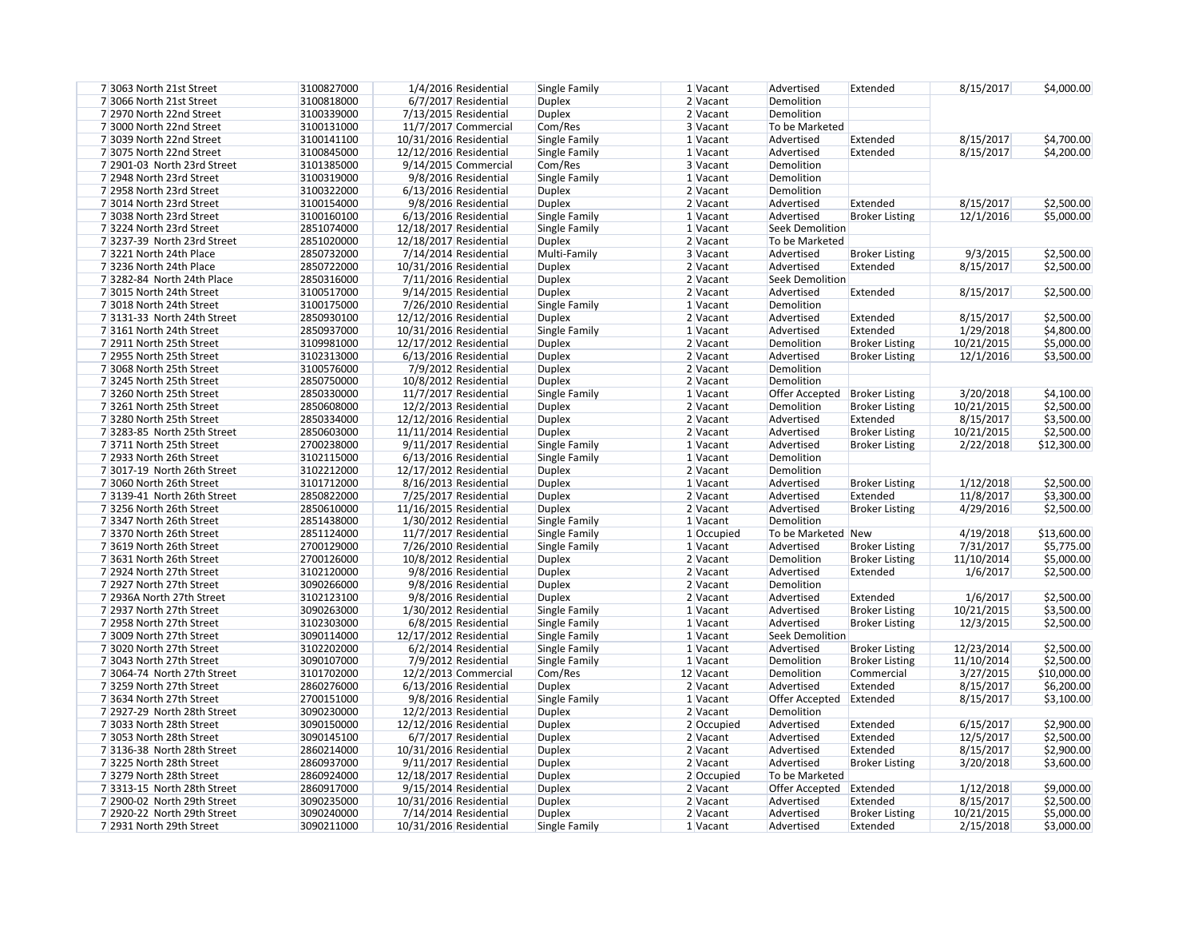| 8/15/2017               | \$4,000.00                |
|-------------------------|---------------------------|
|                         |                           |
|                         |                           |
| 8/15/2017               | \$4,700.00                |
| 8/15/2017               | \$4,200.00                |
|                         |                           |
|                         |                           |
|                         |                           |
| 8/15/2017<br>12/1/2016  | \$2,500.00<br>\$5,000.00  |
|                         |                           |
|                         |                           |
| 9/3/2015                | \$2,500.00                |
| 8/15/2017               | \$2,500.00                |
| 8/15/2017               | \$2,500.00                |
|                         |                           |
| 8/15/2017               | \$2,500.00                |
| 1/29/2018               | \$4,800.00                |
| 10/21/2015              | \$5,000.00                |
| 12/1/2016               | \$3,500.00                |
|                         |                           |
| 3/20/2018               | \$4,100.00                |
| 10/21/2015              | \$2,500.00                |
| 8/15/2017               | \$3,500.00                |
| 10/21/2015              | \$2,500.00                |
| 2/22/2018               | \$12,300.00               |
|                         |                           |
| 1/12/2018               | \$2,500.00                |
| 11/8/2017               | \$3,300.00                |
| 4/29/2016               | \$2,500.00                |
| 4/19/2018               | \$13,600.00               |
| 7/31/2017               | \$5,775.00                |
| 11/10/2014              | \$5,000.00                |
| 1/6/2017                | \$2,500.00                |
|                         |                           |
| 1/6/2017<br>10/21/2015  | \$2,500.00<br>\$3,500.00  |
| 12/3/2015               | \$2,500.00                |
|                         |                           |
| 12/23/2014              | \$2,500.00                |
| 11/10/2014              | \$2,500.00                |
| 3/27/2015<br>8/15/2017  | \$10,000.00<br>\$6,200.00 |
| 8/15/2017               | \$3,100.00                |
|                         |                           |
| 6/15/2017               | \$2,900.00                |
| 12/5/2017               | \$2,500.00                |
| 8/15/2017               | \$2,900.00<br>\$3,600.00  |
| 3/20/2018               |                           |
| 1/12/2018               | \$9,000.00                |
| 8/15/2017               | \$2,500.00                |
|                         |                           |
| 10/21/2015<br>2/15/2018 | \$5,000.00<br>\$3,000.00  |

| 7 3063 North 21st Street    | 3100827000 | 1/4/2016 Residential    | Single Family        | 1 Vacant   | Advertised              | Extended              | 8/15/2017  | \$4,000.00  |
|-----------------------------|------------|-------------------------|----------------------|------------|-------------------------|-----------------------|------------|-------------|
| 7 3066 North 21st Street    | 3100818000 | 6/7/2017 Residential    | <b>Duplex</b>        | 2 Vacant   | Demolition              |                       |            |             |
| 7 2970 North 22nd Street    | 3100339000 | 7/13/2015 Residential   | <b>Duplex</b>        | 2 Vacant   | Demolition              |                       |            |             |
| 73000 North 22nd Street     | 3100131000 | 11/7/2017 Commercial    | Com/Res              | 3 Vacant   | To be Marketed          |                       |            |             |
| 73039 North 22nd Street     | 3100141100 | 10/31/2016 Residential  | Single Family        | 1 Vacant   | Advertised              | Extended              | 8/15/2017  | \$4,700.00  |
| 73075 North 22nd Street     | 3100845000 | 12/12/2016 Residential  | Single Family        | 1 Vacant   | Advertised              | Extended              | 8/15/2017  | \$4,200.00  |
| 7 2901-03 North 23rd Street | 3101385000 | 9/14/2015 Commercial    | Com/Res              | 3 Vacant   | Demolition              |                       |            |             |
| 7 2948 North 23rd Street    | 3100319000 | 9/8/2016 Residential    | Single Family        | 1 Vacant   | Demolition              |                       |            |             |
| 7 2958 North 23rd Street    | 3100322000 | $6/13/2016$ Residential | <b>Duplex</b>        | 2 Vacant   | Demolition              |                       |            |             |
| 73014 North 23rd Street     | 3100154000 | 9/8/2016 Residential    | <b>Duplex</b>        | 2 Vacant   | Advertised              | Extended              | 8/15/2017  | \$2,500.00  |
| 73038 North 23rd Street     | 3100160100 | 6/13/2016 Residential   | Single Family        | 1 Vacant   | Advertised              | <b>Broker Listing</b> | 12/1/2016  | \$5,000.00  |
| 73224 North 23rd Street     | 2851074000 | 12/18/2017 Residential  | Single Family        | 1 Vacant   | <b>Seek Demolition</b>  |                       |            |             |
| 7 3237-39 North 23rd Street | 2851020000 | 12/18/2017 Residential  | <b>Duplex</b>        | 2 Vacant   | To be Marketed          |                       |            |             |
| 73221 North 24th Place      | 2850732000 | 7/14/2014 Residential   | Multi-Family         | 3 Vacant   | Advertised              | <b>Broker Listing</b> | 9/3/2015   | \$2,500.00  |
| 73236 North 24th Place      | 2850722000 | 10/31/2016 Residential  | <b>Duplex</b>        | 2 Vacant   | Advertised              | Extended              | 8/15/2017  | \$2,500.00  |
| 7 3282-84 North 24th Place  | 2850316000 | 7/11/2016 Residential   | <b>Duplex</b>        | 2 Vacant   | <b>Seek Demolition</b>  |                       |            |             |
| 7 3015 North 24th Street    | 3100517000 | 9/14/2015 Residential   | <b>Duplex</b>        | 2 Vacant   | Advertised              | Extended              | 8/15/2017  | \$2,500.00  |
| 7 3018 North 24th Street    | 3100175000 | 7/26/2010 Residential   |                      |            | Demolition              |                       |            |             |
|                             |            |                         | Single Family        | 1 Vacant   |                         |                       |            |             |
| 7 3131-33 North 24th Street | 2850930100 | 12/12/2016 Residential  | <b>Duplex</b>        | 2 Vacant   | Advertised              | Extended              | 8/15/2017  | \$2,500.00  |
| 73161 North 24th Street     | 2850937000 | 10/31/2016 Residential  | <b>Single Family</b> | 1 Vacant   | Advertised              | Extended              | 1/29/2018  | \$4,800.00  |
| 7 2911 North 25th Street    | 3109981000 | 12/17/2012 Residential  | <b>Duplex</b>        | 2 Vacant   | Demolition              | <b>Broker Listing</b> | 10/21/2015 | \$5,000.00  |
| 7 2955 North 25th Street    | 3102313000 | 6/13/2016 Residential   | <b>Duplex</b>        | 2 Vacant   | Advertised              | <b>Broker Listing</b> | 12/1/2016  | \$3,500.00  |
| 7 3068 North 25th Street    | 3100576000 | 7/9/2012 Residential    | <b>Duplex</b>        | 2 Vacant   | Demolition              |                       |            |             |
| 73245 North 25th Street     | 2850750000 | 10/8/2012 Residential   | <b>Duplex</b>        | 2 Vacant   | Demolition              |                       |            |             |
| 73260 North 25th Street     | 2850330000 | 11/7/2017 Residential   | Single Family        | 1 Vacant   | Offer Accepted          | <b>Broker Listing</b> | 3/20/2018  | \$4,100.00  |
| 73261 North 25th Street     | 2850608000 | 12/2/2013 Residential   | <b>Duplex</b>        | 2 Vacant   | Demolition              | <b>Broker Listing</b> | 10/21/2015 | \$2,500.00  |
| 73280 North 25th Street     | 2850334000 | 12/12/2016 Residential  | <b>Duplex</b>        | 2 Vacant   | Advertised              | Extended              | 8/15/2017  | \$3,500.00  |
| 73283-85 North 25th Street  | 2850603000 | 11/11/2014 Residential  | <b>Duplex</b>        | 2 Vacant   | Advertised              | <b>Broker Listing</b> | 10/21/2015 | \$2,500.00  |
| 73711 North 25th Street     | 2700238000 | 9/11/2017 Residential   | Single Family        | 1 Vacant   | Advertised              | <b>Broker Listing</b> | 2/22/2018  | \$12,300.00 |
| 7 2933 North 26th Street    | 3102115000 | 6/13/2016 Residential   | Single Family        | 1 Vacant   | Demolition              |                       |            |             |
| 7 3017-19 North 26th Street | 3102212000 | 12/17/2012 Residential  | <b>Duplex</b>        | 2 Vacant   | Demolition              |                       |            |             |
| 7 3060 North 26th Street    | 3101712000 | 8/16/2013 Residential   | <b>Duplex</b>        | 1 Vacant   | Advertised              | <b>Broker Listing</b> | 1/12/2018  | \$2,500.00  |
| 7 3139-41 North 26th Street | 2850822000 | 7/25/2017 Residential   | <b>Duplex</b>        | 2 Vacant   | Advertised              | Extended              | 11/8/2017  | \$3,300.00  |
| 73256 North 26th Street     | 2850610000 | 11/16/2015 Residential  | <b>Duplex</b>        | 2 Vacant   | Advertised              | <b>Broker Listing</b> | 4/29/2016  | \$2,500.00  |
| 73347 North 26th Street     | 2851438000 | 1/30/2012 Residential   | Single Family        | 1 Vacant   | Demolition              |                       |            |             |
| 73370 North 26th Street     | 2851124000 | 11/7/2017 Residential   | Single Family        | 1 Occupied | To be Marketed New      |                       | 4/19/2018  | \$13,600.00 |
| 7 3619 North 26th Street    | 2700129000 | 7/26/2010 Residential   | Single Family        | 1 Vacant   | Advertised              | <b>Broker Listing</b> | 7/31/2017  | \$5,775.00  |
| 7 3631 North 26th Street    | 2700126000 | 10/8/2012 Residential   | Duplex               | 2 Vacant   | Demolition              | <b>Broker Listing</b> | 11/10/2014 | \$5,000.00  |
| 7 2924 North 27th Street    | 3102120000 | 9/8/2016 Residential    | <b>Duplex</b>        | 2 Vacant   | Advertised              | Extended              | 1/6/2017   | \$2,500.00  |
| 7 2927 North 27th Street    | 3090266000 | 9/8/2016 Residential    |                      | 2 Vacant   | Demolition              |                       |            |             |
|                             |            |                         | <b>Duplex</b>        |            |                         |                       |            |             |
| 7 2936A North 27th Street   | 3102123100 | 9/8/2016 Residential    | <b>Duplex</b>        | 2 Vacant   | Advertised              | Extended              | 1/6/2017   | \$2,500.00  |
| 7 2937 North 27th Street    | 3090263000 | $1/30/2012$ Residential | Single Family        | 1 Vacant   | Advertised              | <b>Broker Listing</b> | 10/21/2015 | \$3,500.00  |
| 7 2958 North 27th Street    | 3102303000 | 6/8/2015 Residential    | Single Family        | 1 Vacant   | Advertised              | <b>Broker Listing</b> | 12/3/2015  | \$2,500.00  |
| 7 3009 North 27th Street    | 3090114000 | 12/17/2012 Residential  | Single Family        | 1 Vacant   | <b>Seek Demolition</b>  |                       |            |             |
| 73020 North 27th Street     | 3102202000 | 6/2/2014 Residential    | Single Family        | 1 Vacant   | Advertised              | <b>Broker Listing</b> | 12/23/2014 | \$2,500.00  |
| 7 3043 North 27th Street    | 3090107000 | 7/9/2012 Residential    | Single Family        | 1 Vacant   | Demolition              | <b>Broker Listing</b> | 11/10/2014 | \$2,500.00  |
| 7 3064-74 North 27th Street | 3101702000 | 12/2/2013 Commercial    | Com/Res              | 12 Vacant  | Demolition              | Commercial            | 3/27/2015  | \$10,000.00 |
| 73259 North 27th Street     | 2860276000 | $6/13/2016$ Residential | <b>Duplex</b>        | 2 Vacant   | Advertised              | Extended              | 8/15/2017  | \$6,200.00  |
| 7 3634 North 27th Street    | 2700151000 | 9/8/2016 Residential    | Single Family        | 1 Vacant   | Offer Accepted          | Extended              | 8/15/2017  | \$3,100.00  |
| 7 2927-29 North 28th Street | 3090230000 | 12/2/2013 Residential   | <b>Duplex</b>        | 2 Vacant   | Demolition              |                       |            |             |
| 7 3033 North 28th Street    | 3090150000 | 12/12/2016 Residential  | <b>Duplex</b>        | 2 Occupied | Advertised              | Extended              | 6/15/2017  | \$2,900.00  |
| 7 3053 North 28th Street    | 3090145100 | 6/7/2017 Residential    | <b>Duplex</b>        | 2 Vacant   | Advertised              | Extended              | 12/5/2017  | \$2,500.00  |
| 7 3136-38 North 28th Street | 2860214000 | 10/31/2016 Residential  | <b>Duplex</b>        | 2 Vacant   | Advertised              | Extended              | 8/15/2017  | \$2,900.00  |
| 73225 North 28th Street     | 2860937000 | 9/11/2017 Residential   | <b>Duplex</b>        | 2 Vacant   | Advertised              | <b>Broker Listing</b> | 3/20/2018  | \$3,600.00  |
| 73279 North 28th Street     | 2860924000 | 12/18/2017 Residential  | <b>Duplex</b>        | 2 Occupied | To be Marketed          |                       |            |             |
| 7 3313-15 North 28th Street | 2860917000 | 9/15/2014 Residential   | <b>Duplex</b>        | 2 Vacant   | Offer Accepted Extended |                       | 1/12/2018  | \$9,000.00  |
| 7 2900-02 North 29th Street | 3090235000 | 10/31/2016 Residential  | <b>Duplex</b>        | 2 Vacant   | Advertised              | Extended              | 8/15/2017  | \$2,500.00  |
| 7 2920-22 North 29th Street | 3090240000 | 7/14/2014 Residential   | <b>Duplex</b>        | 2 Vacant   | Advertised              | <b>Broker Listing</b> | 10/21/2015 | \$5,000.00  |
| 7 2931 North 29th Street    | 3090211000 | 10/31/2016 Residential  | Single Family        | 1 Vacant   | Advertised              | Extended              | 2/15/2018  | \$3,000.00  |
|                             |            |                         |                      |            |                         |                       |            |             |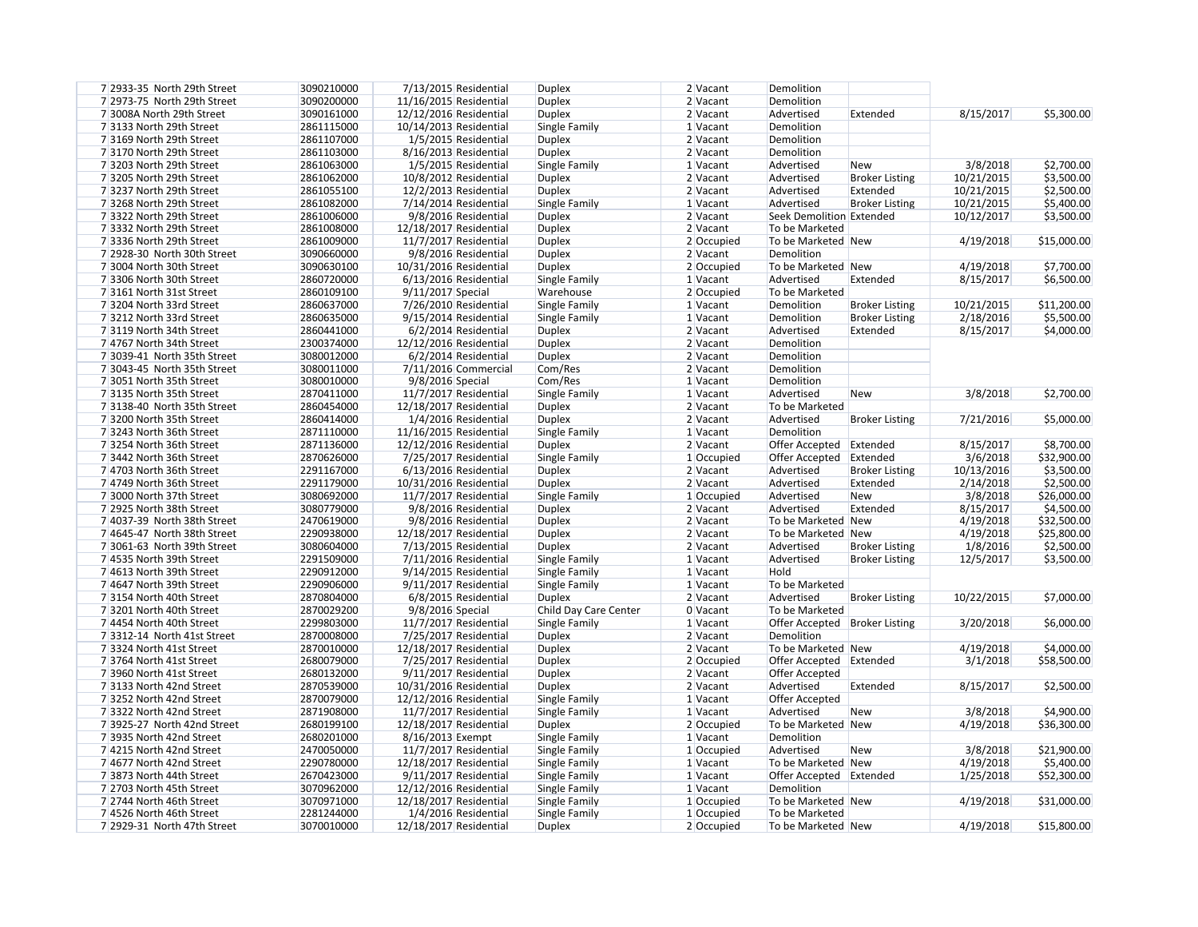| 3/8/2018   | \$2,700.00  |
|------------|-------------|
| 10/21/2015 | \$3,500.00  |
| 10/21/2015 | \$2,500.00  |
| 10/21/2015 | \$5,400.00  |
| 10/12/2017 | \$3,500.00  |
|            |             |
| 4/19/2018  | \$15,000.00 |
|            |             |
| 4/19/2018  | \$7,700.00  |
| 8/15/2017  | \$6,500.00  |
|            |             |
| 10/21/2015 | \$11,200.00 |
| 2/18/2016  | \$5,500.00  |
| 8/15/2017  | \$4,000.00  |
|            |             |

| 3/8/2018   | \$2,700.00  |
|------------|-------------|
| 7/21/2016  | \$5,000.00  |
| 8/15/2017  | \$8,700.00  |
| 3/6/2018   | \$32,900.00 |
| 10/13/2016 | \$3,500.00  |
| 2/14/2018  | \$2,500.00  |
| 3/8/2018   | \$26,000.00 |
| 8/15/2017  | \$4,500.00  |
| 4/19/2018  | \$32,500.00 |
| 4/19/2018  | \$25,800.00 |
| 1/8/2016   | \$2,500.00  |
| 12/5/2017  | \$3,500.00  |
|            |             |
| 10/22/2015 | \$7,000.00  |
|            |             |

| 1012212013 | <b>PI,000.00</b> |
|------------|------------------|
|            |                  |
|            |                  |
|            |                  |

| 7 2933-35 North 29th Street | 3090210000 | 7/13/2015 Residential   | <b>Duplex</b>         | 2 Vacant             | Demolition                      |                       |            |             |
|-----------------------------|------------|-------------------------|-----------------------|----------------------|---------------------------------|-----------------------|------------|-------------|
| 7 2973-75 North 29th Street | 3090200000 | 11/16/2015 Residential  | <b>Duplex</b>         | 2 Vacant             | Demolition                      |                       |            |             |
| 7 3008A North 29th Street   | 3090161000 | 12/12/2016 Residential  | <b>Duplex</b>         | 2 Vacant             | Advertised                      | Extended              | 8/15/2017  | \$5,300.00  |
| 73133 North 29th Street     | 2861115000 | 10/14/2013 Residential  | Single Family         | 1 Vacant             | Demolition                      |                       |            |             |
| 73169 North 29th Street     | 2861107000 | 1/5/2015 Residential    | <b>Duplex</b>         | 2 Vacant             | Demolition                      |                       |            |             |
| 73170 North 29th Street     | 2861103000 | 8/16/2013 Residential   | <b>Duplex</b>         | 2 Vacant             | Demolition                      |                       |            |             |
| 73203 North 29th Street     | 2861063000 | 1/5/2015 Residential    | Single Family         | 1 Vacant             | Advertised                      | <b>New</b>            | 3/8/2018   | \$2,700.00  |
| 73205 North 29th Street     | 2861062000 | 10/8/2012 Residential   | <b>Duplex</b>         | 2 Vacant             | Advertised                      | <b>Broker Listing</b> | 10/21/2015 | \$3,500.00  |
| 73237 North 29th Street     | 2861055100 | 12/2/2013 Residential   | <b>Duplex</b>         | 2 Vacant             | Advertised                      | Extended              | 10/21/2015 | \$2,500.00  |
| 73268 North 29th Street     | 2861082000 | 7/14/2014 Residential   | Single Family         | $1$ Vacant           | Advertised                      | <b>Broker Listing</b> | 10/21/2015 | \$5,400.00  |
| 73322 North 29th Street     | 2861006000 | 9/8/2016 Residential    | <b>Duplex</b>         | $2$ Vacant           | Seek Demolition Extended        |                       | 10/12/2017 | \$3,500.00  |
| 73332 North 29th Street     | 2861008000 | 12/18/2017 Residential  | <b>Duplex</b>         | 2 Vacant             | To be Marketed                  |                       |            |             |
| 7 3336 North 29th Street    | 2861009000 | 11/7/2017 Residential   | <b>Duplex</b>         | 2 Occupied           | To be Marketed   New            |                       | 4/19/2018  | \$15,000.00 |
| 7 2928-30 North 30th Street | 3090660000 | 9/8/2016 Residential    | <b>Duplex</b>         | 2 Vacant             | Demolition                      |                       |            |             |
| 7 3004 North 30th Street    | 3090630100 | 10/31/2016 Residential  | <b>Duplex</b>         | 2 Occupied           | To be Marketed New              |                       | 4/19/2018  | \$7,700.00  |
| 73306 North 30th Street     | 2860720000 | $6/13/2016$ Residential | Single Family         | 1 Vacant             | Advertised                      | Extended              | 8/15/2017  | \$6,500.00  |
| 73161 North 31st Street     | 2860109100 | 9/11/2017 Special       | Warehouse             | 2 Occupied           | To be Marketed                  |                       |            |             |
| 73204 North 33rd Street     | 2860637000 | 7/26/2010 Residential   | Single Family         | 1 Vacant             | Demolition                      | <b>Broker Listing</b> | 10/21/2015 | \$11,200.00 |
| 73212 North 33rd Street     | 2860635000 | $9/15/2014$ Residential | Single Family         | $1$ Vacant           | Demolition                      | <b>Broker Listing</b> | 2/18/2016  | \$5,500.00  |
| 73119 North 34th Street     | 2860441000 | $6/2/2014$ Residential  | <b>Duplex</b>         | $2$ Vacant           | Advertised                      | Extended              | 8/15/2017  | \$4,000.00  |
| 7 4767 North 34th Street    | 2300374000 | 12/12/2016 Residential  | <b>Duplex</b>         | $2$ Vacant           | Demolition                      |                       |            |             |
| 7 3039-41 North 35th Street | 3080012000 | $6/2/2014$ Residential  | <b>Duplex</b>         | $2$ Vacant           | Demolition                      |                       |            |             |
| 7 3043-45 North 35th Street | 3080011000 | 7/11/2016 Commercial    | Com/Res               | 2 Vacant             | Demolition                      |                       |            |             |
| 7 3051 North 35th Street    | 3080010000 | 9/8/2016 Special        | Com/Res               | $1$ Vacant           | Demolition                      |                       |            |             |
| 73135 North 35th Street     | 2870411000 | 11/7/2017 Residential   | Single Family         | $1$ Vacant           | Advertised                      | <b>New</b>            | 3/8/2018   | \$2,700.00  |
| 73138-40 North 35th Street  | 2860454000 | 12/18/2017 Residential  | <b>Duplex</b>         | 2 Vacant             | To be Marketed                  |                       |            |             |
| 73200 North 35th Street     | 2860414000 | 1/4/2016 Residential    | <b>Duplex</b>         | 2 Vacant             | Advertised                      | <b>Broker Listing</b> | 7/21/2016  | \$5,000.00  |
| 73243 North 36th Street     | 2871110000 |                         |                       | $1$ Vacant           | Demolition                      |                       |            |             |
|                             | 2871136000 | 11/16/2015 Residential  | Single Family         | 2 Vacant             |                                 |                       |            |             |
| 73254 North 36th Street     | 2870626000 | 12/12/2016 Residential  | <b>Duplex</b>         |                      | Offer Accepted Extended         |                       | 8/15/2017  | \$8,700.00  |
| 73442 North 36th Street     | 2291167000 | 7/25/2017 Residential   | Single Family         | 1 Occupied           | Offer Accepted Extended         |                       | 3/6/2018   | \$32,900.00 |
| 7 4703 North 36th Street    | 2291179000 | 6/13/2016 Residential   | <b>Duplex</b>         | 2 Vacant<br>2 Vacant | Advertised                      | <b>Broker Listing</b> | 10/13/2016 | \$3,500.00  |
| 7 4749 North 36th Street    |            | 10/31/2016 Residential  | <b>Duplex</b>         |                      | Advertised                      | Extended              | 2/14/2018  | \$2,500.00  |
| 7 3000 North 37th Street    | 3080692000 | 11/7/2017 Residential   | Single Family         | 1 Occupied           | Advertised                      | New                   | 3/8/2018   | \$26,000.00 |
| 7 2925 North 38th Street    | 3080779000 | 9/8/2016 Residential    | <b>Duplex</b>         | 2 Vacant             | Advertised                      | Extended              | 8/15/2017  | \$4,500.00  |
| 7 4037-39 North 38th Street | 2470619000 | 9/8/2016 Residential    | <b>Duplex</b>         | $2$ Vacant           | To be Marketed New              |                       | 4/19/2018  | \$32,500.00 |
| 7 4645-47 North 38th Street | 2290938000 | 12/18/2017 Residential  | <b>Duplex</b>         | $2$ Vacant           | To be Marketed New              |                       | 4/19/2018  | \$25,800.00 |
| 7 3061-63 North 39th Street | 3080604000 | $7/13/2015$ Residential | <b>Duplex</b>         | $2$ Vacant           | Advertised                      | <b>Broker Listing</b> | 1/8/2016   | \$2,500.00  |
| 7 4535 North 39th Street    | 2291509000 | 7/11/2016 Residential   | Single Family         | 1 Vacant             | Advertised                      | <b>Broker Listing</b> | 12/5/2017  | \$3,500.00  |
| 7 4613 North 39th Street    | 2290912000 | $9/14/2015$ Residential | Single Family         | $1$ Vacant           | Hold                            |                       |            |             |
| 7 4647 North 39th Street    | 2290906000 | 9/11/2017 Residential   | Single Family         | $1$ Vacant           | To be Marketed                  |                       |            |             |
| 73154 North 40th Street     | 2870804000 | 6/8/2015 Residential    | <b>Duplex</b>         | $2$ Vacant           | Advertised                      | <b>Broker Listing</b> | 10/22/2015 | \$7,000.00  |
| 73201 North 40th Street     | 2870029200 | 9/8/2016 Special        | Child Day Care Center | $0$ Vacant           | To be Marketed                  |                       |            |             |
| 7 4454 North 40th Street    | 2299803000 | 11/7/2017 Residential   | Single Family         | $1$ Vacant           | Offer Accepted   Broker Listing |                       | 3/20/2018  | \$6,000.00  |
| 73312-14 North 41st Street  | 2870008000 | 7/25/2017 Residential   | <b>Duplex</b>         | $2$ Vacant           | Demolition                      |                       |            |             |
| 73324 North 41st Street     | 2870010000 | 12/18/2017 Residential  | <b>Duplex</b>         | $2$ Vacant           | To be Marketed New              |                       | 4/19/2018  | \$4,000.00  |
| 73764 North 41st Street     | 2680079000 | 7/25/2017 Residential   | <b>Duplex</b>         | 2 Occupied           | Offer Accepted Extended         |                       | 3/1/2018   | \$58,500.00 |
| 7 3960 North 41st Street    | 2680132000 | 9/11/2017 Residential   | <b>Duplex</b>         | 2 Vacant             | Offer Accepted                  |                       |            |             |
| 73133 North 42nd Street     | 2870539000 | 10/31/2016 Residential  | <b>Duplex</b>         | $2$ Vacant           | Advertised                      | Extended              | 8/15/2017  | \$2,500.00  |
| 73252 North 42nd Street     | 2870079000 | 12/12/2016 Residential  | Single Family         | $1$ Vacant           | Offer Accepted                  |                       |            |             |
| 73322 North 42nd Street     | 2871908000 | 11/7/2017 Residential   | Single Family         | $1$ Vacant           | Advertised                      | <b>New</b>            | 3/8/2018   | \$4,900.00  |
| 7 3925-27 North 42nd Street | 2680199100 | 12/18/2017 Residential  | <b>Duplex</b>         | 2 Occupied           | To be Marketed New              |                       | 4/19/2018  | \$36,300.00 |
| 7 3935 North 42nd Street    | 2680201000 | 8/16/2013 Exempt        | Single Family         | 1 Vacant             | Demolition                      |                       |            |             |
| 74215 North 42nd Street     | 2470050000 | 11/7/2017 Residential   | Single Family         | 1 Occupied           | Advertised                      | <b>New</b>            | 3/8/2018   | \$21,900.00 |
| 74677 North 42nd Street     | 2290780000 | 12/18/2017 Residential  | Single Family         | $1$ Vacant           | To be Marketed New              |                       | 4/19/2018  | \$5,400.00  |
| 7 3873 North 44th Street    | 2670423000 | $9/11/2017$ Residential | Single Family         | $1$ Vacant           | Offer Accepted Extended         |                       | 1/25/2018  | \$52,300.00 |
| 7 2703 North 45th Street    | 3070962000 | 12/12/2016 Residential  | Single Family         | 1 Vacant             | Demolition                      |                       |            |             |
| 7 2744 North 46th Street    | 3070971000 | 12/18/2017 Residential  | Single Family         | 1 Occupied           | To be Marketed New              |                       | 4/19/2018  | \$31,000.00 |
| 7 4526 North 46th Street    | 2281244000 | 1/4/2016 Residential    | Single Family         | 1 Occupied           | To be Marketed                  |                       |            |             |
| 7 2929-31 North 47th Street | 3070010000 | 12/18/2017 Residential  | <b>Duplex</b>         | 2 Occupied           | To be Marketed New              |                       | 4/19/2018  | \$15,800.00 |

| 3/20/2018 | \$6,000.00  |
|-----------|-------------|
|           |             |
| 4/19/2018 | \$4,000.00  |
| 3/1/2018  | \$58,500.00 |

4/19/2018 \$15,800.00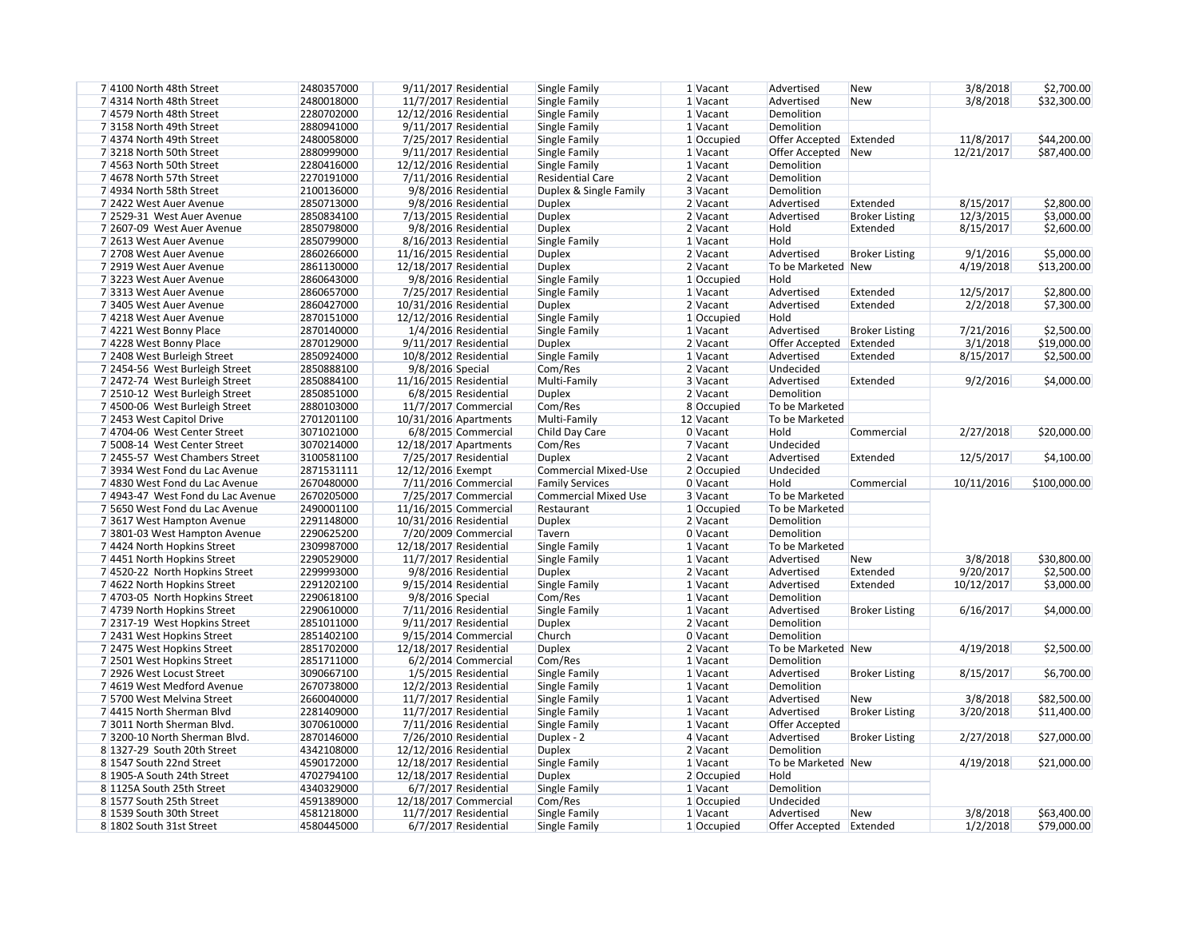| 7 4100 North 48th Street          | 2480357000 | 9/11/2017 Residential   | Single Family               | 1 Vacant   | Advertised              | <b>New</b>            | 3/8/2018   | \$2,700.00   |
|-----------------------------------|------------|-------------------------|-----------------------------|------------|-------------------------|-----------------------|------------|--------------|
| 7 4314 North 48th Street          | 2480018000 | 11/7/2017 Residential   | Single Family               | 1 Vacant   | Advertised              | <b>New</b>            | 3/8/2018   | \$32,300.00  |
| 7 4579 North 48th Street          | 2280702000 | 12/12/2016 Residential  | Single Family               | 1 Vacant   | Demolition              |                       |            |              |
| 73158 North 49th Street           | 2880941000 | 9/11/2017 Residential   | Single Family               | 1 Vacant   | Demolition              |                       |            |              |
| 7 4374 North 49th Street          | 2480058000 | 7/25/2017 Residential   | Single Family               | 1 Occupied | Offer Accepted Extended |                       | 11/8/2017  | \$44,200.00  |
| 73218 North 50th Street           | 2880999000 | $9/11/2017$ Residential | Single Family               | 1 Vacant   | Offer Accepted New      |                       | 12/21/2017 | \$87,400.00  |
| 7 4563 North 50th Street          | 2280416000 | 12/12/2016 Residential  | Single Family               | 1 Vacant   | Demolition              |                       |            |              |
| 7 4678 North 57th Street          | 2270191000 | 7/11/2016 Residential   | <b>Residential Care</b>     | 2 Vacant   | Demolition              |                       |            |              |
| 7 4934 North 58th Street          | 2100136000 | 9/8/2016 Residential    | Duplex & Single Family      | 3 Vacant   | Demolition              |                       |            |              |
| 7 2422 West Auer Avenue           | 2850713000 | 9/8/2016 Residential    | <b>Duplex</b>               | $2$ Vacant | Advertised              | Extended              | 8/15/2017  | \$2,800.00   |
| 7 2529-31 West Auer Avenue        | 2850834100 | 7/13/2015 Residential   | <b>Duplex</b>               | $2$ Vacant | Advertised              | <b>Broker Listing</b> | 12/3/2015  | \$3,000.00   |
| 7 2607-09 West Auer Avenue        | 2850798000 | 9/8/2016 Residential    | <b>Duplex</b>               | $2$ Vacant | Hold                    | Extended              | 8/15/2017  | \$2,600.00   |
| 7 2613 West Auer Avenue           | 2850799000 | 8/16/2013 Residential   | Single Family               | $1$ Vacant | Hold                    |                       |            |              |
| 7 2708 West Auer Avenue           | 2860266000 | 11/16/2015 Residential  | <b>Duplex</b>               | $2$ Vacant | Advertised              | <b>Broker Listing</b> | 9/1/2016   | \$5,000.00   |
| 7 2919 West Auer Avenue           | 2861130000 | 12/18/2017 Residential  | <b>Duplex</b>               | 2 Vacant   | To be Marketed New      |                       | 4/19/2018  | \$13,200.00  |
| 73223 West Auer Avenue            | 2860643000 | 9/8/2016 Residential    | Single Family               | 1 Occupied | Hold                    |                       |            |              |
|                                   | 2860657000 |                         |                             |            |                         |                       |            |              |
| 73313 West Auer Avenue            |            | 7/25/2017 Residential   | Single Family               | 1 Vacant   | Advertised              | Extended              | 12/5/2017  | \$2,800.00   |
| 73405 West Auer Avenue            | 2860427000 | 10/31/2016 Residential  | <b>Duplex</b>               | 2 Vacant   | Advertised              | Extended              | 2/2/2018   | \$7,300.00   |
| 7 4218 West Auer Avenue           | 2870151000 | 12/12/2016 Residential  | Single Family               | 1 Occupied | Hold                    |                       |            |              |
| 7 4221 West Bonny Place           | 2870140000 | 1/4/2016 Residential    | Single Family               | $1$ Vacant | Advertised              | <b>Broker Listing</b> | 7/21/2016  | \$2,500.00   |
| 7 4228 West Bonny Place           | 2870129000 | 9/11/2017 Residential   | <b>Duplex</b>               | $2$ Vacant | Offer Accepted Extended |                       | 3/1/2018   | \$19,000.00  |
| 7 2408 West Burleigh Street       | 2850924000 | 10/8/2012 Residential   | Single Family               | $1$ Vacant | Advertised              | Extended              | 8/15/2017  | \$2,500.00   |
| 7 2454-56 West Burleigh Street    | 2850888100 | 9/8/2016 Special        | Com/Res                     | $2$ Vacant | Undecided               |                       |            |              |
| 7 2472-74 West Burleigh Street    | 2850884100 | 11/16/2015 Residential  | Multi-Family                | 3 Vacant   | Advertised              | Extended              | 9/2/2016   | \$4,000.00   |
| 7 2510-12 West Burleigh Street    | 2850851000 | 6/8/2015 Residential    | <b>Duplex</b>               | 2 Vacant   | Demolition              |                       |            |              |
| 7 4500-06 West Burleigh Street    | 2880103000 | 11/7/2017 Commercial    | Com/Res                     | 8 Occupied | To be Marketed          |                       |            |              |
| 7 2453 West Capitol Drive         | 2701201100 | 10/31/2016 Apartments   | Multi-Family                | 12 Vacant  | To be Marketed          |                       |            |              |
| 7 4704-06 West Center Street      | 3071021000 | 6/8/2015 Commercial     | Child Day Care              | 0 Vacant   | Hold                    | Commercial            | 2/27/2018  | \$20,000.00  |
| 7 5008-14 West Center Street      | 3070214000 | 12/18/2017 Apartments   | Com/Res                     | 7 Vacant   | Undecided               |                       |            |              |
| 7 2455-57 West Chambers Street    | 3100581100 | 7/25/2017 Residential   | <b>Duplex</b>               | $2$ Vacant | Advertised              | Extended              | 12/5/2017  | \$4,100.00   |
| 7 3934 West Fond du Lac Avenue    | 2871531111 | 12/12/2016 Exempt       | <b>Commercial Mixed-Use</b> | 2 Occupied | Undecided               |                       |            |              |
| 7 4830 West Fond du Lac Avenue    | 2670480000 | 7/11/2016 Commercial    | <b>Family Services</b>      | 0 Vacant   | Hold                    | Commercial            | 10/11/2016 | \$100,000.00 |
| 7 4943-47 West Fond du Lac Avenue | 2670205000 | 7/25/2017 Commercial    | <b>Commercial Mixed Use</b> | 3 Vacant   | To be Marketed          |                       |            |              |
| 7 5650 West Fond du Lac Avenue    | 2490001100 | 11/16/2015 Commercial   | Restaurant                  | 1 Occupied | To be Marketed          |                       |            |              |
| 73617 West Hampton Avenue         | 2291148000 | 10/31/2016 Residential  | <b>Duplex</b>               | 2 Vacant   | Demolition              |                       |            |              |
| 73801-03 West Hampton Avenue      | 2290625200 | 7/20/2009 Commercial    | Tavern                      | $0$ Vacant | Demolition              |                       |            |              |
| 7 4424 North Hopkins Street       | 2309987000 | 12/18/2017 Residential  | Single Family               | 1 Vacant   | To be Marketed          |                       |            |              |
| 74451 North Hopkins Street        | 2290529000 | 11/7/2017 Residential   | Single Family               | 1 Vacant   | Advertised              | New                   | 3/8/2018   | \$30,800.00  |
|                                   |            |                         |                             |            |                         |                       |            |              |
| 7 4520-22 North Hopkins Street    | 2299993000 | 9/8/2016 Residential    | <b>Duplex</b>               | $2$ Vacant | Advertised              | Extended              | 9/20/2017  | \$2,500.00   |
| 7 4622 North Hopkins Street       | 2291202100 | $9/15/2014$ Residential | Single Family               | $1$ Vacant | Advertised              | Extended              | 10/12/2017 | \$3,000.00   |
| 7 4703-05 North Hopkins Street    | 2290618100 | 9/8/2016 Special        | Com/Res                     | $1$ Vacant | Demolition              |                       |            |              |
| 7 4739 North Hopkins Street       | 2290610000 | 7/11/2016 Residential   | Single Family               | $1$ Vacant | Advertised              | <b>Broker Listing</b> | 6/16/2017  | \$4,000.00   |
| 7 2317-19 West Hopkins Street     | 2851011000 | 9/11/2017 Residential   | <b>Duplex</b>               | $2$ Vacant | Demolition              |                       |            |              |
| 7 2431 West Hopkins Street        | 2851402100 | $9/15/2014$ Commercial  | Church                      | $0$ Vacant | Demolition              |                       |            |              |
| 7 2475 West Hopkins Street        | 2851702000 | 12/18/2017 Residential  | <b>Duplex</b>               | $2$ Vacant | To be Marketed New      |                       | 4/19/2018  | \$2,500.00   |
| 7 2501 West Hopkins Street        | 2851711000 | 6/2/2014 Commercial     | Com/Res                     | $1$ Vacant | Demolition              |                       |            |              |
| 7 2926 West Locust Street         | 3090667100 | 1/5/2015 Residential    | Single Family               | $1$ Vacant | Advertised              | <b>Broker Listing</b> | 8/15/2017  | \$6,700.00   |
| 7 4619 West Medford Avenue        | 2670738000 | 12/2/2013 Residential   | Single Family               | $1$ Vacant | Demolition              |                       |            |              |
| 7 5700 West Melvina Street        | 2660040000 | 11/7/2017 Residential   | Single Family               | $1$ Vacant | Advertised              | <b>New</b>            | 3/8/2018   | \$82,500.00  |
| 74415 North Sherman Blvd          | 2281409000 | 11/7/2017 Residential   | Single Family               | $1$ Vacant | Advertised              | <b>Broker Listing</b> | 3/20/2018  | \$11,400.00  |
| 73011 North Sherman Blvd.         | 3070610000 | $7/11/2016$ Residential | Single Family               | $1$ Vacant | Offer Accepted          |                       |            |              |
| 73200-10 North Sherman Blvd.      | 2870146000 | 7/26/2010 Residential   | Duplex - 2                  | $4$ Vacant | Advertised              | <b>Broker Listing</b> | 2/27/2018  | \$27,000.00  |
| 8 1327-29 South 20th Street       | 4342108000 | 12/12/2016 Residential  | <b>Duplex</b>               | $2$ Vacant | Demolition              |                       |            |              |
| 8 1547 South 22nd Street          | 4590172000 | 12/18/2017 Residential  | Single Family               | $1$ Vacant | To be Marketed New      |                       | 4/19/2018  | \$21,000.00  |
| 8 1905-A South 24th Street        | 4702794100 | 12/18/2017 Residential  | <b>Duplex</b>               | 2 Occupied | Hold                    |                       |            |              |
| 8 1125A South 25th Street         | 4340329000 | 6/7/2017 Residential    | Single Family               | 1 Vacant   | Demolition              |                       |            |              |
| 8 1577 South 25th Street          | 4591389000 | 12/18/2017 Commercial   | Com/Res                     | 1 Occupied | Undecided               |                       |            |              |
| 8 1539 South 30th Street          | 4581218000 | 11/7/2017 Residential   | Single Family               | 1 Vacant   | Advertised              | <b>New</b>            | 3/8/2018   | \$63,400.00  |
|                                   |            |                         |                             |            |                         |                       |            |              |
| 8 1802 South 31st Street          | 4580445000 | 6/7/2017 Residential    | Single Family               | 1 Occupied | Offer Accepted Extended |                       | 1/2/2018   | \$79,000.00  |

| 3/8/2018   | \$2,700.00  |
|------------|-------------|
| 3/8/2018   | \$32,300.00 |
|            |             |
| 11/8/2017  | \$44,200.00 |
| 12/21/2017 | \$87,400.00 |
|            |             |
| 8/15/2017  | \$2,800.00  |
| 12/3/2015  | \$3,000.00  |
| 8/15/2017  | \$2,600.00  |
|            |             |
| 9/1/2016   | \$5,000.00  |
| 4/19/2018  | \$13,200.00 |
|            |             |
| 12/5/2017  | \$2,800.00  |
| 2/2/2018   | \$7,300.00  |
|            |             |
| 7/21/2016  | \$2,500.00  |
| 3/1/2018   | \$19,000.00 |
| 8/15/2017  | \$2,500.00  |
|            |             |
| 9/2/2016   | \$4,000.00  |
|            |             |
|            |             |

| 2/27/2018  | \$20,000.00  |
|------------|--------------|
| 12/5/2017  | \$4,100.00   |
| 10/11/2016 | \$100,000.00 |

| 3/8/2018              | \$30,800.00                |
|-----------------------|----------------------------|
| 9/20/2017             | \$2,500.00                 |
| 10/12/2017            | \$3,000.00                 |
|                       |                            |
| 6/16/2017             | \$4,000.00                 |
|                       |                            |
|                       |                            |
| 4/19/2018             | \$2,500.00                 |
| 8/15/2017             | \$6,700.00                 |
|                       |                            |
| 3/8/2018<br>3/20/2018 | \$82,500.00<br>\$11,400.00 |
|                       |                            |
|                       |                            |
| 2/27/2018             | \$27,000.00                |
|                       |                            |
| 4/19/2018             | \$21,000.00                |
|                       |                            |

| 3/8/2018 | \$63,400.00 |
|----------|-------------|
| 1/2/2018 | \$79,000.00 |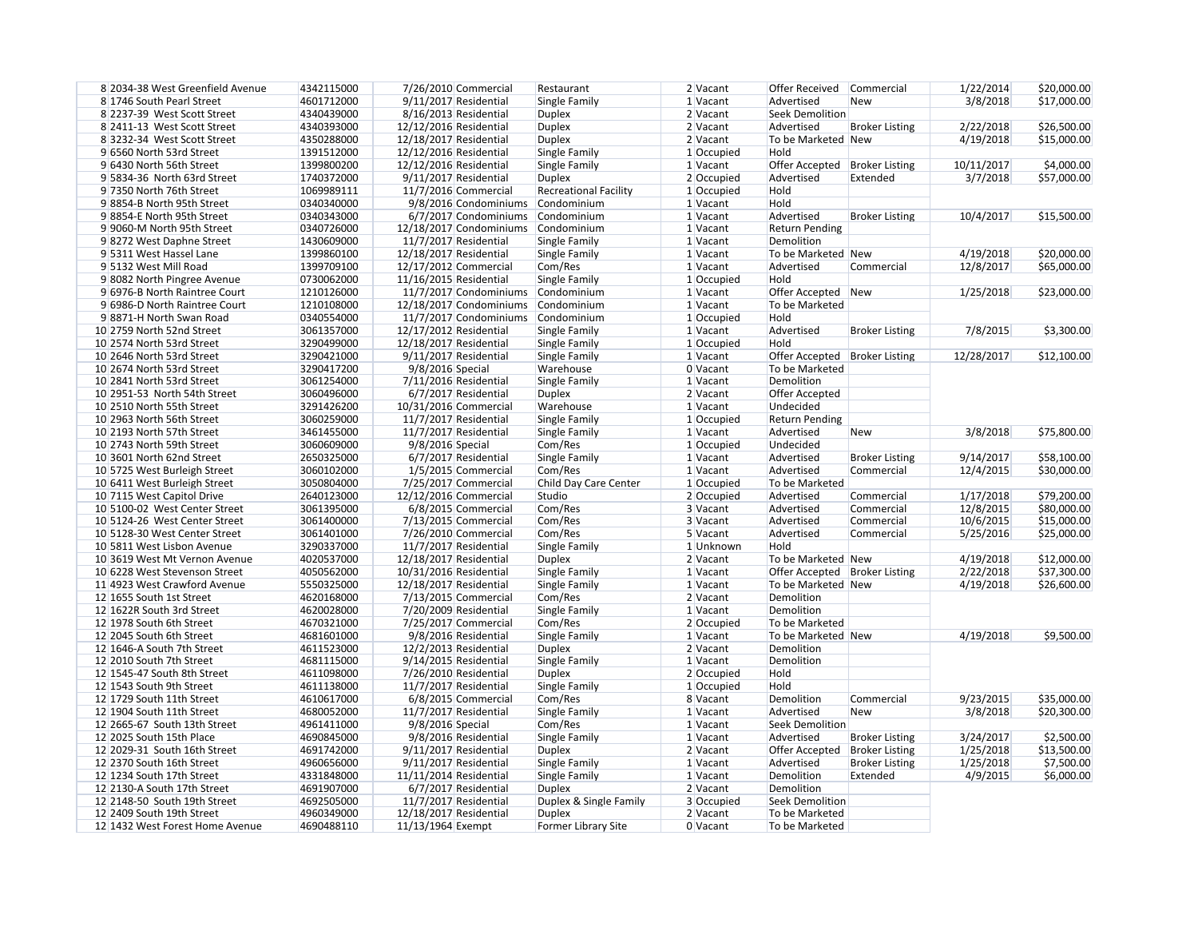| 8 2034-38 West Greenfield Avenue | 4342115000 | 7/26/2010 Commercial    | Restaurant                   | 2 Vacant   | Offer Received                  | Commercial            | 1/22/2014  | \$20,000.00 |
|----------------------------------|------------|-------------------------|------------------------------|------------|---------------------------------|-----------------------|------------|-------------|
| 8 1746 South Pearl Street        | 4601712000 | 9/11/2017 Residential   | Single Family                | $1$ Vacant | Advertised                      | New                   | 3/8/2018   | \$17,000.00 |
| 8 2237-39 West Scott Street      | 4340439000 | 8/16/2013 Residential   | <b>Duplex</b>                | $2$ Vacant | <b>Seek Demolition</b>          |                       |            |             |
| 8 2411-13 West Scott Street      | 4340393000 | 12/12/2016 Residential  | <b>Duplex</b>                | 2 Vacant   | Advertised                      | <b>Broker Listing</b> | 2/22/2018  | \$26,500.00 |
| 83232-34 West Scott Street       | 4350288000 | 12/18/2017 Residential  | <b>Duplex</b>                | 2 Vacant   | To be Marketed New              |                       | 4/19/2018  | \$15,000.00 |
| 9 6560 North 53rd Street         | 1391512000 | 12/12/2016 Residential  | Single Family                | 1 Occupied | Hold                            |                       |            |             |
| 9 6430 North 56th Street         | 1399800200 | 12/12/2016 Residential  | Single Family                | 1 Vacant   | Offer Accepted   Broker Listing |                       | 10/11/2017 | \$4,000.00  |
| 9 5834-36 North 63rd Street      | 1740372000 | 9/11/2017 Residential   | <b>Duplex</b>                | 2 Occupied | Advertised                      | Extended              | 3/7/2018   | \$57,000.00 |
| 9 7350 North 76th Street         | 1069989111 | 11/7/2016 Commercial    | <b>Recreational Facility</b> | 1 Occupied | Hold                            |                       |            |             |
| 98854-B North 95th Street        | 0340340000 | 9/8/2016 Condominiums   | Condominium                  | 1 Vacant   | Hold                            |                       |            |             |
| 98854-E North 95th Street        | 0340343000 | 6/7/2017 Condominiums   | Condominium                  | 1 Vacant   | Advertised                      | <b>Broker Listing</b> | 10/4/2017  | \$15,500.00 |
| 9 9060-M North 95th Street       | 0340726000 | 12/18/2017 Condominiums | Condominium                  | 1 Vacant   | <b>Return Pending</b>           |                       |            |             |
| 98272 West Daphne Street         | 1430609000 | 11/7/2017 Residential   | Single Family                | $1$ Vacant | Demolition                      |                       |            |             |
| 9 5311 West Hassel Lane          | 1399860100 | 12/18/2017 Residential  | Single Family                | $1$ Vacant | To be Marketed New              |                       | 4/19/2018  | \$20,000.00 |
| 9 5132 West Mill Road            | 1399709100 | 12/17/2012 Commercial   | Com/Res                      | 1 Vacant   | Advertised                      | Commercial            | 12/8/2017  | \$65,000.00 |
| 9 8082 North Pingree Avenue      | 0730062000 | 11/16/2015 Residential  | Single Family                | 1 Occupied | Hold                            |                       |            |             |
| 9 6976-B North Raintree Court    | 1210126000 | 11/7/2017 Condominiums  | Condominium                  | 1 Vacant   | Offer Accepted New              |                       | 1/25/2018  | \$23,000.00 |
| 9 6986-D North Raintree Court    | 1210108000 | 12/18/2017 Condominiums | Condominium                  | 1 Vacant   | To be Marketed                  |                       |            |             |
| 98871-H North Swan Road          | 0340554000 | 11/7/2017 Condominiums  | Condominium                  | 1 Occupied | Hold                            |                       |            |             |
| 10 2759 North 52nd Street        | 3061357000 | 12/17/2012 Residential  | Single Family                | 1 Vacant   | Advertised                      | <b>Broker Listing</b> | 7/8/2015   | \$3,300.00  |
| 10 2574 North 53rd Street        | 3290499000 | 12/18/2017 Residential  | Single Family                | 1 Occupied | Hold                            |                       |            |             |
| 10 2646 North 53rd Street        | 3290421000 | 9/11/2017 Residential   | Single Family                | 1 Vacant   | Offer Accepted   Broker Listing |                       | 12/28/2017 | \$12,100.00 |
| 10 2674 North 53rd Street        | 3290417200 | 9/8/2016 Special        | Warehouse                    | 0 Vacant   | To be Marketed                  |                       |            |             |
| 10 2841 North 53rd Street        | 3061254000 | $7/11/2016$ Residential | Single Family                | 1 Vacant   | Demolition                      |                       |            |             |
| 10 2951-53 North 54th Street     | 3060496000 | 6/7/2017 Residential    | <b>Duplex</b>                | 2 Vacant   | Offer Accepted                  |                       |            |             |
| 10 2510 North 55th Street        | 3291426200 | 10/31/2016 Commercial   | Warehouse                    | 1 Vacant   | Undecided                       |                       |            |             |
| 10 2963 North 56th Street        | 3060259000 | 11/7/2017 Residential   | Single Family                | 1 Occupied | <b>Return Pending</b>           |                       |            |             |
| 10 2193 North 57th Street        | 3461455000 | 11/7/2017 Residential   |                              | 1 Vacant   | Advertised                      |                       | 3/8/2018   |             |
|                                  |            |                         | Single Family                |            |                                 | <b>New</b>            |            | \$75,800.00 |
| 10 2743 North 59th Street        | 3060609000 | 9/8/2016 Special        | Com/Res                      | 1 Occupied | Undecided                       |                       |            |             |
| 10 3601 North 62nd Street        | 2650325000 | 6/7/2017 Residential    | Single Family                | 1 Vacant   | Advertised                      | <b>Broker Listing</b> | 9/14/2017  | \$58,100.00 |
| 10 5725 West Burleigh Street     | 3060102000 | 1/5/2015 Commercial     | Com/Res                      | 1 Vacant   | Advertised                      | Commercial            | 12/4/2015  | \$30,000.00 |
| 10 6411 West Burleigh Street     | 3050804000 | 7/25/2017 Commercial    | Child Day Care Center        | 1 Occupied | To be Marketed                  |                       |            |             |
| 10 7115 West Capitol Drive       | 2640123000 | 12/12/2016 Commercial   | Studio                       | 2 Occupied | Advertised                      | Commercial            | 1/17/2018  | \$79,200.00 |
| 10 5100-02 West Center Street    | 3061395000 | 6/8/2015 Commercial     | Com/Res                      | 3 Vacant   | Advertised                      | Commercial            | 12/8/2015  | \$80,000.00 |
| 10 5124-26 West Center Street    | 3061400000 | 7/13/2015 Commercial    | Com/Res                      | 3 Vacant   | Advertised                      | Commercial            | 10/6/2015  | \$15,000.00 |
| 10 5128-30 West Center Street    | 3061401000 | 7/26/2010 Commercial    | Com/Res                      | 5 Vacant   | Advertised                      | Commercial            | 5/25/2016  | \$25,000.00 |
| 10 5811 West Lisbon Avenue       | 3290337000 | 11/7/2017 Residential   | Single Family                | 1 Unknown  | Hold                            |                       |            |             |
| 10 3619 West Mt Vernon Avenue    | 4020537000 | 12/18/2017 Residential  | Duplex                       | 2 Vacant   | To be Marketed New              |                       | 4/19/2018  | \$12,000.00 |
| 10 6228 West Stevenson Street    | 4050562000 | 10/31/2016 Residential  | Single Family                | 1 Vacant   | Offer Accepted   Broker Listing |                       | 2/22/2018  | \$37,300.00 |
| 11 4923 West Crawford Avenue     | 5550325000 | 12/18/2017 Residential  | Single Family                | $1$ Vacant | To be Marketed New              |                       | 4/19/2018  | \$26,600.00 |
| 12 1655 South 1st Street         | 4620168000 | 7/13/2015 Commercial    | Com/Res                      | 2 Vacant   | Demolition                      |                       |            |             |
| 12 1622R South 3rd Street        | 4620028000 | 7/20/2009 Residential   | Single Family                | 1 Vacant   | Demolition                      |                       |            |             |
| 12 1978 South 6th Street         | 4670321000 | 7/25/2017 Commercial    | Com/Res                      | 2 Occupied | To be Marketed                  |                       |            |             |
| 12 2045 South 6th Street         | 4681601000 | 9/8/2016 Residential    | Single Family                | 1 Vacant   | To be Marketed New              |                       | 4/19/2018  | \$9,500.00  |
| 12 1646-A South 7th Street       | 4611523000 | 12/2/2013 Residential   | <b>Duplex</b>                | 2 Vacant   | Demolition                      |                       |            |             |
| 12 2010 South 7th Street         | 4681115000 | $9/14/2015$ Residential | Single Family                | 1 Vacant   | Demolition                      |                       |            |             |
| 12 1545-47 South 8th Street      | 4611098000 | 7/26/2010 Residential   | <b>Duplex</b>                | 2 Occupied | Hold                            |                       |            |             |
| 12 1543 South 9th Street         | 4611138000 | 11/7/2017 Residential   | Single Family                | 1 Occupied | Hold                            |                       |            |             |
| 12 1729 South 11th Street        | 4610617000 | 6/8/2015 Commercial     | Com/Res                      | 8 Vacant   | Demolition                      | Commercial            | 9/23/2015  | \$35,000.00 |
| 12 1904 South 11th Street        | 4680052000 | 11/7/2017 Residential   | Single Family                | 1 Vacant   | Advertised                      | <b>New</b>            | 3/8/2018   | \$20,300.00 |
| 12 2665-67 South 13th Street     | 4961411000 | 9/8/2016 Special        | Com/Res                      | 1 Vacant   | <b>Seek Demolition</b>          |                       |            |             |
| 12 2025 South 15th Place         | 4690845000 | 9/8/2016 Residential    | Single Family                | $1$ Vacant | Advertised                      | <b>Broker Listing</b> | 3/24/2017  | \$2,500.00  |
| 12 2029-31 South 16th Street     | 4691742000 | 9/11/2017 Residential   | <b>Duplex</b>                | 2 Vacant   | Offer Accepted                  | <b>Broker Listing</b> | 1/25/2018  | \$13,500.00 |
| 12 2370 South 16th Street        | 4960656000 | 9/11/2017 Residential   | Single Family                | 1 Vacant   | Advertised                      | <b>Broker Listing</b> | 1/25/2018  | \$7,500.00  |
| 12 1234 South 17th Street        | 4331848000 | 11/11/2014 Residential  | Single Family                | 1 Vacant   | Demolition                      | Extended              | 4/9/2015   | \$6,000.00  |
| 12 2130-A South 17th Street      | 4691907000 | 6/7/2017 Residential    | <b>Duplex</b>                | 2 Vacant   | Demolition                      |                       |            |             |
| 12 2148-50 South 19th Street     | 4692505000 | 11/7/2017 Residential   | Duplex & Single Family       | 3 Occupied | Seek Demolition                 |                       |            |             |
| 12 2409 South 19th Street        | 4960349000 | 12/18/2017 Residential  | <b>Duplex</b>                | 2 Vacant   | To be Marketed                  |                       |            |             |
| 12 1432 West Forest Home Avenue  | 4690488110 | 11/13/1964 Exempt       | Former Library Site          | 0 Vacant   | To be Marketed                  |                       |            |             |

| 1/22/2014  | \$20,000.00 |
|------------|-------------|
| 3/8/2018   | \$17,000.00 |
|            |             |
| 2/22/2018  | \$26,500.00 |
| 4/19/2018  | \$15,000.00 |
|            |             |
| 10/11/2017 | \$4,000.00  |
| 3/7/2018   | \$57,000.00 |
|            |             |
|            |             |
| 10/4/2017  | \$15,500.00 |
|            |             |
|            |             |
| 4/19/2018  | \$20,000.00 |
| 12/8/2017  | \$65,000.00 |
|            |             |
| 1/25/2018  | \$23,000.00 |
|            |             |
|            |             |
| 7/8/2015   | \$3,300.00  |
|            |             |
| 12/28/2017 | \$12,100.00 |

| 3/8/2018  | \$75,800.00 |
|-----------|-------------|
|           |             |
| 9/14/2017 | \$58,100.00 |
| 12/4/2015 | \$30,000.00 |
|           |             |
| 1/17/2018 | \$79,200.00 |
| 12/8/2015 | \$80,000.00 |
| 10/6/2015 | \$15,000.00 |
| 5/25/2016 | \$25,000.00 |
|           |             |
| 4/19/2018 | \$12,000.00 |
| 2/22/2018 | \$37,300.00 |
| 4/19/2018 | \$26,600.00 |
|           |             |

| 9/23/2015 | \$35,000.00 |
|-----------|-------------|
| 3/8/2018  | \$20,300.00 |
|           |             |
| 3/24/2017 | \$2,500.00  |
| 1/25/2018 | \$13,500.00 |
| 1/25/2018 | \$7,500.00  |
| 4/9/2015  | \$6,000.00  |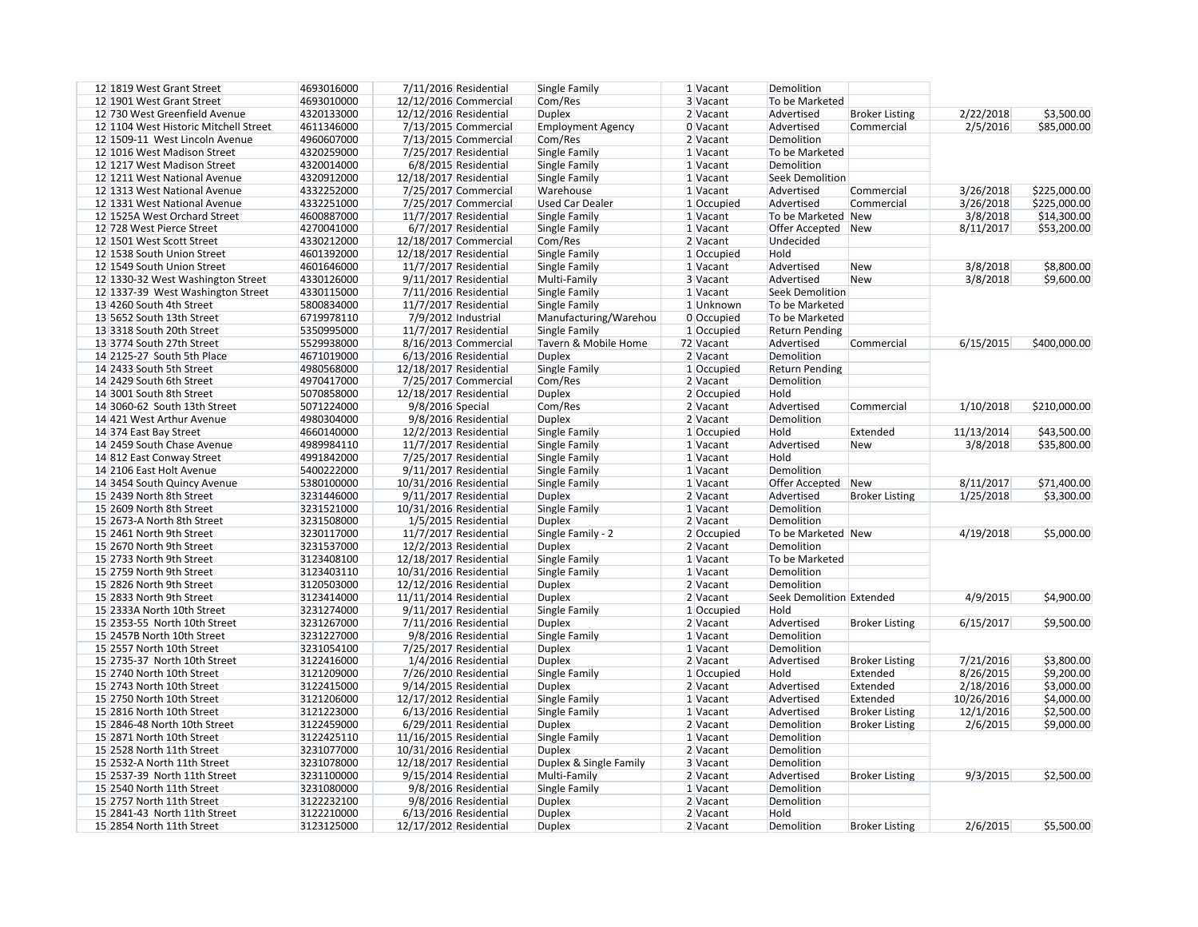| 12 1819 West Grant Street             | 4693016000 | 7/11/2016 Residential   | Single Family            | 1 Vacant   | Demolition               |                       |            |              |
|---------------------------------------|------------|-------------------------|--------------------------|------------|--------------------------|-----------------------|------------|--------------|
| 12 1901 West Grant Street             | 4693010000 | 12/12/2016 Commercial   | Com/Res                  | 3 Vacant   | To be Marketed           |                       |            |              |
| 12 730 West Greenfield Avenue         | 4320133000 | 12/12/2016 Residential  | <b>Duplex</b>            | $2$ Vacant | Advertised               | <b>Broker Listing</b> | 2/22/2018  | \$3,500.00   |
| 12 1104 West Historic Mitchell Street | 4611346000 | 7/13/2015 Commercial    | <b>Employment Agency</b> | 0 Vacant   | Advertised               | Commercial            | 2/5/2016   | \$85,000.00  |
| 12 1509-11 West Lincoln Avenue        | 4960607000 | 7/13/2015 Commercial    | Com/Res                  | 2 Vacant   | Demolition               |                       |            |              |
| 12 1016 West Madison Street           | 4320259000 | 7/25/2017 Residential   | Single Family            | $1$ Vacant | To be Marketed           |                       |            |              |
| 12 1217 West Madison Street           | 4320014000 | 6/8/2015 Residential    | Single Family            | $1$ Vacant | Demolition               |                       |            |              |
| 12 1211 West National Avenue          | 4320912000 | 12/18/2017 Residential  | Single Family            | $1$ Vacant | Seek Demolition          |                       |            |              |
| 12 1313 West National Avenue          | 4332252000 | 7/25/2017 Commercial    | Warehouse                | $1$ Vacant | Advertised               | Commercial            | 3/26/2018  | \$225,000.00 |
| 12 1331 West National Avenue          | 4332251000 | 7/25/2017 Commercial    | <b>Used Car Dealer</b>   | 1 Occupied | Advertised               | Commercial            | 3/26/2018  | \$225,000.00 |
| 12 1525A West Orchard Street          | 4600887000 | 11/7/2017 Residential   | <b>Single Family</b>     | $1$ Vacant | To be Marketed New       |                       | 3/8/2018   | \$14,300.00  |
| 12 728 West Pierce Street             | 4270041000 | 6/7/2017 Residential    | Single Family            | $1$ Vacant | Offer Accepted New       |                       | 8/11/2017  | \$53,200.00  |
| 12 1501 West Scott Street             | 4330212000 | 12/18/2017 Commercial   | Com/Res                  | 2 Vacant   | Undecided                |                       |            |              |
| 12 1538 South Union Street            | 4601392000 | 12/18/2017 Residential  | Single Family            | 1 Occupied | Hold                     |                       |            |              |
| 12 1549 South Union Street            | 4601646000 | 11/7/2017 Residential   | Single Family            | 1 Vacant   | Advertised               | <b>New</b>            | 3/8/2018   | \$8,800.00   |
| 12 1330-32 West Washington Street     | 4330126000 | $9/11/2017$ Residential | Multi-Family             | 3 Vacant   | Advertised               | <b>New</b>            | 3/8/2018   | \$9,600.00   |
| 12 1337-39 West Washington Street     | 4330115000 |                         |                          | 1 Vacant   |                          |                       |            |              |
|                                       |            | 7/11/2016 Residential   | Single Family            | 1Unknown   | Seek Demolition          |                       |            |              |
| 13 4260 South 4th Street              | 5800834000 | 11/7/2017 Residential   | Single Family            |            | To be Marketed           |                       |            |              |
| 13 5652 South 13th Street             | 6719978110 | 7/9/2012 Industrial     | Manufacturing/Warehou    | 0 Occupied | To be Marketed           |                       |            |              |
| 13 3318 South 20th Street             | 5350995000 | 11/7/2017 Residential   | Single Family            | 1 Occupied | <b>Return Pending</b>    |                       |            |              |
| 13 3774 South 27th Street             | 5529938000 | 8/16/2013 Commercial    | Tavern & Mobile Home     | 72 Vacant  | Advertised               | Commercial            | 6/15/2015  | \$400,000.00 |
| 14 2125-27 South 5th Place            | 4671019000 | $6/13/2016$ Residential | <b>Duplex</b>            | 2 Vacant   | Demolition               |                       |            |              |
| 14 2433 South 5th Street              | 4980568000 | 12/18/2017 Residential  | Single Family            | 1 Occupied | <b>Return Pending</b>    |                       |            |              |
| 14 2429 South 6th Street              | 4970417000 | 7/25/2017 Commercial    | Com/Res                  | $2$ Vacant | Demolition               |                       |            |              |
| 14 3001 South 8th Street              | 5070858000 | 12/18/2017 Residential  | <b>Duplex</b>            | 2 Occupied | Hold                     |                       |            |              |
| 14 3060-62 South 13th Street          | 5071224000 | 9/8/2016 Special        | Com/Res                  | 2 Vacant   | Advertised               | Commercial            | 1/10/2018  | \$210,000.00 |
| 14 421 West Arthur Avenue             | 4980304000 | 9/8/2016 Residential    | <b>Duplex</b>            | 2 Vacant   | Demolition               |                       |            |              |
| 14 374 East Bay Street                | 4660140000 | 12/2/2013 Residential   | Single Family            | 1 Occupied | Hold                     | Extended              | 11/13/2014 | \$43,500.00  |
| 14 2459 South Chase Avenue            | 4989984110 | 11/7/2017 Residential   | Single Family            | 1 Vacant   | Advertised               | <b>New</b>            | 3/8/2018   | \$35,800.00  |
| 14 812 East Conway Street             | 4991842000 | 7/25/2017 Residential   | Single Family            | 1 Vacant   | Hold                     |                       |            |              |
| 14 2106 East Holt Avenue              | 5400222000 | 9/11/2017 Residential   | Single Family            | 1 Vacant   | Demolition               |                       |            |              |
| 14 3454 South Quincy Avenue           | 5380100000 | 10/31/2016 Residential  | Single Family            | 1 Vacant   | Offer Accepted New       |                       | 8/11/2017  | \$71,400.00  |
| 15 2439 North 8th Street              | 3231446000 | 9/11/2017 Residential   | <b>Duplex</b>            | $2$ Vacant | Advertised               | <b>Broker Listing</b> | 1/25/2018  | \$3,300.00   |
| 15 2609 North 8th Street              | 3231521000 | 10/31/2016 Residential  | Single Family            | 1 Vacant   | Demolition               |                       |            |              |
| 15 2673-A North 8th Street            | 3231508000 | 1/5/2015 Residential    | <b>Duplex</b>            | 2 Vacant   | Demolition               |                       |            |              |
| 15 2461 North 9th Street              | 3230117000 | 11/7/2017 Residential   | Single Family - 2        | 2 Occupied | To be Marketed New       |                       | 4/19/2018  | \$5,000.00   |
| 15 2670 North 9th Street              | 3231537000 | 12/2/2013 Residential   | <b>Duplex</b>            | 2 Vacant   | Demolition               |                       |            |              |
| 15 2733 North 9th Street              | 3123408100 | 12/18/2017 Residential  | Single Family            | 1 Vacant   | To be Marketed           |                       |            |              |
| 15 2759 North 9th Street              | 3123403110 | 10/31/2016 Residential  | Single Family            | $1$ Vacant | Demolition               |                       |            |              |
| 15 2826 North 9th Street              | 3120503000 | 12/12/2016 Residential  | <b>Duplex</b>            | $2$ Vacant | Demolition               |                       |            |              |
| 15 2833 North 9th Street              | 3123414000 | 11/11/2014 Residential  | <b>Duplex</b>            | 2 Vacant   | Seek Demolition Extended |                       | 4/9/2015   | \$4,900.00   |
| 15 2333A North 10th Street            | 3231274000 | 9/11/2017 Residential   | Single Family            | 1 Occupied | Hold                     |                       |            |              |
| 15 2353-55 North 10th Street          | 3231267000 | 7/11/2016 Residential   | <b>Duplex</b>            | 2 Vacant   | Advertised               | <b>Broker Listing</b> | 6/15/2017  | \$9,500.00   |
| 15 2457B North 10th Street            | 3231227000 | 9/8/2016 Residential    |                          |            | Demolition               |                       |            |              |
|                                       |            |                         | Single Family            | $1$ Vacant |                          |                       |            |              |
| 15 2557 North 10th Street             | 3231054100 | 7/25/2017 Residential   | <b>Duplex</b>            | $1$ Vacant | Demolition               |                       |            |              |
| 15 2735-37 North 10th Street          | 3122416000 | 1/4/2016 Residential    | <b>Duplex</b>            | 2 Vacant   | Advertised               | <b>Broker Listing</b> | 7/21/2016  | \$3,800.00   |
| 15 2740 North 10th Street             | 3121209000 | 7/26/2010 Residential   | Single Family            | 1 Occupied | Hold                     | Extended              | 8/26/2015  | \$9,200.00   |
| 15 2743 North 10th Street             | 3122415000 | $9/14/2015$ Residential | <b>Duplex</b>            | 2 Vacant   | Advertised               | Extended              | 2/18/2016  | \$3,000.00   |
| 15 2750 North 10th Street             | 3121206000 | 12/17/2012 Residential  | Single Family            | $1$ Vacant | Advertised               | Extended              | 10/26/2016 | \$4,000.00   |
| 15 2816 North 10th Street             | 3121223000 | $6/13/2016$ Residential | Single Family            | $1$ Vacant | Advertised               | <b>Broker Listing</b> | 12/1/2016  | \$2,500.00   |
| 15 2846-48 North 10th Street          | 3122459000 | $6/29/2011$ Residential | <b>Duplex</b>            | $2$ Vacant | Demolition               | <b>Broker Listing</b> | 2/6/2015   | \$9,000.00   |
| 15 2871 North 10th Street             | 3122425110 | 11/16/2015 Residential  | Single Family            | $1$ Vacant | Demolition               |                       |            |              |
| 15 2528 North 11th Street             | 3231077000 | 10/31/2016 Residential  | <b>Duplex</b>            | $2$ Vacant | Demolition               |                       |            |              |
| 15 2532-A North 11th Street           | 3231078000 | 12/18/2017 Residential  | Duplex & Single Family   | 3 Vacant   | Demolition               |                       |            |              |
| 15 2537-39 North 11th Street          | 3231100000 | 9/15/2014 Residential   | Multi-Family             | $2$ Vacant | Advertised               | <b>Broker Listing</b> | 9/3/2015   | \$2,500.00   |
| 15 2540 North 11th Street             | 3231080000 | 9/8/2016 Residential    | Single Family            | $1$ Vacant | Demolition               |                       |            |              |
| 15 2757 North 11th Street             | 3122232100 | 9/8/2016 Residential    | <b>Duplex</b>            | $2$ Vacant | Demolition               |                       |            |              |
| 15 2841-43 North 11th Street          | 3122210000 | $6/13/2016$ Residential | <b>Duplex</b>            | $2$ Vacant | Hold                     |                       |            |              |
| 15 2854 North 11th Street             | 3123125000 | 12/17/2012 Residential  | <b>Duplex</b>            | $2$ Vacant | Demolition               | <b>Broker Listing</b> | 2/6/2015   | \$5,500.00   |

| 2/22/2018 | \$3,500.00  |
|-----------|-------------|
| 2/5/2016  | \$85,000.00 |
|           |             |

| 3/26/2018 | \$225,000.00 |
|-----------|--------------|
| 3/26/2018 | \$225,000.00 |
| 3/8/2018  | \$14,300.00  |
| 8/11/2017 | \$53,200.00  |
|           |              |

| 3/8/2018 | \$8,800.00 |
|----------|------------|
| 3/8/2018 | \$9,600.00 |

| 6/15/2015 | \$400,000.00 |
|-----------|--------------|
|-----------|--------------|

| 1/10/2018  | \$210,000.00 |
|------------|--------------|
|            |              |
| 11/13/2014 | \$43,500.00  |
| 3/8/2018   | \$35,800.00  |

| 8/11/2017 | \$71,400.00 |
|-----------|-------------|
| 1/25/2018 | \$3,300.00  |

| 4/19/2018 | \$5,000.00 |
|-----------|------------|
|-----------|------------|

|--|

```
6/15/2017 $9,500.00
```

| 7/21/2016  | \$3,800.00 |
|------------|------------|
| 8/26/2015  | \$9,200.00 |
| 2/18/2016  | \$3,000.00 |
| 10/26/2016 | \$4,000.00 |
| 12/1/2016  | \$2,500.00 |
| 2/6/2015   | \$9,000.00 |
|            |            |

## $9/3/2015$  \$2,500.00

| 2/6/2015 | \$5,500.00 |
|----------|------------|
|----------|------------|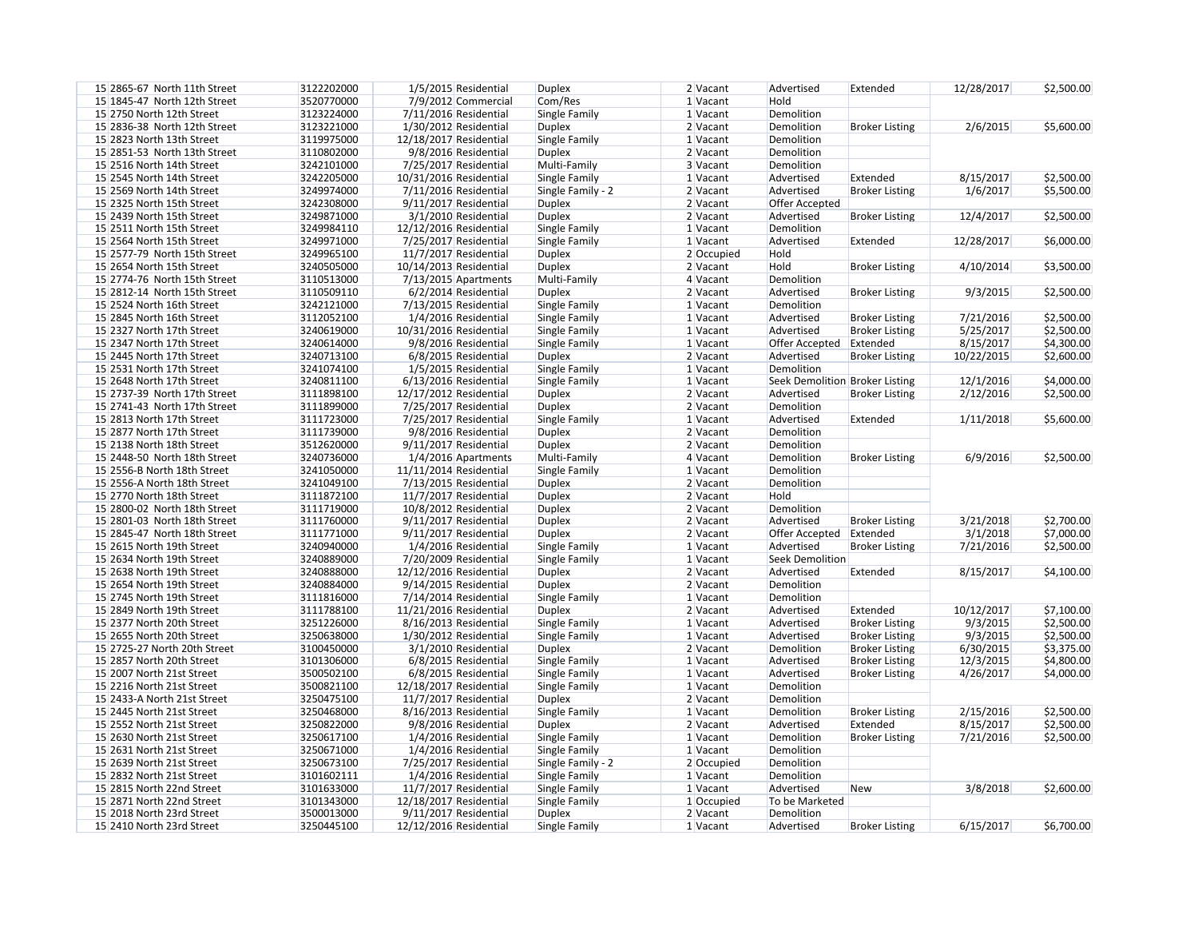| 15 2865-67 North 11th Street | 3122202000 | 1/5/2015 Residential    | <b>Duplex</b>     | 2 Vacant   | Advertised                     | Extended              | 12/28/2017 | \$2,500.00 |
|------------------------------|------------|-------------------------|-------------------|------------|--------------------------------|-----------------------|------------|------------|
| 15 1845-47 North 12th Street | 3520770000 | 7/9/2012 Commercial     | Com/Res           | 1 Vacant   | Hold                           |                       |            |            |
| 15 2750 North 12th Street    | 3123224000 | 7/11/2016 Residential   | Single Family     | 1 Vacant   | Demolition                     |                       |            |            |
| 15 2836-38 North 12th Street | 3123221000 | 1/30/2012 Residential   | <b>Duplex</b>     | 2 Vacant   | Demolition                     | <b>Broker Listing</b> | 2/6/2015   | \$5,600.00 |
| 15 2823 North 13th Street    | 3119975000 | 12/18/2017 Residential  | Single Family     | 1 Vacant   | Demolition                     |                       |            |            |
| 15 2851-53 North 13th Street | 3110802000 | 9/8/2016 Residential    | <b>Duplex</b>     | 2 Vacant   | Demolition                     |                       |            |            |
| 15 2516 North 14th Street    | 3242101000 | 7/25/2017 Residential   | Multi-Family      | 3 Vacant   | Demolition                     |                       |            |            |
| 15 2545 North 14th Street    | 3242205000 | 10/31/2016 Residential  | Single Family     | 1 Vacant   | Advertised                     | Extended              | 8/15/2017  | \$2,500.00 |
| 15 2569 North 14th Street    | 3249974000 | $7/11/2016$ Residential | Single Family - 2 | 2 Vacant   | Advertised                     | <b>Broker Listing</b> | 1/6/2017   | \$5,500.00 |
| 15 2325 North 15th Street    | 3242308000 | 9/11/2017 Residential   | <b>Duplex</b>     | 2 Vacant   | <b>Offer Accepted</b>          |                       |            |            |
| 15 2439 North 15th Street    | 3249871000 | 3/1/2010 Residential    | <b>Duplex</b>     | $2$ Vacant | Advertised                     | <b>Broker Listing</b> | 12/4/2017  | \$2,500.00 |
| 15 2511 North 15th Street    | 3249984110 | 12/12/2016 Residential  | Single Family     | 1 Vacant   | Demolition                     |                       |            |            |
| 15 2564 North 15th Street    | 3249971000 | 7/25/2017 Residential   | Single Family     | 1 Vacant   | Advertised                     | Extended              | 12/28/2017 | \$6,000.00 |
| 15 2577-79 North 15th Street | 3249965100 | 11/7/2017 Residential   | <b>Duplex</b>     | 2 Occupied | Hold                           |                       |            |            |
| 15 2654 North 15th Street    | 3240505000 | 10/14/2013 Residential  | <b>Duplex</b>     | 2 Vacant   | Hold                           | <b>Broker Listing</b> | 4/10/2014  | \$3,500.00 |
| 15 2774-76 North 15th Street | 3110513000 | 7/13/2015 Apartments    | Multi-Family      | $4$ Vacant | Demolition                     |                       |            |            |
| 15 2812-14 North 15th Street | 3110509110 | $6/2/2014$ Residential  | <b>Duplex</b>     | $2$ Vacant | Advertised                     | <b>Broker Listing</b> | 9/3/2015   | \$2,500.00 |
| 15 2524 North 16th Street    | 3242121000 | $7/13/2015$ Residential | Single Family     | 1 Vacant   | Demolition                     |                       |            |            |
| 15 2845 North 16th Street    | 3112052100 | 1/4/2016 Residential    |                   | 1 Vacant   | Advertised                     |                       |            | \$2,500.00 |
|                              |            |                         | Single Family     |            |                                | <b>Broker Listing</b> | 7/21/2016  |            |
| 15 2327 North 17th Street    | 3240619000 | 10/31/2016 Residential  | Single Family     | 1 Vacant   | Advertised                     | <b>Broker Listing</b> | 5/25/2017  | \$2,500.00 |
| 15 2347 North 17th Street    | 3240614000 | 9/8/2016 Residential    | Single Family     | 1 Vacant   | Offer Accepted                 | Extended              | 8/15/2017  | \$4,300.00 |
| 15 2445 North 17th Street    | 3240713100 | 6/8/2015 Residential    | <b>Duplex</b>     | 2 Vacant   | Advertised                     | <b>Broker Listing</b> | 10/22/2015 | \$2,600.00 |
| 15 2531 North 17th Street    | 3241074100 | 1/5/2015 Residential    | Single Family     | 1 Vacant   | Demolition                     |                       |            |            |
| 15 2648 North 17th Street    | 3240811100 | $6/13/2016$ Residential | Single Family     | 1 Vacant   | Seek Demolition Broker Listing |                       | 12/1/2016  | \$4,000.00 |
| 15 2737-39 North 17th Street | 3111898100 | 12/17/2012 Residential  | <b>Duplex</b>     | 2 Vacant   | Advertised                     | <b>Broker Listing</b> | 2/12/2016  | \$2,500.00 |
| 15 2741-43 North 17th Street | 3111899000 | 7/25/2017 Residential   | <b>Duplex</b>     | 2 Vacant   | Demolition                     |                       |            |            |
| 15 2813 North 17th Street    | 3111723000 | 7/25/2017 Residential   | Single Family     | 1 Vacant   | Advertised                     | Extended              | 1/11/2018  | \$5,600.00 |
| 15 2877 North 17th Street    | 3111739000 | 9/8/2016 Residential    | <b>Duplex</b>     | 2 Vacant   | Demolition                     |                       |            |            |
| 15 2138 North 18th Street    | 3512620000 | 9/11/2017 Residential   | <b>Duplex</b>     | 2 Vacant   | Demolition                     |                       |            |            |
| 15 2448-50 North 18th Street | 3240736000 | 1/4/2016 Apartments     | Multi-Family      | $4$ Vacant | Demolition                     | <b>Broker Listing</b> | 6/9/2016   | \$2,500.00 |
| 15 2556-B North 18th Street  | 3241050000 | 11/11/2014 Residential  | Single Family     | 1 Vacant   | Demolition                     |                       |            |            |
| 15 2556-A North 18th Street  | 3241049100 | 7/13/2015 Residential   | <b>Duplex</b>     | 2 Vacant   | Demolition                     |                       |            |            |
| 15 2770 North 18th Street    | 3111872100 | 11/7/2017 Residential   | <b>Duplex</b>     | 2 Vacant   | Hold                           |                       |            |            |
| 15 2800-02 North 18th Street | 3111719000 | 10/8/2012 Residential   | <b>Duplex</b>     | 2 Vacant   | Demolition                     |                       |            |            |
| 15 2801-03 North 18th Street | 3111760000 | 9/11/2017 Residential   | <b>Duplex</b>     | 2 Vacant   | Advertised                     | <b>Broker Listing</b> | 3/21/2018  | \$2,700.00 |
| 15 2845-47 North 18th Street | 3111771000 | 9/11/2017 Residential   | <b>Duplex</b>     | 2 Vacant   | Offer Accepted                 | Extended              | 3/1/2018   | \$7,000.00 |
| 15 2615 North 19th Street    | 3240940000 | 1/4/2016 Residential    | Single Family     | 1 Vacant   | Advertised                     | <b>Broker Listing</b> | 7/21/2016  | \$2,500.00 |
| 15 2634 North 19th Street    | 3240889000 | 7/20/2009 Residential   | Single Family     | 1 Vacant   | Seek Demolition                |                       |            |            |
| 15 2638 North 19th Street    | 3240888000 | 12/12/2016 Residential  | <b>Duplex</b>     | 2 Vacant   | Advertised                     | Extended              | 8/15/2017  | \$4,100.00 |
| 15 2654 North 19th Street    | 3240884000 | $9/14/2015$ Residential | <b>Duplex</b>     | 2 Vacant   | Demolition                     |                       |            |            |
| 15 2745 North 19th Street    | 3111816000 | $7/14/2014$ Residential | Single Family     | 1 Vacant   | Demolition                     |                       |            |            |
| 15 2849 North 19th Street    | 3111788100 | 11/21/2016 Residential  | <b>Duplex</b>     | 2 Vacant   | Advertised                     | Extended              | 10/12/2017 | \$7,100.00 |
| 15 2377 North 20th Street    | 3251226000 | 8/16/2013 Residential   | Single Family     | 1 Vacant   | Advertised                     | <b>Broker Listing</b> | 9/3/2015   | \$2,500.00 |
| 15 2655 North 20th Street    | 3250638000 | $1/30/2012$ Residential | Single Family     | 1 Vacant   | Advertised                     | <b>Broker Listing</b> | 9/3/2015   | \$2,500.00 |
| 15 2725-27 North 20th Street | 3100450000 | 3/1/2010 Residential    | <b>Duplex</b>     | 2 Vacant   | Demolition                     | <b>Broker Listing</b> | 6/30/2015  | \$3,375.00 |
| 15 2857 North 20th Street    | 3101306000 | 6/8/2015 Residential    | Single Family     | 1 Vacant   | Advertised                     | <b>Broker Listing</b> | 12/3/2015  | \$4,800.00 |
| 15 2007 North 21st Street    | 3500502100 | 6/8/2015 Residential    | Single Family     | 1 Vacant   | Advertised                     | <b>Broker Listing</b> | 4/26/2017  | \$4,000.00 |
| 15 2216 North 21st Street    | 3500821100 | 12/18/2017 Residential  | Single Family     | 1 Vacant   | Demolition                     |                       |            |            |
| 15 2433-A North 21st Street  | 3250475100 | 11/7/2017 Residential   | <b>Duplex</b>     | 2 Vacant   | Demolition                     |                       |            |            |
| 15 2445 North 21st Street    | 3250468000 | 8/16/2013 Residential   | Single Family     | 1 Vacant   | Demolition                     | <b>Broker Listing</b> | 2/15/2016  | \$2,500.00 |
|                              |            |                         |                   |            |                                |                       |            |            |
| 15 2552 North 21st Street    | 3250822000 | 9/8/2016 Residential    | <b>Duplex</b>     | 2 Vacant   | Advertised                     | Extended              | 8/15/2017  | \$2,500.00 |
| 15 2630 North 21st Street    | 3250617100 | 1/4/2016 Residential    | Single Family     | 1 Vacant   | Demolition                     | <b>Broker Listing</b> | 7/21/2016  | \$2,500.00 |
| 15 2631 North 21st Street    | 3250671000 | 1/4/2016 Residential    | Single Family     | 1 Vacant   | Demolition                     |                       |            |            |
| 15 2639 North 21st Street    | 3250673100 | 7/25/2017 Residential   | Single Family - 2 | 2 Occupied | Demolition                     |                       |            |            |
| 15 2832 North 21st Street    | 3101602111 | 1/4/2016 Residential    | Single Family     | 1 Vacant   | Demolition                     |                       |            |            |
| 15 2815 North 22nd Street    | 3101633000 | 11/7/2017 Residential   | Single Family     | 1 Vacant   | Advertised                     | <b>New</b>            | 3/8/2018   | \$2,600.00 |
| 15 2871 North 22nd Street    | 3101343000 | 12/18/2017 Residential  | Single Family     | 1 Occupied | To be Marketed                 |                       |            |            |
| 15 2018 North 23rd Street    | 3500013000 | 9/11/2017 Residential   | <b>Duplex</b>     | 2 Vacant   | Demolition                     |                       |            |            |
| 15 2410 North 23rd Street    | 3250445100 | 12/12/2016 Residential  | Single Family     | $1$ Vacant | Advertised                     | <b>Broker Listing</b> | 6/15/2017  | \$6,700.00 |

| 12/28/2017 | \$2,500.00 |
|------------|------------|
|            |            |
|            |            |
|            |            |
|            |            |
| 2/6/2015   | \$5,600.00 |
|            |            |
|            |            |
|            |            |
|            |            |
|            |            |
| 8/15/2017  | \$2,500.00 |
| 1/6/2017   | \$5,500.00 |
|            |            |
|            |            |
| 12/4/2017  | \$2,500.00 |
|            |            |
|            |            |
| 12/28/2017 | \$6,000.00 |
|            |            |
|            |            |
| 4/10/2014  | \$3,500.00 |
|            |            |
|            |            |
| 9/3/2015   | \$2,500.00 |
|            |            |
|            |            |
| 7/21/2016  | \$2,500.00 |
|            |            |
| 5/25/2017  | \$2,500.00 |
| 8/15/2017  | \$4,300.00 |
|            |            |
| 10/22/2015 | \$2,600.00 |
|            |            |
|            |            |
| 12/1/2016  | \$4,000.00 |
| 2/12/2016  | \$2,500.00 |
|            |            |
|            |            |
| 1/11/2018  | \$5,600.00 |
|            |            |
|            |            |
|            |            |
| 6/9/2016   | \$2,500.00 |
|            |            |
|            |            |
|            |            |
|            |            |
|            |            |
|            |            |
|            |            |
|            |            |
| 3/21/2018  | \$2,700.00 |
|            |            |
| 3/1/2018   | \$7,000.00 |
| 7/21/2016  | \$2,500.00 |
|            |            |
|            |            |
| 8/15/2017  | 54,100.00  |
|            |            |
|            |            |
|            |            |
| 10/12/2017 | \$7,100.00 |
|            |            |
| 9/3/2015   | \$2,500.00 |
|            | \$2,500.00 |
| 9/3/2015   |            |
| 6/30/2015  | \$3,375.00 |
| 12/3/2015  | \$4,800.00 |
|            |            |
| 4/26/2017  | \$4,000.00 |
|            |            |
|            |            |
|            |            |
| 2/15/2016  | \$2,500.00 |
|            |            |
| 8/15/2017  | \$2,500.00 |
| 7/21/2016  | \$2,500.00 |
|            |            |
|            |            |
|            |            |
|            |            |
|            |            |
| 3/8/2018   | \$2,600.00 |
|            |            |
|            |            |
|            |            |
| 6/15/2017  | \$6,700.00 |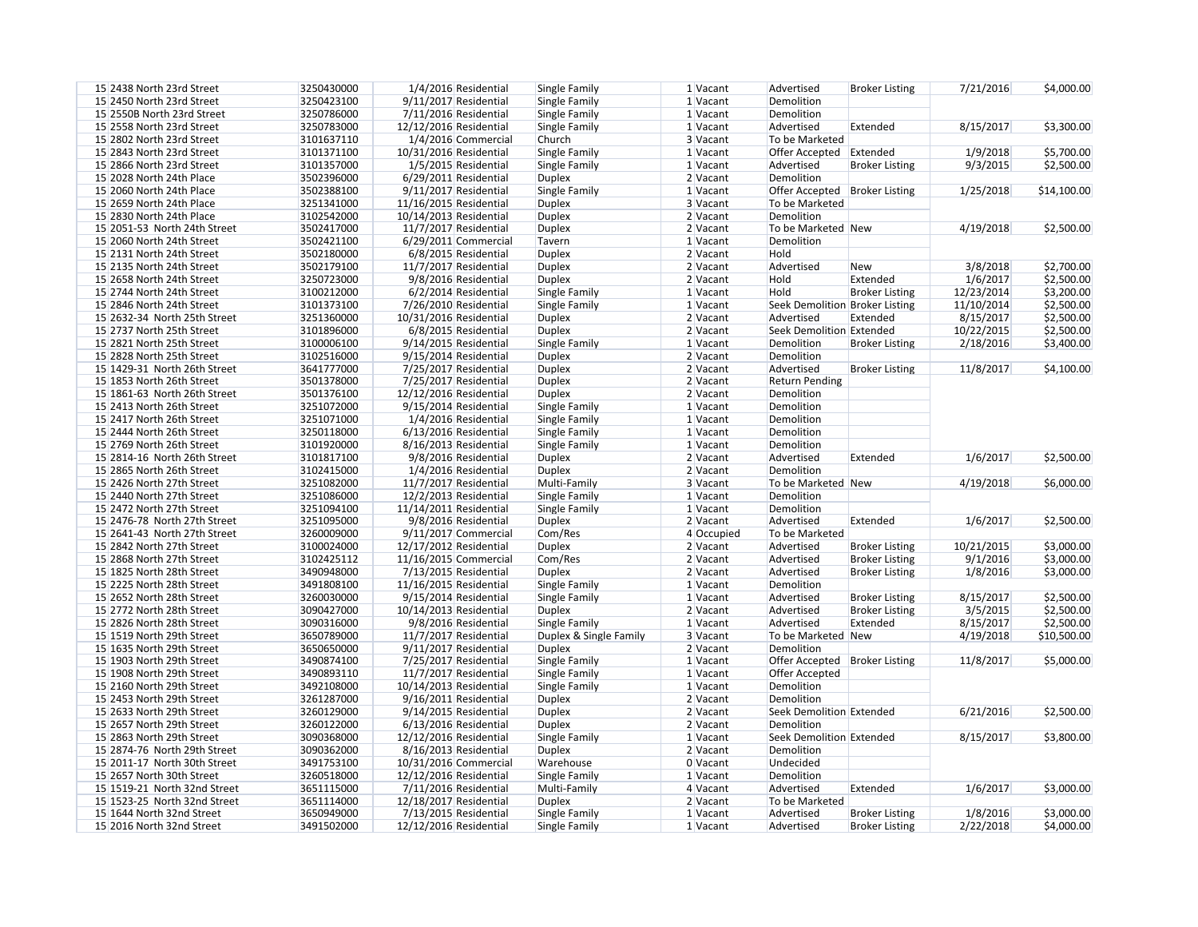| 7/21/2016  | \$4,000.00  |
|------------|-------------|
|            |             |
| 8/15/2017  | \$3,300.00  |
| 1/9/2018   | \$5,700.00  |
| 9/3/2015   | \$2,500.00  |
| 1/25/2018  | \$14,100.00 |
| 4/19/2018  | \$2,500.00  |
| 3/8/2018   | \$2,700.00  |
| 1/6/2017   | \$2,500.00  |
| 12/23/2014 | \$3,200.00  |
| 11/10/2014 | \$2,500.00  |
| 8/15/2017  | \$2,500.00  |
| 10/22/2015 | \$2,500.00  |
| 2/18/2016  | \$3,400.00  |
| 11/8/2017  | \$4,100.00  |

| 1/6/2017   | \$2,500.00  |
|------------|-------------|
| 4/19/2018  | \$6,000.00  |
|            |             |
| 1/6/2017   | \$2,500.00  |
| 10/21/2015 | \$3,000.00  |
| 9/1/2016   | \$3,000.00  |
| 1/8/2016   | \$3,000.00  |
| 8/15/2017  | \$2,500.00  |
| 3/5/2015   | \$2,500.00  |
| 8/15/2017  | \$2,500.00  |
| 4/19/2018  | \$10,500.00 |
| 11/8/2017  | \$5,000.00  |
|            |             |
| 6/21/2016  | \$2,500.00  |
| 8/15/2017  | \$3,800.00  |
|            |             |
| 1/6/2017   | \$3,000.00  |
|            |             |
| 1010000    | 42.0000     |

| 15 2438 North 23rd Street    | 3250430000 | 1/4/2016 Residential    | Single Family          | 1 Vacant   | Advertised                      | <b>Broker Listing</b> | 7/21/2016  | \$4,000.00  |
|------------------------------|------------|-------------------------|------------------------|------------|---------------------------------|-----------------------|------------|-------------|
| 15 2450 North 23rd Street    | 3250423100 | 9/11/2017 Residential   | Single Family          | 1 Vacant   | Demolition                      |                       |            |             |
| 15 2550B North 23rd Street   | 3250786000 | 7/11/2016 Residential   | Single Family          | 1 Vacant   | Demolition                      |                       |            |             |
| 15 2558 North 23rd Street    | 3250783000 | 12/12/2016 Residential  | Single Family          | 1 Vacant   | Advertised                      | Extended              | 8/15/2017  | \$3,300.00  |
| 15 2802 North 23rd Street    | 3101637110 | 1/4/2016 Commercial     | Church                 | 3 Vacant   | To be Marketed                  |                       |            |             |
| 15 2843 North 23rd Street    | 3101371100 | 10/31/2016 Residential  | Single Family          | 1 Vacant   | Offer Accepted Extended         |                       | 1/9/2018   | \$5,700.00  |
| 15 2866 North 23rd Street    | 3101357000 | 1/5/2015 Residential    | Single Family          | $1$ Vacant | Advertised                      | <b>Broker Listing</b> | 9/3/2015   | \$2,500.00  |
| 15 2028 North 24th Place     | 3502396000 | $6/29/2011$ Residential | <b>Duplex</b>          | 2 Vacant   | Demolition                      |                       |            |             |
| 15 2060 North 24th Place     | 3502388100 | 9/11/2017 Residential   | Single Family          | 1 Vacant   | Offer Accepted   Broker Listing |                       | 1/25/2018  | \$14,100.00 |
| 15 2659 North 24th Place     | 3251341000 | 11/16/2015 Residential  | <b>Duplex</b>          | 3 Vacant   | To be Marketed                  |                       |            |             |
| 15 2830 North 24th Place     | 3102542000 | 10/14/2013 Residential  | <b>Duplex</b>          | 2 Vacant   | Demolition                      |                       |            |             |
| 15 2051-53 North 24th Street | 3502417000 | 11/7/2017 Residential   | <b>Duplex</b>          | 2 Vacant   | To be Marketed   New            |                       | 4/19/2018  | \$2,500.00  |
| 15 2060 North 24th Street    | 3502421100 | $6/29/2011$ Commercial  | Tavern                 | 1 Vacant   | Demolition                      |                       |            |             |
| 15 2131 North 24th Street    | 3502180000 | 6/8/2015 Residential    | <b>Duplex</b>          | 2 Vacant   | Hold                            |                       |            |             |
| 15 2135 North 24th Street    | 3502179100 | 11/7/2017 Residential   | <b>Duplex</b>          | 2 Vacant   | Advertised                      | <b>New</b>            | 3/8/2018   | \$2,700.00  |
| 15 2658 North 24th Street    | 3250723000 | 9/8/2016 Residential    | <b>Duplex</b>          | 2 Vacant   | Hold                            | Extended              | 1/6/2017   | \$2,500.00  |
| 15 2744 North 24th Street    | 3100212000 | 6/2/2014 Residential    |                        | 1 Vacant   | Hold                            | <b>Broker Listing</b> | 12/23/2014 | \$3,200.00  |
| 15 2846 North 24th Street    | 3101373100 |                         | Single Family          | 1 Vacant   |                                 |                       | 11/10/2014 | \$2,500.00  |
|                              |            | 7/26/2010 Residential   | Single Family          |            | Seek Demolition Broker Listing  |                       |            |             |
| 15 2632-34 North 25th Street | 3251360000 | 10/31/2016 Residential  | <b>Duplex</b>          | 2 Vacant   | Advertised                      | Extended              | 8/15/2017  | \$2,500.00  |
| 15 2737 North 25th Street    | 3101896000 | 6/8/2015 Residential    | <b>Duplex</b>          | 2 Vacant   | Seek Demolition Extended        |                       | 10/22/2015 | \$2,500.00  |
| 15 2821 North 25th Street    | 3100006100 | 9/14/2015 Residential   | Single Family          | $1$ Vacant | Demolition                      | <b>Broker Listing</b> | 2/18/2016  | \$3,400.00  |
| 15 2828 North 25th Street    | 3102516000 | 9/15/2014 Residential   | <b>Duplex</b>          | $2$ Vacant | Demolition                      |                       |            |             |
| 15 1429-31 North 26th Street | 3641777000 | 7/25/2017 Residential   | <b>Duplex</b>          | 2 Vacant   | Advertised                      | <b>Broker Listing</b> | 11/8/2017  | \$4,100.00  |
| 15 1853 North 26th Street    | 3501378000 | 7/25/2017 Residential   | <b>Duplex</b>          | 2 Vacant   | <b>Return Pending</b>           |                       |            |             |
| 15 1861-63 North 26th Street | 3501376100 | 12/12/2016 Residential  | <b>Duplex</b>          | 2 Vacant   | Demolition                      |                       |            |             |
| 15 2413 North 26th Street    | 3251072000 | 9/15/2014 Residential   | Single Family          | 1 Vacant   | Demolition                      |                       |            |             |
| 15 2417 North 26th Street    | 3251071000 | 1/4/2016 Residential    | Single Family          | 1 Vacant   | Demolition                      |                       |            |             |
| 15 2444 North 26th Street    | 3250118000 | 6/13/2016 Residential   | Single Family          | 1 Vacant   | Demolition                      |                       |            |             |
| 15 2769 North 26th Street    | 3101920000 | 8/16/2013 Residential   | Single Family          | 1 Vacant   | Demolition                      |                       |            |             |
| 15 2814-16 North 26th Street | 3101817100 | 9/8/2016 Residential    | <b>Duplex</b>          | 2 Vacant   | Advertised                      | Extended              | 1/6/2017   | \$2,500.00  |
| 15 2865 North 26th Street    | 3102415000 | 1/4/2016 Residential    | <b>Duplex</b>          | 2 Vacant   | Demolition                      |                       |            |             |
| 15 2426 North 27th Street    | 3251082000 | 11/7/2017 Residential   | Multi-Family           | 3 Vacant   | To be Marketed New              |                       | 4/19/2018  | \$6,000.00  |
| 15 2440 North 27th Street    | 3251086000 | 12/2/2013 Residential   | Single Family          | 1 Vacant   | Demolition                      |                       |            |             |
| 15 2472 North 27th Street    | 3251094100 | 11/14/2011 Residential  | Single Family          | $1$ Vacant | Demolition                      |                       |            |             |
| 15 2476-78 North 27th Street | 3251095000 | 9/8/2016 Residential    | <b>Duplex</b>          | 2 Vacant   | Advertised                      | Extended              | 1/6/2017   | \$2,500.00  |
| 15 2641-43 North 27th Street | 3260009000 | 9/11/2017 Commercial    | Com/Res                | 4 Occupied | To be Marketed                  |                       |            |             |
| 15 2842 North 27th Street    | 3100024000 | 12/17/2012 Residential  | <b>Duplex</b>          | 2 Vacant   | Advertised                      | <b>Broker Listing</b> | 10/21/2015 | \$3,000.00  |
| 15 2868 North 27th Street    | 3102425112 | $11/16/2015$ Commercial | Com/Res                | 2 Vacant   | Advertised                      | <b>Broker Listing</b> | 9/1/2016   | \$3,000.00  |
| 15 1825 North 28th Street    | 3490948000 | $7/13/2015$ Residential | <b>Duplex</b>          | 2 Vacant   | Advertised                      | <b>Broker Listing</b> | 1/8/2016   | \$3,000.00  |
| 15 2225 North 28th Street    | 3491808100 | 11/16/2015 Residential  | Single Family          | $1$ Vacant | Demolition                      |                       |            |             |
| 15 2652 North 28th Street    | 3260030000 | 9/15/2014 Residential   | Single Family          | $1$ Vacant | Advertised                      | <b>Broker Listing</b> | 8/15/2017  | \$2,500.00  |
| 15 2772 North 28th Street    | 3090427000 | 10/14/2013 Residential  | <b>Duplex</b>          | $2$ Vacant | Advertised                      | <b>Broker Listing</b> | 3/5/2015   | \$2,500.00  |
| 15 2826 North 28th Street    | 3090316000 | 9/8/2016 Residential    | Single Family          | $1$ Vacant | Advertised                      | Extended              | 8/15/2017  | \$2,500.00  |
| 15 1519 North 29th Street    | 3650789000 | 11/7/2017 Residential   | Duplex & Single Family | 3 Vacant   | To be Marketed New              |                       | 4/19/2018  | \$10,500.00 |
| 15 1635 North 29th Street    | 3650650000 | 9/11/2017 Residential   | <b>Duplex</b>          | $2$ Vacant | Demolition                      |                       |            |             |
| 15 1903 North 29th Street    | 3490874100 | 7/25/2017 Residential   | Single Family          | $1$ Vacant | Offer Accepted   Broker Listing |                       | 11/8/2017  | \$5,000.00  |
| 15 1908 North 29th Street    | 3490893110 | 11/7/2017 Residential   | Single Family          | $1$ Vacant | Offer Accepted                  |                       |            |             |
| 15 2160 North 29th Street    | 3492108000 | 10/14/2013 Residential  | Single Family          | $1$ Vacant | Demolition                      |                       |            |             |
| 15 2453 North 29th Street    | 3261287000 | 9/16/2011 Residential   | <b>Duplex</b>          | $2$ Vacant | Demolition                      |                       |            |             |
| 15 2633 North 29th Street    | 3260129000 | $9/14/2015$ Residential | <b>Duplex</b>          | $2$ Vacant | Seek Demolition Extended        |                       | 6/21/2016  | \$2,500.00  |
| 15 2657 North 29th Street    | 3260122000 | $6/13/2016$ Residential | <b>Duplex</b>          | $2$ Vacant | Demolition                      |                       |            |             |
| 15 2863 North 29th Street    | 3090368000 | 12/12/2016 Residential  | Single Family          | $1$ Vacant | Seek Demolition Extended        |                       | 8/15/2017  | \$3,800.00  |
| 15 2874-76 North 29th Street | 3090362000 | 8/16/2013 Residential   | <b>Duplex</b>          | $2$ Vacant | Demolition                      |                       |            |             |
| 15 2011-17 North 30th Street | 3491753100 | 10/31/2016 Commercial   | Warehouse              | 0 Vacant   | Undecided                       |                       |            |             |
| 15 2657 North 30th Street    |            |                         |                        |            |                                 |                       |            |             |
|                              | 3260518000 | 12/12/2016 Residential  | Single Family          | $1$ Vacant | Demolition                      |                       |            |             |
| 15 1519-21 North 32nd Street | 3651115000 | $7/11/2016$ Residential | Multi-Family           | $4$ Vacant | Advertised                      | Extended              | 1/6/2017   | \$3,000.00  |
| 15 1523-25 North 32nd Street | 3651114000 | 12/18/2017 Residential  | <b>Duplex</b>          | $2$ Vacant | To be Marketed                  |                       |            |             |
| 15 1644 North 32nd Street    | 3650949000 | $7/13/2015$ Residential | Single Family          | $1$ Vacant | Advertised                      | <b>Broker Listing</b> | 1/8/2016   | \$3,000.00  |
| 15 2016 North 32nd Street    | 3491502000 | 12/12/2016 Residential  | Single Family          | $1$ Vacant | Advertised                      | <b>Broker Listing</b> | 2/22/2018  | \$4,000.00  |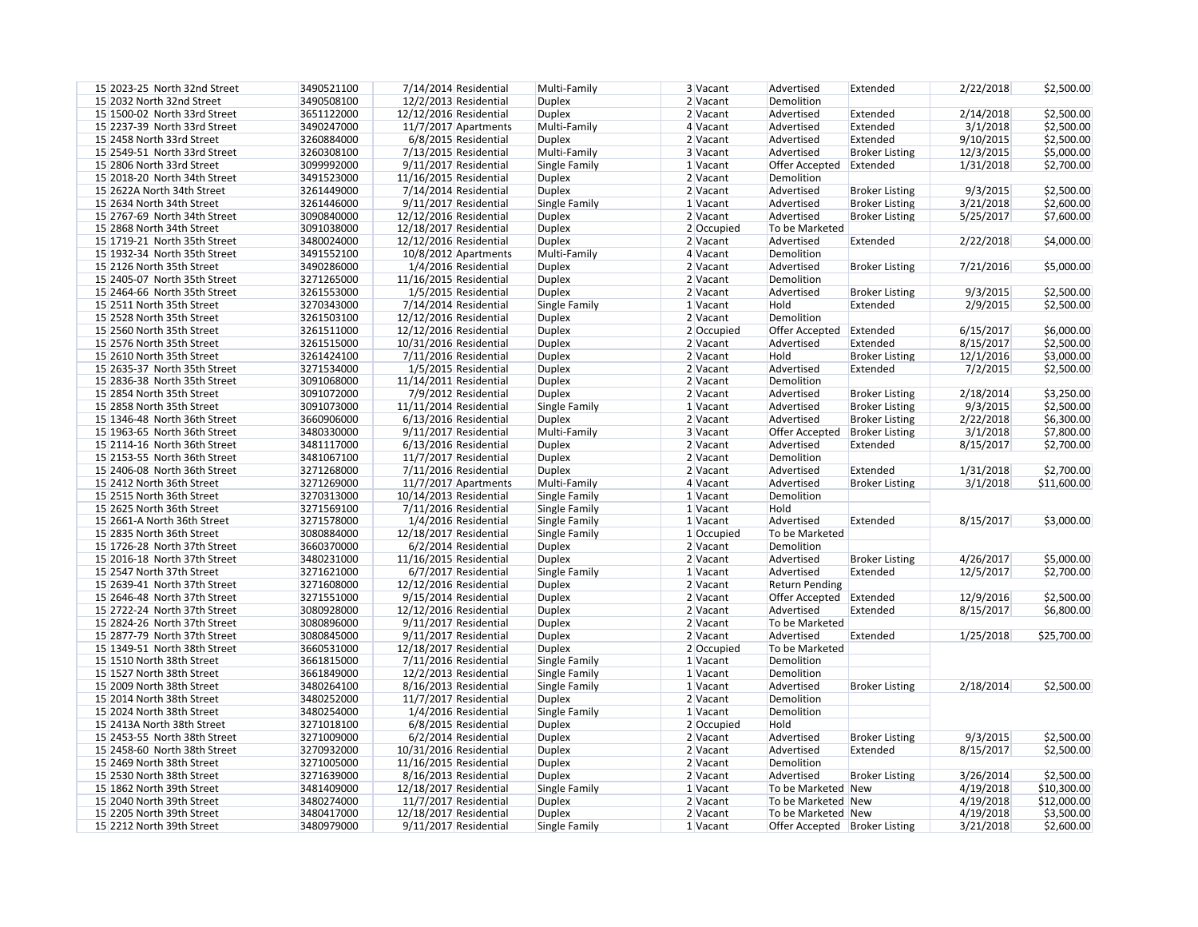| 15 2023-25 North 32nd Street | 3490521100 | $7/14/2014$ Residential | Multi-Family  | 3 Vacant   |            | Advertised                      | Extended              | 2/22/2018 | \$2,500.00  |
|------------------------------|------------|-------------------------|---------------|------------|------------|---------------------------------|-----------------------|-----------|-------------|
| 15 2032 North 32nd Street    | 3490508100 | 12/2/2013 Residential   | <b>Duplex</b> | 2 Vacant   |            | Demolition                      |                       |           |             |
| 15 1500-02 North 33rd Street | 3651122000 | 12/12/2016 Residential  | <b>Duplex</b> | 2 Vacant   |            | Advertised                      | Extended              | 2/14/2018 | \$2,500.00  |
| 15 2237-39 North 33rd Street | 3490247000 | 11/7/2017 Apartments    | Multi-Family  | $4$ Vacant |            | Advertised                      | Extended              | 3/1/2018  | \$2,500.00  |
| 15 2458 North 33rd Street    | 3260884000 | 6/8/2015 Residential    | <b>Duplex</b> | 2 Vacant   |            | Advertised                      | Extended              | 9/10/2015 | \$2,500.00  |
| 15 2549-51 North 33rd Street | 3260308100 | 7/13/2015 Residential   | Multi-Family  | 3 Vacant   |            | Advertised                      | <b>Broker Listing</b> | 12/3/2015 | \$5,000.00  |
| 15 2806 North 33rd Street    | 3099992000 | 9/11/2017 Residential   | Single Family | $1$ Vacant |            | Offer Accepted                  | Extended              | 1/31/2018 | \$2,700.00  |
| 15 2018-20 North 34th Street | 3491523000 | 11/16/2015 Residential  | <b>Duplex</b> | $2$ Vacant |            | Demolition                      |                       |           |             |
| 15 2622A North 34th Street   | 3261449000 | 7/14/2014 Residential   | <b>Duplex</b> | $2$ Vacant |            | Advertised                      | <b>Broker Listing</b> | 9/3/2015  | \$2,500.00  |
| 15 2634 North 34th Street    | 3261446000 | 9/11/2017 Residential   | Single Family | $1$ Vacant |            | Advertised                      | <b>Broker Listing</b> | 3/21/2018 | \$2,600.00  |
| 15 2767-69 North 34th Street | 3090840000 | 12/12/2016 Residential  | <b>Duplex</b> |            | 2 Vacant   | Advertised                      | <b>Broker Listing</b> | 5/25/2017 | \$7,600.00  |
| 15 2868 North 34th Street    | 3091038000 | 12/18/2017 Residential  | <b>Duplex</b> |            | 2 Occupied | To be Marketed                  |                       |           |             |
| 15 1719-21 North 35th Street | 3480024000 | 12/12/2016 Residential  | <b>Duplex</b> |            | 2 Vacant   | Advertised                      | Extended              | 2/22/2018 | \$4,000.00  |
| 15 1932-34 North 35th Street | 3491552100 | 10/8/2012 Apartments    | Multi-Family  | $4$ Vacant |            | Demolition                      |                       |           |             |
| 15 2126 North 35th Street    | 3490286000 | 1/4/2016 Residential    | <b>Duplex</b> | $2$ Vacant |            | Advertised                      | <b>Broker Listing</b> | 7/21/2016 | \$5,000.00  |
| 15 2405-07 North 35th Street | 3271265000 | 11/16/2015 Residential  | <b>Duplex</b> | $2$ Vacant |            | Demolition                      |                       |           |             |
| 15 2464-66 North 35th Street | 3261553000 | 1/5/2015 Residential    | <b>Duplex</b> | $2$ Vacant |            | Advertised                      | <b>Broker Listing</b> | 9/3/2015  | \$2,500.00  |
| 15 2511 North 35th Street    | 3270343000 | 7/14/2014 Residential   | Single Family | $1$ Vacant |            | Hold                            | Extended              | 2/9/2015  | \$2,500.00  |
| 15 2528 North 35th Street    | 3261503100 | 12/12/2016 Residential  | <b>Duplex</b> |            | 2 Vacant   | Demolition                      |                       |           |             |
| 15 2560 North 35th Street    | 3261511000 | 12/12/2016 Residential  | <b>Duplex</b> |            | 2 Occupied | Offer Accepted                  | Extended              | 6/15/2017 | \$6,000.00  |
| 15 2576 North 35th Street    | 3261515000 | 10/31/2016 Residential  | <b>Duplex</b> |            | 2 Vacant   | Advertised                      | Extended              | 8/15/2017 | \$2,500.00  |
| 15 2610 North 35th Street    | 3261424100 | 7/11/2016 Residential   | <b>Duplex</b> | $2$ Vacant |            | Hold                            | <b>Broker Listing</b> | 12/1/2016 | \$3,000.00  |
| 15 2635-37 North 35th Street | 3271534000 | 1/5/2015 Residential    | <b>Duplex</b> |            | 2 Vacant   | Advertised                      | Extended              | 7/2/2015  | \$2,500.00  |
| 15 2836-38 North 35th Street | 3091068000 | 11/14/2011 Residential  | <b>Duplex</b> | $2$ Vacant |            | Demolition                      |                       |           |             |
| 15 2854 North 35th Street    | 3091072000 | 7/9/2012 Residential    | <b>Duplex</b> | $2$ Vacant |            | Advertised                      |                       | 2/18/2014 | \$3,250.00  |
| 15 2858 North 35th Street    | 3091073000 |                         |               | $1$ Vacant |            |                                 | <b>Broker Listing</b> | 9/3/2015  | \$2,500.00  |
| 15 1346-48 North 36th Street | 3660906000 | 11/11/2014 Residential  | Single Family | $2$ Vacant |            | Advertised<br>Advertised        | <b>Broker Listing</b> |           | \$6,300.00  |
|                              | 3480330000 | 6/13/2016 Residential   | <b>Duplex</b> |            |            |                                 | <b>Broker Listing</b> | 2/22/2018 |             |
| 15 1963-65 North 36th Street |            | 9/11/2017 Residential   | Multi-Family  | 3 Vacant   |            | Offer Accepted                  | <b>Broker Listing</b> | 3/1/2018  | \$7,800.00  |
| 15 2114-16 North 36th Street | 3481117000 | 6/13/2016 Residential   | <b>Duplex</b> | $2$ Vacant |            | Advertised                      | Extended              | 8/15/2017 | \$2,700.00  |
| 15 2153-55 North 36th Street | 3481067100 | 11/7/2017 Residential   | <b>Duplex</b> | $2$ Vacant |            | Demolition                      |                       |           |             |
| 15 2406-08 North 36th Street | 3271268000 | $7/11/2016$ Residential | <b>Duplex</b> | $2$ Vacant |            | Advertised                      | Extended              | 1/31/2018 | \$2,700.00  |
| 15 2412 North 36th Street    | 3271269000 | $11/7/2017$ Apartments  | Multi-Family  | $4$ Vacant |            | Advertised                      | <b>Broker Listing</b> | 3/1/2018  | \$11,600.00 |
| 15 2515 North 36th Street    | 3270313000 | 10/14/2013 Residential  | Single Family | $1$ Vacant |            | Demolition                      |                       |           |             |
| 15 2625 North 36th Street    | 3271569100 | $7/11/2016$ Residential | Single Family | $1$ Vacant |            | Hold                            |                       |           |             |
| 15 2661-A North 36th Street  | 3271578000 | 1/4/2016 Residential    | Single Family |            | 1 Vacant   | Advertised                      | Extended              | 8/15/2017 | \$3,000.00  |
| 15 2835 North 36th Street    | 3080884000 | 12/18/2017 Residential  | Single Family |            | 1 Occupied | To be Marketed                  |                       |           |             |
| 15 1726-28 North 37th Street | 3660370000 | 6/2/2014 Residential    | <b>Duplex</b> |            | 2 Vacant   | Demolition                      |                       |           |             |
| 15 2016-18 North 37th Street | 3480231000 | 11/16/2015 Residential  | Duplex        | $2$ Vacant |            | Advertised                      | <b>Broker Listing</b> | 4/26/2017 | \$5,000.00  |
| 15 2547 North 37th Street    | 3271621000 | 6/7/2017 Residential    | Single Family | $1$ Vacant |            | Advertised                      | Extended              | 12/5/2017 | \$2,700.00  |
| 15 2639-41 North 37th Street | 3271608000 | 12/12/2016 Residential  | <b>Duplex</b> | $2$ Vacant |            | <b>Return Pending</b>           |                       |           |             |
| 15 2646-48 North 37th Street | 3271551000 | 9/15/2014 Residential   | <b>Duplex</b> | $2$ Vacant |            | Offer Accepted   Extended       |                       | 12/9/2016 | \$2,500.00  |
| 15 2722-24 North 37th Street | 3080928000 | 12/12/2016 Residential  | <b>Duplex</b> | $2$ Vacant |            | Advertised                      | Extended              | 8/15/2017 | \$6,800.00  |
| 15 2824-26 North 37th Street | 3080896000 | 9/11/2017 Residential   | <b>Duplex</b> | $2$ Vacant |            | To be Marketed                  |                       |           |             |
| 15 2877-79 North 37th Street | 3080845000 | 9/11/2017 Residential   | <b>Duplex</b> |            | 2 Vacant   | Advertised                      | Extended              | 1/25/2018 | \$25,700.00 |
| 15 1349-51 North 38th Street | 3660531000 | 12/18/2017 Residential  | <b>Duplex</b> |            | 2 Occupied | To be Marketed                  |                       |           |             |
| 15 1510 North 38th Street    | 3661815000 | 7/11/2016 Residential   | Single Family |            | 1 Vacant   | Demolition                      |                       |           |             |
| 15 1527 North 38th Street    | 3661849000 | 12/2/2013 Residential   | Single Family | $1$ Vacant |            | Demolition                      |                       |           |             |
| 15 2009 North 38th Street    | 3480264100 | 8/16/2013 Residential   | Single Family | $1$ Vacant |            | Advertised                      | <b>Broker Listing</b> | 2/18/2014 | \$2,500.00  |
| 15 2014 North 38th Street    | 3480252000 | 11/7/2017 Residential   | <b>Duplex</b> | $2$ Vacant |            | Demolition                      |                       |           |             |
| 15 2024 North 38th Street    | 3480254000 | 1/4/2016 Residential    | Single Family |            | 1 Vacant   | Demolition                      |                       |           |             |
| 15 2413A North 38th Street   | 3271018100 | 6/8/2015 Residential    | <b>Duplex</b> |            | 2 Occupied | Hold                            |                       |           |             |
| 15 2453-55 North 38th Street | 3271009000 | 6/2/2014 Residential    | <b>Duplex</b> | $2$ Vacant |            | Advertised                      | <b>Broker Listing</b> | 9/3/2015  | \$2,500.00  |
| 15 2458-60 North 38th Street | 3270932000 | 10/31/2016 Residential  | <b>Duplex</b> | $2$ Vacant |            | Advertised                      | Extended              | 8/15/2017 | \$2,500.00  |
| 15 2469 North 38th Street    | 3271005000 | 11/16/2015 Residential  | <b>Duplex</b> | $2$ Vacant |            | Demolition                      |                       |           |             |
| 15 2530 North 38th Street    | 3271639000 | 8/16/2013 Residential   | <b>Duplex</b> | $2$ Vacant |            | Advertised                      | <b>Broker Listing</b> | 3/26/2014 | \$2,500.00  |
| 15 1862 North 39th Street    | 3481409000 | 12/18/2017 Residential  | Single Family | $1$ Vacant |            | To be Marketed New              |                       | 4/19/2018 | \$10,300.00 |
| 15 2040 North 39th Street    | 3480274000 | 11/7/2017 Residential   | <b>Duplex</b> | $2$ Vacant |            | To be Marketed New              |                       | 4/19/2018 | \$12,000.00 |
| 15 2205 North 39th Street    | 3480417000 | 12/18/2017 Residential  | <b>Duplex</b> | $2$ Vacant |            | To be Marketed New              |                       | 4/19/2018 | \$3,500.00  |
| 15 2212 North 39th Street    | 3480979000 | 9/11/2017 Residential   | Single Family | $1$ Vacant |            | Offer Accepted   Broker Listing |                       | 3/21/2018 | \$2,600.00  |
|                              |            |                         |               |            |            |                                 |                       |           |             |

| 2/22/2018 | \$2,500.00  |
|-----------|-------------|
| 2/14/2018 | \$2,500.00  |
|           |             |
| 3/1/2018  | \$2,500.00  |
| 9/10/2015 | \$2,500.00  |
| 12/3/2015 | \$5,000.00  |
| 1/31/2018 | \$2,700.00  |
| 9/3/2015  | \$2,500.00  |
| 3/21/2018 | \$2,600.00  |
| 5/25/2017 | \$7,600.00  |
|           |             |
| 2/22/2018 | \$4,000.00  |
| 7/21/2016 | \$5,000.00  |
| 9/3/2015  | \$2,500.00  |
| 2/9/2015  | \$2,500.00  |
|           |             |
| 6/15/2017 | \$6,000.00  |
| 8/15/2017 | \$2,500.00  |
| 12/1/2016 | \$3,000.00  |
| 7/2/2015  | \$2,500.00  |
|           |             |
| 2/18/2014 | \$3,250.00  |
| 9/3/2015  | \$2,500.00  |
| 2/22/2018 | \$6,300.00  |
| 3/1/2018  | \$7,800.00  |
| 8/15/2017 | \$2,700.00  |
| 1/31/2018 | \$2,700.00  |
| 3/1/2018  | \$11,600.00 |
|           |             |
|           |             |
| 8/15/2017 | \$3,000.00  |
|           |             |
| 4/26/2017 | \$5,000.00  |
| 12/5/2017 | \$2,700.00  |
|           |             |
| 12/9/2016 | \$2,500.00  |
| 8/15/2017 | \$6,800.00  |
| 1/25/2018 | \$25,700.00 |
|           |             |
|           |             |
| 2/18/2014 | \$2,500.00  |
|           |             |
|           |             |
| 9/3/2015  | \$2,500.00  |
| 8/15/2017 | \$2,500.00  |
| 3/26/2014 | \$2,500.00  |
|           |             |
| 4/19/2018 | \$10,300.00 |
| 4/19/2018 | \$12,000.00 |
| 4/19/2018 | \$3,500.00  |
| 3/21/2018 | \$2,600.00  |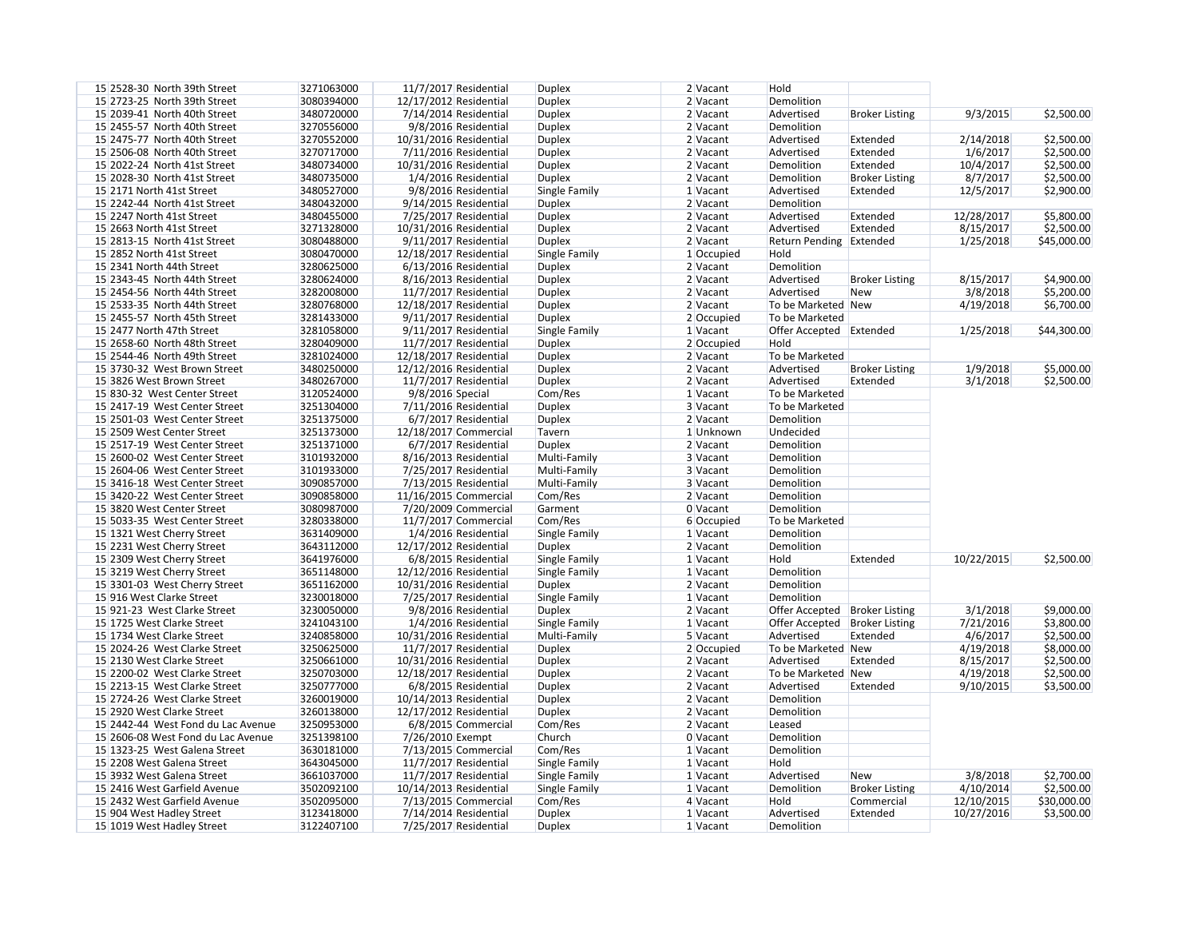| 15 2528-30 North 39th Street       | 3271063000 | 11/7/2017 Residential   | <b>Duplex</b> | 2 Vacant   | Hold                            |                       |            |             |
|------------------------------------|------------|-------------------------|---------------|------------|---------------------------------|-----------------------|------------|-------------|
| 15 2723-25 North 39th Street       | 3080394000 | 12/17/2012 Residential  | <b>Duplex</b> | 2 Vacant   | Demolition                      |                       |            |             |
| 15 2039-41 North 40th Street       | 3480720000 | 7/14/2014 Residential   | <b>Duplex</b> | 2 Vacant   | Advertised                      | <b>Broker Listing</b> | 9/3/2015   | \$2,500.00  |
| 15 2455-57 North 40th Street       | 3270556000 | 9/8/2016 Residential    | <b>Duplex</b> | 2 Vacant   | Demolition                      |                       |            |             |
| 15 2475-77 North 40th Street       | 3270552000 | 10/31/2016 Residential  | <b>Duplex</b> | $2$ Vacant | Advertised                      | Extended              | 2/14/2018  | \$2,500.00  |
| 15 2506-08 North 40th Street       | 3270717000 | $7/11/2016$ Residential | <b>Duplex</b> | 2 Vacant   | Advertised                      | Extended              | 1/6/2017   | \$2,500.00  |
| 15 2022-24 North 41st Street       | 3480734000 | 10/31/2016 Residential  | <b>Duplex</b> | 2 Vacant   | Demolition                      | Extended              | 10/4/2017  | \$2,500.00  |
| 15 2028-30 North 41st Street       | 3480735000 | 1/4/2016 Residential    | <b>Duplex</b> | $2$ Vacant | Demolition                      | <b>Broker Listing</b> | 8/7/2017   | \$2,500.00  |
| 15 2171 North 41st Street          | 3480527000 | 9/8/2016 Residential    | Single Family | $1$ Vacant | Advertised                      | Extended              | 12/5/2017  | \$2,900.00  |
| 15 2242-44 North 41st Street       | 3480432000 | 9/14/2015 Residential   | <b>Duplex</b> | $2$ Vacant | Demolition                      |                       |            |             |
| 15 2247 North 41st Street          | 3480455000 | 7/25/2017 Residential   | <b>Duplex</b> | $2$ Vacant | Advertised                      | Extended              | 12/28/2017 | \$5,800.00  |
| 15 2663 North 41st Street          | 3271328000 | 10/31/2016 Residential  | <b>Duplex</b> | 2 Vacant   | Advertised                      | Extended              | 8/15/2017  | \$2,500.00  |
| 15 2813-15 North 41st Street       | 3080488000 | 9/11/2017 Residential   | <b>Duplex</b> | 2 Vacant   | Return Pending Extended         |                       | 1/25/2018  | \$45,000.00 |
| 15 2852 North 41st Street          | 3080470000 |                         |               |            | Hold                            |                       |            |             |
|                                    |            | 12/18/2017 Residential  | Single Family | 1 Occupied |                                 |                       |            |             |
| 15 2341 North 44th Street          | 3280625000 | $6/13/2016$ Residential | <b>Duplex</b> | 2 Vacant   | Demolition                      |                       |            |             |
| 15 2343-45 North 44th Street       | 3280624000 | 8/16/2013 Residential   | <b>Duplex</b> | 2 Vacant   | Advertised                      | <b>Broker Listing</b> | 8/15/2017  | \$4,900.00  |
| 15 2454-56 North 44th Street       | 3282008000 | 11/7/2017 Residential   | <b>Duplex</b> | 2 Vacant   | Advertised                      | New                   | 3/8/2018   | \$5,200.00  |
| 15 2533-35 North 44th Street       | 3280768000 | 12/18/2017 Residential  | <b>Duplex</b> | 2 Vacant   | To be Marketed New              |                       | 4/19/2018  | \$6,700.00  |
| 15 2455-57 North 45th Street       | 3281433000 | 9/11/2017 Residential   | <b>Duplex</b> | 2 Occupied | To be Marketed                  |                       |            |             |
| 15 2477 North 47th Street          | 3281058000 | 9/11/2017 Residential   | Single Family | 1 Vacant   | Offer Accepted Extended         |                       | 1/25/2018  | \$44,300.00 |
| 15 2658-60 North 48th Street       | 3280409000 | 11/7/2017 Residential   | <b>Duplex</b> | 2 Occupied | Hold                            |                       |            |             |
| 15 2544-46 North 49th Street       | 3281024000 | 12/18/2017 Residential  | <b>Duplex</b> | 2 Vacant   | To be Marketed                  |                       |            |             |
| 15 3730-32 West Brown Street       | 3480250000 | 12/12/2016 Residential  | <b>Duplex</b> | 2 Vacant   | Advertised                      | <b>Broker Listing</b> | 1/9/2018   | \$5,000.00  |
| 15 3826 West Brown Street          | 3480267000 | 11/7/2017 Residential   | <b>Duplex</b> | 2 Vacant   | Advertised                      | Extended              | 3/1/2018   | \$2,500.00  |
| 15 830-32 West Center Street       | 3120524000 | 9/8/2016 Special        | Com/Res       | $1$ Vacant | To be Marketed                  |                       |            |             |
| 15 2417-19 West Center Street      | 3251304000 | $7/11/2016$ Residential | <b>Duplex</b> | 3 Vacant   | To be Marketed                  |                       |            |             |
| 15 2501-03 West Center Street      | 3251375000 | 6/7/2017 Residential    | <b>Duplex</b> | 2 Vacant   | Demolition                      |                       |            |             |
| 15 2509 West Center Street         | 3251373000 | 12/18/2017 Commercial   | Tavern        | 1 Unknown  | Undecided                       |                       |            |             |
| 15 2517-19 West Center Street      | 3251371000 | 6/7/2017 Residential    | <b>Duplex</b> | 2 Vacant   | Demolition                      |                       |            |             |
| 15 2600-02 West Center Street      | 3101932000 | 8/16/2013 Residential   | Multi-Family  | 3 Vacant   | Demolition                      |                       |            |             |
| 15 2604-06 West Center Street      | 3101933000 | 7/25/2017 Residential   | Multi-Family  | 3 Vacant   | Demolition                      |                       |            |             |
| 15 3416-18 West Center Street      | 3090857000 | $7/13/2015$ Residential | Multi-Family  | 3 Vacant   | Demolition                      |                       |            |             |
| 15 3420-22 West Center Street      | 3090858000 | 11/16/2015 Commercial   | Com/Res       | 2 Vacant   | Demolition                      |                       |            |             |
| 15 3820 West Center Street         |            | 7/20/2009 Commercial    | Garment       |            |                                 |                       |            |             |
|                                    | 3080987000 |                         |               | 0 Vacant   | Demolition                      |                       |            |             |
| 15 5033-35 West Center Street      | 3280338000 | 11/7/2017 Commercial    | Com/Res       | 6 Occupied | To be Marketed                  |                       |            |             |
| 15 1321 West Cherry Street         | 3631409000 | 1/4/2016 Residential    | Single Family | 1 Vacant   | Demolition                      |                       |            |             |
| 15 2231 West Cherry Street         | 3643112000 | 12/17/2012 Residential  | <b>Duplex</b> | 2 Vacant   | Demolition                      |                       |            |             |
| 15 2309 West Cherry Street         | 3641976000 | 6/8/2015 Residential    | Single Family | 1 Vacant   | Hold                            | Extended              | 10/22/2015 | \$2,500.00  |
| 15 3219 West Cherry Street         | 3651148000 | 12/12/2016 Residential  | Single Family | $1$ Vacant | Demolition                      |                       |            |             |
| 15 3301-03 West Cherry Street      | 3651162000 | 10/31/2016 Residential  | <b>Duplex</b> | $2$ Vacant | Demolition                      |                       |            |             |
| 15 916 West Clarke Street          | 3230018000 | 7/25/2017 Residential   | Single Family | $1$ Vacant | Demolition                      |                       |            |             |
| 15 921-23 West Clarke Street       | 3230050000 | 9/8/2016 Residential    | <b>Duplex</b> | $2$ Vacant | Offer Accepted   Broker Listing |                       | 3/1/2018   | \$9,000.00  |
| 15 1725 West Clarke Street         | 3241043100 | 1/4/2016 Residential    | Single Family | $1$ Vacant | Offer Accepted   Broker Listing |                       | 7/21/2016  | \$3,800.00  |
| 15 1734 West Clarke Street         | 3240858000 | 10/31/2016 Residential  | Multi-Family  | 5 Vacant   | Advertised                      | Extended              | 4/6/2017   | \$2,500.00  |
| 15 2024-26 West Clarke Street      | 3250625000 | 11/7/2017 Residential   | <b>Duplex</b> | 2 Occupied | To be Marketed New              |                       | 4/19/2018  | \$8,000.00  |
| 15 2130 West Clarke Street         | 3250661000 | 10/31/2016 Residential  | <b>Duplex</b> | $2$ Vacant | Advertised                      | Extended              | 8/15/2017  | \$2,500.00  |
| 15 2200-02 West Clarke Street      | 3250703000 | 12/18/2017 Residential  | <b>Duplex</b> | $2$ Vacant | To be Marketed New              |                       | 4/19/2018  | \$2,500.00  |
| 15 2213-15 West Clarke Street      | 3250777000 | 6/8/2015 Residential    | <b>Duplex</b> | $2$ Vacant | Advertised                      | Extended              | 9/10/2015  | \$3,500.00  |
| 15 2724-26 West Clarke Street      | 3260019000 | 10/14/2013 Residential  | <b>Duplex</b> | $2$ Vacant | Demolition                      |                       |            |             |
| 15 2920 West Clarke Street         | 3260138000 | 12/17/2012 Residential  | <b>Duplex</b> | $2$ Vacant | Demolition                      |                       |            |             |
| 15 2442-44 West Fond du Lac Avenue | 3250953000 | 6/8/2015 Commercial     | Com/Res       | $2$ Vacant | Leased                          |                       |            |             |
| 15 2606-08 West Fond du Lac Avenue | 3251398100 | 7/26/2010 Exempt        | Church        | $0$ Vacant | Demolition                      |                       |            |             |
| 15 1323-25 West Galena Street      | 3630181000 | 7/13/2015 Commercial    | Com/Res       | $1$ Vacant | Demolition                      |                       |            |             |
| 15 2208 West Galena Street         | 3643045000 | 11/7/2017 Residential   | Single Family | $1$ Vacant | Hold                            |                       |            |             |
| 15 3932 West Galena Street         | 3661037000 | 11/7/2017 Residential   |               | $1$ Vacant | Advertised                      | New                   | 3/8/2018   | \$2,700.00  |
|                                    |            |                         | Single Family |            |                                 |                       |            |             |
| 15 2416 West Garfield Avenue       | 3502092100 | 10/14/2013 Residential  | Single Family | $1$ Vacant | Demolition                      | <b>Broker Listing</b> | 4/10/2014  | \$2,500.00  |
| 15 2432 West Garfield Avenue       | 3502095000 | 7/13/2015 Commercial    | Com/Res       | $4$ Vacant | Hold                            | Commercial            | 12/10/2015 | \$30,000.00 |
| 15 904 West Hadley Street          | 3123418000 | 7/14/2014 Residential   | <b>Duplex</b> | $1$ Vacant | Advertised                      | Extended              | 10/27/2016 | \$3,500.00  |
| 15 1019 West Hadley Street         | 3122407100 | 7/25/2017 Residential   | <b>Duplex</b> | $1$ Vacant | Demolition                      |                       |            |             |

| 9/3/2015   | \$2,500.00  |
|------------|-------------|
|            |             |
| 2/14/2018  | \$2,500.00  |
| 1/6/2017   | \$2,500.00  |
| 10/4/2017  | \$2,500.00  |
| 8/7/2017   | \$2,500.00  |
| 12/5/2017  | \$2,900.00  |
|            |             |
| 12/28/2017 | \$5,800.00  |
| 8/15/2017  | \$2,500.00  |
| 1/25/2018  | \$45,000.00 |
|            |             |
|            |             |
| 8/15/2017  | \$4,900.00  |
| 3/8/2018   | \$5,200.00  |
| 4/19/2018  | \$6,700.00  |
|            |             |
| 1/25/2018  | \$44,300.00 |
|            |             |
|            |             |
| 1/9/2018   | \$5,000.00  |
|            |             |

| 10/22/2015<br>\$2,500.00 |
|--------------------------|
|--------------------------|

| 3/1/2018  | \$9,000.00 |
|-----------|------------|
| 7/21/2016 | \$3,800.00 |
| 4/6/2017  | \$2,500.00 |
| 4/19/2018 | \$8,000.00 |
| 8/15/2017 | \$2,500.00 |
| 4/19/2018 | \$2,500.00 |
| 9/10/2015 | \$3,500.00 |
|           |            |

| \$2,700.00  |
|-------------|
| \$2,500.00  |
| \$30,000.00 |
| \$3,500.00  |
|             |